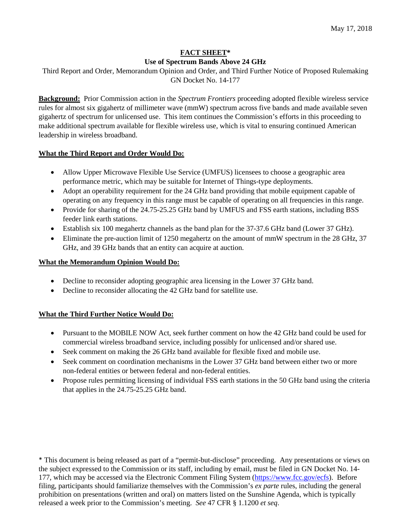## **FACT SHEET\* Use of Spectrum Bands Above 24 GHz**

Third Report and Order, Memorandum Opinion and Order, and Third Further Notice of Proposed Rulemaking GN Docket No. 14-177

**Background:** Prior Commission action in the *Spectrum Frontiers* proceeding adopted flexible wireless service rules for almost six gigahertz of millimeter wave (mmW) spectrum across five bands and made available seven gigahertz of spectrum for unlicensed use. This item continues the Commission's efforts in this proceeding to make additional spectrum available for flexible wireless use, which is vital to ensuring continued American leadership in wireless broadband.

# **What the Third Report and Order Would Do:**

- Allow Upper Microwave Flexible Use Service (UMFUS) licensees to choose a geographic area performance metric, which may be suitable for Internet of Things-type deployments.
- Adopt an operability requirement for the 24 GHz band providing that mobile equipment capable of operating on any frequency in this range must be capable of operating on all frequencies in this range.
- Provide for sharing of the 24.75-25.25 GHz band by UMFUS and FSS earth stations, including BSS feeder link earth stations.
- Establish six 100 megahertz channels as the band plan for the 37-37.6 GHz band (Lower 37 GHz).
- Eliminate the pre-auction limit of 1250 megahertz on the amount of mmW spectrum in the 28 GHz, 37 GHz, and 39 GHz bands that an entity can acquire at auction.

# **What the Memorandum Opinion Would Do:**

- Decline to reconsider adopting geographic area licensing in the Lower 37 GHz band.
- Decline to reconsider allocating the 42 GHz band for satellite use.

# **What the Third Further Notice Would Do:**

- Pursuant to the MOBILE NOW Act, seek further comment on how the 42 GHz band could be used for commercial wireless broadband service, including possibly for unlicensed and/or shared use.
- Seek comment on making the 26 GHz band available for flexible fixed and mobile use.
- Seek comment on coordination mechanisms in the Lower 37 GHz band between either two or more non-federal entities or between federal and non-federal entities.
- Propose rules permitting licensing of individual FSS earth stations in the 50 GHz band using the criteria that applies in the 24.75-25.25 GHz band.

\* This document is being released as part of a "permit-but-disclose" proceeding. Any presentations or views on the subject expressed to the Commission or its staff, including by email, must be filed in GN Docket No. 14- 177, which may be accessed via the Electronic Comment Filing System [\(https://www.fcc.gov/ecfs\)](https://www.fcc.gov/ecfs). Before filing, participants should familiarize themselves with the Commission's *ex parte* rules, including the general prohibition on presentations (written and oral) on matters listed on the Sunshine Agenda, which is typically released a week prior to the Commission's meeting. *See* 47 CFR § 1.1200 *et seq*.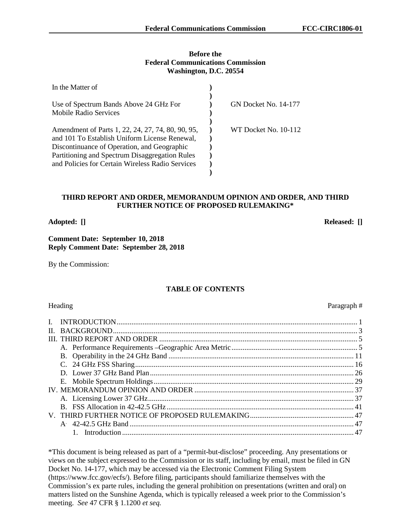#### **Before the Federal Communications Commission Washington, D.C. 20554**

| In the Matter of                                  |                             |
|---------------------------------------------------|-----------------------------|
|                                                   |                             |
| Use of Spectrum Bands Above 24 GHz For            | <b>GN Docket No. 14-177</b> |
| Mobile Radio Services                             |                             |
|                                                   |                             |
| Amendment of Parts 1, 22, 24, 27, 74, 80, 90, 95, | WT Docket No. 10-112        |
| and 101 To Establish Uniform License Renewal,     |                             |
| Discontinuance of Operation, and Geographic       |                             |
| Partitioning and Spectrum Disaggregation Rules    |                             |
| and Policies for Certain Wireless Radio Services  |                             |
|                                                   |                             |

#### **THIRD REPORT AND ORDER, MEMORANDUM OPINION AND ORDER, AND THIRD FURTHER NOTICE OF PROPOSED RULEMAKING\***

**Adopted: [] Released: []**

#### **Comment Date: September 10, 2018 Reply Comment Date: September 28, 2018**

By the Commission:

# **TABLE OF CONTENTS**

# Heading Paragraph #

| $\mathbf{I}$ |  |
|--------------|--|
|              |  |
|              |  |
|              |  |
|              |  |
|              |  |
|              |  |
|              |  |
|              |  |
|              |  |
|              |  |
|              |  |
|              |  |
|              |  |

\*This document is being released as part of a "permit-but-disclose" proceeding. Any presentations or views on the subject expressed to the Commission or its staff, including by email, must be filed in GN Docket No. 14-177, which may be accessed via the Electronic Comment Filing System (https://www.fcc.gov/ecfs/). Before filing, participants should familiarize themselves with the Commission's ex parte rules, including the general prohibition on presentations (written and oral) on matters listed on the Sunshine Agenda, which is typically released a week prior to the Commission's meeting. *See* 47 CFR § 1.1200 *et seq.*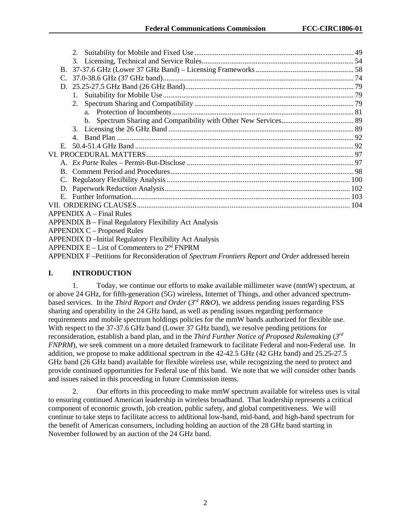| 2.                                                            |  |
|---------------------------------------------------------------|--|
|                                                               |  |
|                                                               |  |
|                                                               |  |
|                                                               |  |
| $1_{-}$                                                       |  |
| 2.                                                            |  |
|                                                               |  |
|                                                               |  |
| 3.                                                            |  |
| $\overline{4}$                                                |  |
|                                                               |  |
|                                                               |  |
|                                                               |  |
|                                                               |  |
|                                                               |  |
|                                                               |  |
|                                                               |  |
|                                                               |  |
| <b>APPENDIX A</b> – Final Rules                               |  |
| <b>APPENDIX B – Final Regulatory Flexibility Act Analysis</b> |  |
| <b>APPENDIX C - Proposed Rules</b>                            |  |
| <b>APPENDIX D-Initial Regulatory Flexibility Act Analysis</b> |  |
| APPENDIX $E - List$ of Commenters to $2nd$ FNPRM              |  |

APPENDIX F –Petitions for Reconsideration of *Spectrum Frontiers Report and Order* addressed herein

# **I. INTRODUCTION**

1. Today, we continue our efforts to make available millimeter wave (mmW) spectrum, at or above 24 GHz, for fifth-generation (5G) wireless, Internet of Things, and other advanced spectrumbased services. In the *Third Report and Order* (*3rd R&O*), we address pending issues regarding FSS sharing and operability in the 24 GHz band, as well as pending issues regarding performance requirements and mobile spectrum holdings policies for the mmW bands authorized for flexible use. With respect to the 37-37.6 GHz band (Lower 37 GHz band), we resolve pending petitions for reconsideration, establish a band plan, and in the *Third Further Notice of Proposed Rulemaking* (*3rd FNPRM*), we seek comment on a more detailed framework to facilitate Federal and non-Federal use. In addition, we propose to make additional spectrum in the 42-42.5 GHz (42 GHz band) and 25.25-27.5 GHz band (26 GHz band) available for flexible wireless use, while recognizing the need to protect and provide continued opportunities for Federal use of this band. We note that we will consider other bands and issues raised in this proceeding in future Commission items.

2. Our efforts in this proceeding to make mmW spectrum available for wireless uses is vital to ensuring continued American leadership in wireless broadband. That leadership represents a critical component of economic growth, job creation, public safety, and global competitiveness. We will continue to take steps to facilitate access to additional low-band, mid-band, and high-band spectrum for the benefit of American consumers, including holding an auction of the 28 GHz band starting in November followed by an auction of the 24 GHz band.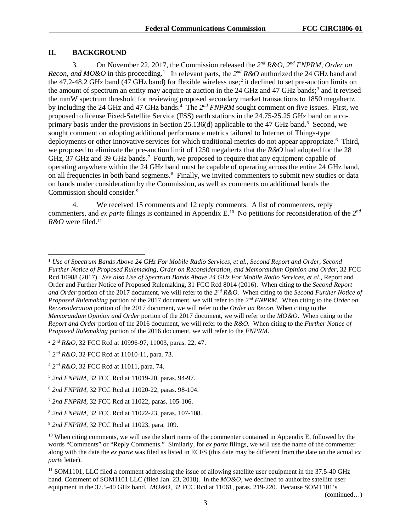#### **II. BACKGROUND**

3. On November 22, 2017, the Commission released the *2nd R&O, 2nd FNPRM, Order on Recon, and MO&O* in this proceeding.<sup>[1](#page-3-0)</sup> In relevant parts, the  $2^{nd} R&O$  authorized the 24 GHz band and the 47.2-48.2 GHz band (47 GHz band) for flexible wireless use; [2](#page-3-1) it declined to set pre-auction limits on the amount of spectrum an entity may acquire at auction in the 24 GHz and 47 GHz bands; [3](#page-3-2) and it revised the mmW spectrum threshold for reviewing proposed secondary market transactions to 1850 megahertz by including the 2[4](#page-3-3) GHz and 47 GHz bands.<sup>4</sup> The 2<sup>nd</sup> *FNPRM* sought comment on five issues. First, we proposed to license Fixed-Satellite Service (FSS) earth stations in the 24.75-25.25 GHz band on a co-primary basis under the provisions in Section 2[5](#page-3-4).136(d) applicable to the 47 GHz band.<sup>5</sup> Second, we sought comment on adopting additional performance metrics tailored to Internet of Things-type deployments or other innovative services for which traditional metrics do not appear appropriate.<sup>[6](#page-3-5)</sup> Third, we proposed to eliminate the pre-auction limit of 1250 megahertz that the *R&O* had adopted for the 28 GHz, 3[7](#page-3-6) GHz and 39 GHz bands.<sup>7</sup> Fourth, we proposed to require that any equipment capable of operating anywhere within the 24 GHz band must be capable of operating across the entire 24 GHz band, on all frequencies in both band segments.<sup>[8](#page-3-7)</sup> Finally, we invited commenters to submit new studies or data on bands under consideration by the Commission, as well as comments on additional bands the Commission should consider.[9](#page-3-8)

4. We received 15 comments and 12 reply comments. A list of commenters, reply commenters, and *ex parte* filings is contained in Appendix E. [10](#page-3-9) No petitions for reconsideration of the *2nd R&O* were filed.[11](#page-3-10)

<span id="page-3-1"></span><sup>2</sup> *2nd R&O*, 32 FCC Rcd at 10996-97, 11003, paras. 22, 47.

(continued…)

<span id="page-3-0"></span> <sup>1</sup> *Use of Spectrum Bands Above 24 GHz For Mobile Radio Services, et al., Second Report and Order, Second Further Notice of Proposed Rulemaking, Order on Reconsideration, and Memorandum Opinion and Order*, 32 FCC Rcd 10988 (2017). *See also Use of Spectrum Bands Above 24 GHz For Mobile Radio Services, et al*., Report and Order and Further Notice of Proposed Rulemaking, 31 FCC Rcd 8014 (2016). When citing to the *Second Report and Order* portion of the 2017 document, we will refer to the *2nd R&O*. When citing to the *Second Further Notice of Proposed Rulemaking* portion of the 2017 document, we will refer to the *2nd FNPRM*. When citing to the *Order on Reconsideration* portion of the 2017 document, we will refer to the *Order on Recon*. When citing to the *Memorandum Opinion and Order* portion of the 2017 document, we will refer to the *MO&O*. When citing to the *Report and Order* portion of the 2016 document, we will refer to the *R&O*. When citing to the *Further Notice of Proposed Rulemaking* portion of the 2016 document, we will refer to the *FNPRM*.

<span id="page-3-2"></span><sup>3</sup> *2nd R&O*, 32 FCC Rcd at 11010-11, para. 73.

<span id="page-3-3"></span><sup>4</sup> *2nd R&O*, 32 FCC Rcd at 11011, para. 74.

<span id="page-3-4"></span><sup>5</sup> *2nd FNPRM*, 32 FCC Rcd at 11019-20, paras. 94-97.

<span id="page-3-5"></span><sup>6</sup> *2nd FNPRM*, 32 FCC Rcd at 11020-22, paras. 98-104.

<span id="page-3-6"></span><sup>7</sup> *2nd FNPRM*, 32 FCC Rcd at 11022, paras. 105-106.

<span id="page-3-7"></span><sup>8</sup> *2nd FNPRM*, 32 FCC Rcd at 11022-23, paras. 107-108.

<span id="page-3-8"></span><sup>9</sup> *2nd FNPRM*, 32 FCC Rcd at 11023, para. 109.

<span id="page-3-9"></span><sup>&</sup>lt;sup>10</sup> When citing comments, we will use the short name of the commenter contained in Appendix E, followed by the words "Comments" or "Reply Comments." Similarly, for *ex parte* filings, we will use the name of the commenter along with the date the *ex parte* was filed as listed in ECFS (this date may be different from the date on the actual *ex parte* letter).

<span id="page-3-10"></span><sup>&</sup>lt;sup>11</sup> SOM1101, LLC filed a comment addressing the issue of allowing satellite user equipment in the 37.5-40 GHz band. Comment of SOM1101 LLC (filed Jan. 23, 2018). In the *MO&O*, we declined to authorize satellite user equipment in the 37.5-40 GHz band. *MO&O*, 32 FCC Rcd at 11061, paras. 219-220. Because SOM1101's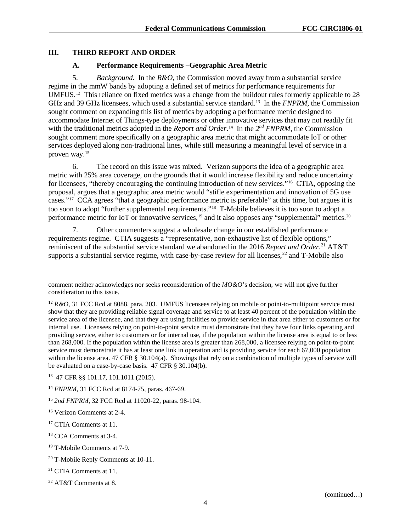### **III. THIRD REPORT AND ORDER**

#### **A. Performance Requirements –Geographic Area Metric**

5. *Background*.In the *R&O*, the Commission moved away from a substantial service regime in the mmW bands by adopting a defined set of metrics for performance requirements for UMFUS.[12](#page-4-0) This reliance on fixed metrics was a change from the buildout rules formerly applicable to 28 GHz and 39 GHz licensees, which used a substantial service standard.[13](#page-4-1) In the *FNPRM*, the Commission sought comment on expanding this list of metrics by adopting a performance metric designed to accommodate Internet of Things-type deployments or other innovative services that may not readily fit with the traditional metrics adopted in the *Report and Order*.<sup>[14](#page-4-2)</sup> In the 2<sup>nd</sup> *FNPRM*, the Commission sought comment more specifically on a geographic area metric that might accommodate IoT or other services deployed along non-traditional lines, while still measuring a meaningful level of service in a proven way.[15](#page-4-3)

6. The record on this issue was mixed. Verizon supports the idea of a geographic area metric with 25% area coverage, on the grounds that it would increase flexibility and reduce uncertainty for licensees, "thereby encouraging the continuing introduction of new services."[16](#page-4-4) CTIA, opposing the proposal, argues that a geographic area metric would "stifle experimentation and innovation of 5G use cases."[17](#page-4-5) CCA agrees "that a geographic performance metric is preferable" at this time, but argues it is too soon to adopt "further supplemental requirements."[18](#page-4-6) T-Mobile believes it is too soon to adopt a performance metric for IoT or innovative services,<sup>[19](#page-4-7)</sup> and it also opposes any "supplemental" metrics.<sup>[20](#page-4-8)</sup>

7. Other commenters suggest a wholesale change in our established performance requirements regime. CTIA suggests a "representative, non-exhaustive list of flexible options," reminiscent of the substantial service standard we abandoned in the 2016 *Report and Order*. [21](#page-4-9) AT&T supports a substantial service regime, with case-by-case review for all licenses,<sup>[22](#page-4-10)</sup> and T-Mobile also

 $\overline{a}$ comment neither acknowledges nor seeks reconsideration of the *MO&O*'s decision, we will not give further consideration to this issue.

<span id="page-4-0"></span><sup>&</sup>lt;sup>12</sup> *R&O*, 31 FCC Rcd at 8088, para. 203. UMFUS licensees relying on mobile or point-to-multipoint service must show that they are providing reliable signal coverage and service to at least 40 percent of the population within the service area of the licensee, and that they are using facilities to provide service in that area either to customers or for internal use. Licensees relying on point-to-point service must demonstrate that they have four links operating and providing service, either to customers or for internal use, if the population within the license area is equal to or less than 268,000. If the population within the license area is greater than 268,000, a licensee relying on point-to-point service must demonstrate it has at least one link in operation and is providing service for each 67,000 population within the license area. 47 CFR § 30.104(a). Showings that rely on a combination of multiple types of service will be evaluated on a case-by-case basis. 47 CFR § 30.104(b).

<span id="page-4-1"></span><sup>13 47</sup> CFR §§ 101.17, 101.1011 (2015).

<span id="page-4-2"></span><sup>14</sup> *FNPRM*, 31 FCC Rcd at 8174-75, paras. 467-69.

<span id="page-4-3"></span><sup>15</sup> *2nd FNPRM*, 32 FCC Rcd at 11020-22, paras. 98-104.

<span id="page-4-4"></span><sup>16</sup> Verizon Comments at 2-4.

<span id="page-4-5"></span><sup>&</sup>lt;sup>17</sup> CTIA Comments at 11.

<span id="page-4-6"></span><sup>18</sup> CCA Comments at 3-4.

<span id="page-4-7"></span><sup>19</sup> T-Mobile Comments at 7-9.

<span id="page-4-8"></span><sup>&</sup>lt;sup>20</sup> T-Mobile Reply Comments at 10-11.

<span id="page-4-9"></span><sup>21</sup> CTIA Comments at 11.

<span id="page-4-10"></span><sup>22</sup> AT&T Comments at 8.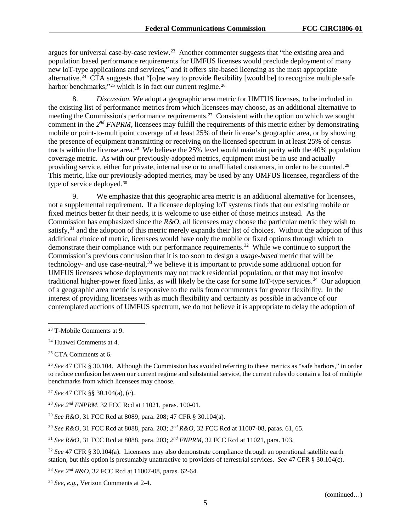argues for universal case-by-case review.[23](#page-5-0) Another commenter suggests that "the existing area and population based performance requirements for UMFUS licenses would preclude deployment of many new IoT-type applications and services," and it offers site-based licensing as the most appropriate alternative.<sup>24</sup> CTA suggests that "[o]ne way to provide flexibility [would be] to recognize multiple safe harbor benchmarks,"<sup>[25](#page-5-2)</sup> which is in fact our current regime.<sup>[26](#page-5-3)</sup>

8. *Discussion.* We adopt a geographic area metric for UMFUS licenses, to be included in the existing list of performance metrics from which licensees may choose, as an additional alternative to meeting the Commission's performance requirements.<sup>27</sup> Consistent with the option on which we sought comment in the *2nd FNPRM*, licensees may fulfill the requirements of this metric either by demonstrating mobile or point-to-multipoint coverage of at least 25% of their license's geographic area, or by showing the presence of equipment transmitting or receiving on the licensed spectrum in at least 25% of census tracts within the license area.[28](#page-5-5) We believe the 25% level would maintain parity with the 40% population coverage metric. As with our previously-adopted metrics, equipment must be in use and actually providing service, either for private, internal use or to unaffiliated customers, in order to be counted.[29](#page-5-6) This metric, like our previously-adopted metrics, may be used by any UMFUS licensee, regardless of the type of service deployed.<sup>[30](#page-5-7)</sup>

9. We emphasize that this geographic area metric is an additional alternative for licensees, not a supplemental requirement. If a licensee deploying IoT systems finds that our existing mobile or fixed metrics better fit their needs, it is welcome to use either of those metrics instead. As the Commission has emphasized since the *R&O*, all licensees may choose the particular metric they wish to satisfy,<sup>[31](#page-5-8)</sup> and the adoption of this metric merely expands their list of choices. Without the adoption of this additional choice of metric, licensees would have only the mobile or fixed options through which to demonstrate their compliance with our performance requirements.<sup>32</sup> While we continue to support the Commission's previous conclusion that it is too soon to design a *usage-based* metric that will be technology- and use case-neutral,  $33$  we believe it is important to provide some additional option for UMFUS licensees whose deployments may not track residential population, or that may not involve traditional higher-power fixed links, as will likely be the case for some IoT-type services.[34](#page-5-11) Our adoption of a geographic area metric is responsive to the calls from commenters for greater flexibility. In the interest of providing licensees with as much flexibility and certainty as possible in advance of our contemplated auctions of UMFUS spectrum, we do not believe it is appropriate to delay the adoption of

<span id="page-5-2"></span><sup>25</sup> CTA Comments at 6.

<span id="page-5-4"></span><sup>27</sup> *See* 47 CFR §§ 30.104(a), (c).

<span id="page-5-5"></span><sup>28</sup> *See 2nd FNPRM*, 32 FCC Rcd at 11021, paras. 100-01.

<span id="page-5-6"></span><sup>29</sup> *See R&O*, 31 FCC Rcd at 8089, para. 208; 47 CFR § 30.104(a).

<span id="page-5-7"></span><sup>30</sup> *See R&O*, 31 FCC Rcd at 8088, para. 203; *2nd R&O*, 32 FCC Rcd at 11007-08, paras. 61, 65.

<span id="page-5-8"></span><sup>31</sup> *See R&O*, 31 FCC Rcd at 8088, para. 203; *2nd FNPRM*, 32 FCC Rcd at 11021, para. 103.

<span id="page-5-9"></span><sup>32</sup> *See* 47 CFR § 30.104(a). Licensees may also demonstrate compliance through an operational satellite earth station, but this option is presumably unattractive to providers of terrestrial services. *See* 47 CFR § 30.104(c).

<span id="page-5-10"></span><sup>33</sup> *See 2nd R&O*, 32 FCC Rcd at 11007-08, paras. 62-64.

<span id="page-5-11"></span><sup>34</sup> *See, e.g.*, Verizon Comments at 2-4.

<span id="page-5-0"></span> <sup>23</sup> T-Mobile Comments at 9.

<span id="page-5-1"></span><sup>24</sup> Huawei Comments at 4.

<span id="page-5-3"></span><sup>26</sup> *See* 47 CFR § 30.104. Although the Commission has avoided referring to these metrics as "safe harbors," in order to reduce confusion between our current regime and substantial service, the current rules do contain a list of multiple benchmarks from which licensees may choose.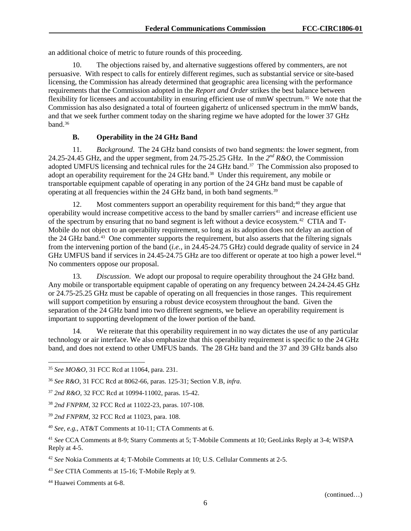an additional choice of metric to future rounds of this proceeding.

10. The objections raised by, and alternative suggestions offered by commenters, are not persuasive. With respect to calls for entirely different regimes, such as substantial service or site-based licensing, the Commission has already determined that geographic area licensing with the performance requirements that the Commission adopted in the *Report and Order* strikes the best balance between flexibility for licensees and accountability in ensuring efficient use of mmW spectrum.[35](#page-6-0) We note that the Commission has also designated a total of fourteen gigahertz of unlicensed spectrum in the mmW bands, and that we seek further comment today on the sharing regime we have adopted for the lower 37 GHz band.<sup>[36](#page-6-1)</sup>

#### **B. Operability in the 24 GHz Band**

11. *Background*.The 24 GHz band consists of two band segments: the lower segment, from 24.25-24.45 GHz, and the upper segment, from 24.75-25.25 GHz. In the *2nd R&O*, the Commission adopted UMFUS licensing and technical rules for the 24 GHz band.<sup>[37](#page-6-2)</sup> The Commission also proposed to adopt an operability requirement for the 24 GHz band.<sup>38</sup> Under this requirement, any mobile or transportable equipment capable of operating in any portion of the 24 GHz band must be capable of operating at all frequencies within the 24 GHz band, in both band segments.[39](#page-6-4)

12. Most commenters support an operability requirement for this band;<sup>[40](#page-6-5)</sup> they argue that operability would increase competitive access to the band by smaller carriers<sup>[41](#page-6-6)</sup> and increase efficient use of the spectrum by ensuring that no band segment is left without a device ecosystem.[42](#page-6-7) CTIA and T-Mobile do not object to an operability requirement, so long as its adoption does not delay an auction of the 24 GHz band.<sup>43</sup> One commenter supports the requirement, but also asserts that the filtering signals from the intervening portion of the band (*i.e.*, in 24.45-24.75 GHz) could degrade quality of service in 24 GHz UMFUS band if services in 24.45-24.75 GHz are too different or operate at too high a power level.<sup>[44](#page-6-9)</sup> No commenters oppose our proposal.

13. *Discussion*. We adopt our proposal to require operability throughout the 24 GHz band. Any mobile or transportable equipment capable of operating on any frequency between 24.24-24.45 GHz or 24.75-25.25 GHz must be capable of operating on all frequencies in those ranges. This requirement will support competition by ensuring a robust device ecosystem throughout the band. Given the separation of the 24 GHz band into two different segments, we believe an operability requirement is important to supporting development of the lower portion of the band.

14. We reiterate that this operability requirement in no way dictates the use of any particular technology or air interface. We also emphasize that this operability requirement is specific to the 24 GHz band, and does not extend to other UMFUS bands. The 28 GHz band and the 37 and 39 GHz bands also

<span id="page-6-9"></span><sup>44</sup> Huawei Comments at 6-8.

<span id="page-6-0"></span> <sup>35</sup> *See MO&O*, 31 FCC Rcd at 11064, para. 231.

<span id="page-6-1"></span><sup>36</sup> *See R&O*, 31 FCC Rcd at 8062-66, paras. 125-31; Section [V.B,](#page-26-0) *infra*.

<span id="page-6-2"></span><sup>37</sup> *2nd R&O*, 32 FCC Rcd at 10994-11002, paras. 15-42.

<span id="page-6-3"></span><sup>38</sup> *2nd FNPRM*, 32 FCC Rcd at 11022-23, paras. 107-108.

<span id="page-6-4"></span><sup>39</sup> *2nd FNPRM*, 32 FCC Rcd at 11023, para. 108.

<span id="page-6-5"></span><sup>40</sup> *See, e.g.*, AT&T Comments at 10-11; CTA Comments at 6.

<span id="page-6-6"></span><sup>41</sup> *See* CCA Comments at 8-9; Starry Comments at 5; T-Mobile Comments at 10; GeoLinks Reply at 3-4; WISPA Reply at 4-5.

<span id="page-6-7"></span><sup>42</sup> *See* Nokia Comments at 4; T-Mobile Comments at 10; U.S. Cellular Comments at 2-5.

<span id="page-6-8"></span><sup>43</sup> *See* CTIA Comments at 15-16; T-Mobile Reply at 9.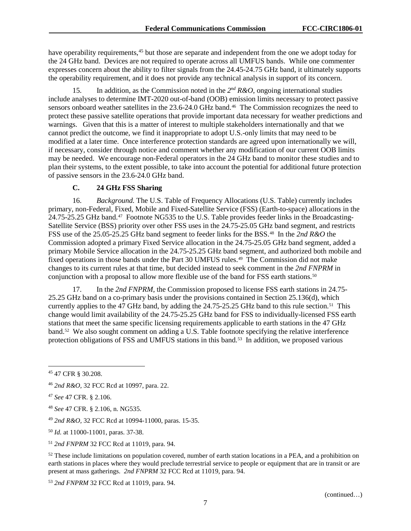have operability requirements,<sup>[45](#page-7-0)</sup> but those are separate and independent from the one we adopt today for the 24 GHz band. Devices are not required to operate across all UMFUS bands. While one commenter expresses concern about the ability to filter signals from the 24.45-24.75 GHz band, it ultimately supports the operability requirement, and it does not provide any technical analysis in support of its concern.

<span id="page-7-9"></span>15. In addition, as the Commission noted in the *2nd R&O*, ongoing international studies include analyses to determine IMT-2020 out-of-band (OOB) emission limits necessary to protect passive sensors onboard weather satellites in the 23.6-24.0 GHz band.<sup>46</sup> The Commission recognizes the need to protect these passive satellite operations that provide important data necessary for weather predictions and warnings. Given that this is a matter of interest to multiple stakeholders internationally and that we cannot predict the outcome, we find it inappropriate to adopt U.S.-only limits that may need to be modified at a later time. Once interference protection standards are agreed upon internationally we will, if necessary, consider through notice and comment whether any modification of our current OOB limits may be needed. We encourage non-Federal operators in the 24 GHz band to monitor these studies and to plan their systems, to the extent possible, to take into account the potential for additional future protection of passive sensors in the 23.6-24.0 GHz band.

# **C. 24 GHz FSS Sharing**

16. *Background.* The U.S. Table of Frequency Allocations (U.S. Table) currently includes primary, non-Federal, Fixed, Mobile and Fixed-Satellite Service (FSS) (Earth-to-space) allocations in the 24.75-25.25 GHz band.<sup>47</sup> Footnote NG535 to the U.S. Table provides feeder links in the Broadcasting-Satellite Service (BSS) priority over other FSS uses in the 24.75-25.05 GHz band segment, and restricts FSS use of the 25.05-25.25 GHz band segment to feeder links for the BSS.[48](#page-7-3) In the *2nd R&O* the Commission adopted a primary Fixed Service allocation in the 24.75-25.05 GHz band segment, added a primary Mobile Service allocation in the 24.75-25.25 GHz band segment, and authorized both mobile and fixed operations in those bands under the Part 30 UMFUS rules.[49](#page-7-4) The Commission did not make changes to its current rules at that time, but decided instead to seek comment in the *2nd FNPRM* in conjunction with a proposal to allow more flexible use of the band for FSS earth stations.<sup>50</sup>

17. In the *2nd FNPRM*, the Commission proposed to license FSS earth stations in 24.75- 25.25 GHz band on a co-primary basis under the provisions contained in Section 25.136(d), which currently applies to the 47 GHz band, by adding the  $24.75$ -25.25 GHz band to this rule section.<sup>51</sup> This change would limit availability of the 24.75-25.25 GHz band for FSS to individually-licensed FSS earth stations that meet the same specific licensing requirements applicable to earth stations in the 47 GHz band.<sup>[52](#page-7-7)</sup> We also sought comment on adding a U.S. Table footnote specifying the relative interference protection obligations of FSS and UMFUS stations in this band.<sup>53</sup> In addition, we proposed various

<span id="page-7-3"></span><sup>48</sup> *See* 47 CFR. § 2.106, n. NG535.

<span id="page-7-0"></span> <sup>45</sup> 47 CFR § 30.208.

<span id="page-7-1"></span><sup>46</sup> *2nd R&O*, 32 FCC Rcd at 10997, para. 22.

<span id="page-7-2"></span><sup>47</sup> *See* 47 CFR. § 2.106.

<span id="page-7-4"></span><sup>49</sup> *2nd R&O,* 32 FCC Rcd at 10994-11000, paras. 15-35.

<span id="page-7-5"></span><sup>50</sup> *Id.* at 11000-11001, paras. 37-38.

<span id="page-7-6"></span><sup>51</sup> *2nd FNPRM* 32 FCC Rcd at 11019, para. 94.

<span id="page-7-7"></span> $52$  These include limitations on population covered, number of earth station locations in a PEA, and a prohibition on earth stations in places where they would preclude terrestrial service to people or equipment that are in transit or are present at mass gatherings. *2nd FNPRM* 32 FCC Rcd at 11019, para. 94.

<span id="page-7-8"></span><sup>53</sup> *2nd FNPRM* 32 FCC Rcd at 11019, para. 94.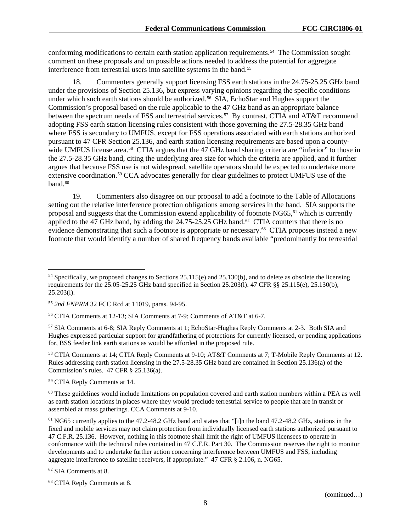conforming modifications to certain earth station application requirements.<sup>54</sup> The Commission sought comment on these proposals and on possible actions needed to address the potential for aggregate interference from terrestrial users into satellite systems in the band.<sup>[55](#page-8-1)</sup>

18. Commenters generally support licensing FSS earth stations in the 24.75-25.25 GHz band under the provisions of Section 25.136, but express varying opinions regarding the specific conditions under which such earth stations should be authorized.<sup>56</sup> SIA, EchoStar and Hughes support the Commission's proposal based on the rule applicable to the 47 GHz band as an appropriate balance between the spectrum needs of FSS and terrestrial services.<sup>[57](#page-8-3)</sup> By contrast, CTIA and AT&T recommend adopting FSS earth station licensing rules consistent with those governing the 27.5-28.35 GHz band where FSS is secondary to UMFUS, except for FSS operations associated with earth stations authorized pursuant to 47 CFR Section 25.136, and earth station licensing requirements are based upon a county-wide UMFUS license area.<sup>[58](#page-8-4)</sup> CTIA argues that the 47 GHz band sharing criteria are "inferior" to those in the 27.5-28.35 GHz band, citing the underlying area size for which the criteria are applied, and it further argues that because FSS use is not widespread, satellite operators should be expected to undertake more extensive coordination.[59](#page-8-5) CCA advocates generally for clear guidelines to protect UMFUS use of the band.<sup>[60](#page-8-6)</sup>

19. Commenters also disagree on our proposal to add a footnote to the Table of Allocations setting out the relative interference protection obligations among services in the band. SIA supports the proposal and suggests that the Commission extend applicability of footnote NG65, [61](#page-8-7) which is currently applied to the 47 GHz band, by adding the  $24.75-25.25$  GHz band.<sup>[62](#page-8-8)</sup> CTIA counters that there is no evidence demonstrating that such a footnote is appropriate or necessary.<sup>[63](#page-8-9)</sup> CTIA proposes instead a new footnote that would identify a number of shared frequency bands available "predominantly for terrestrial

<span id="page-8-4"></span><sup>58</sup> CTIA Comments at 14; CTIA Reply Comments at 9-10; AT&T Comments at 7; T-Mobile Reply Comments at 12. Rules addressing earth station licensing in the 27.5-28.35 GHz band are contained in Section 25.136(a) of the Commission's rules. 47 CFR § 25.136(a).

<span id="page-8-5"></span><sup>59</sup> CTIA Reply Comments at 14.

<span id="page-8-6"></span><sup>60</sup> These guidelines would include limitations on population covered and earth station numbers within a PEA as well as earth station locations in places where they would preclude terrestrial service to people that are in transit or assembled at mass gatherings. CCA Comments at 9-10.

<span id="page-8-7"></span><sup>61</sup> NG65 currently applies to the 47.2-48.2 GHz band and states that "[i]n the band 47.2-48.2 GHz, stations in the fixed and mobile services may not claim protection from individually licensed earth stations authorized pursuant to 47 C.F.R. 25.136. However, nothing in this footnote shall limit the right of UMFUS licensees to operate in conformance with the technical rules contained in 47 C.F.R. Part 30. The Commission reserves the right to monitor developments and to undertake further action concerning interference between UMFUS and FSS, including aggregate interference to satellite receivers, if appropriate." 47 CFR § 2.106, n. NG65.

<span id="page-8-8"></span><sup>62</sup> SIA Comments at 8.

<span id="page-8-0"></span> $54$  Specifically, we proposed changes to Sections 25.115(e) and 25.130(b), and to delete as obsolete the licensing requirements for the 25.05-25.25 GHz band specified in Section 25.203(l). 47 CFR §§ 25.115(e), 25.130(b), 25.203(l).

<span id="page-8-1"></span><sup>55</sup> *2nd FNPRM* 32 FCC Rcd at 11019, paras. 94-95.

<span id="page-8-2"></span><sup>56</sup> CTIA Comments at 12-13; SIA Comments at 7-9; Comments of AT&T at 6-7.

<span id="page-8-3"></span><sup>57</sup> SIA Comments at 6-8; SIA Reply Comments at 1; EchoStar-Hughes Reply Comments at 2-3. Both SIA and Hughes expressed particular support for grandfathering of protections for currently licensed, or pending applications for, BSS feeder link earth stations as would be afforded in the proposed rule.

<span id="page-8-9"></span><sup>63</sup> CTIA Reply Comments at 8.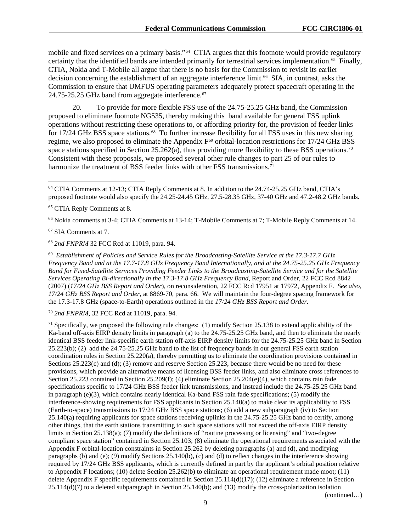mobile and fixed services on a primary basis."[64](#page-9-0) CTIA argues that this footnote would provide regulatory certainty that the identified bands are intended primarily for terrestrial services implementation.<sup>[65](#page-9-1)</sup> Finally, CTIA, Nokia and T-Mobile all argue that there is no basis for the Commission to revisit its earlier decision concerning the establishment of an aggregate interference limit.<sup>66</sup> SIA, in contrast, asks the Commission to ensure that UMFUS operating parameters adequately protect spacecraft operating in the 24.75-25.25 GHz band from aggregate interference.<sup>[67](#page-9-3)</sup>

20. To provide for more flexible FSS use of the 24.75-25.25 GHz band, the Commission proposed to eliminate footnote NG535, thereby making this band available for general FSS uplink operations without restricting these operations to, or affording priority for, the provision of feeder links for 17/24 GHz BSS space stations.<sup>68</sup> To further increase flexibility for all FSS uses in this new sharing regime, we also proposed to eliminate the Appendix F<sup>[69](#page-9-5)</sup> orbital-location restrictions for 17/24 GHz BSS space stations specified in Section 25.262(a), thus providing more flexibility to these BSS operations.<sup>70</sup> Consistent with these proposals, we proposed several other rule changes to part 25 of our rules to harmonize the treatment of BSS feeder links with other FSS transmissions.<sup>[71](#page-9-7)</sup>

<span id="page-9-2"></span><sup>66</sup> Nokia comments at 3-4; CTIA Comments at 13-14; T-Mobile Comments at 7; T-Mobile Reply Comments at 14.

<span id="page-9-3"></span><sup>67</sup> SIA Comments at 7.

<span id="page-9-4"></span><sup>68</sup> *2nd FNPRM* 32 FCC Rcd at 11019, para. 94.

<span id="page-9-5"></span>69 *Establishment of Policies and Service Rules for the Broadcasting-Satellite Service at the 17.3-17.7 GHz Frequency Band and at the 17.7-17.8 GHz Frequency Band Internationally, and at the 24.75-25.25 GHz Frequency Band for Fixed-Satellite Services Providing Feeder Links to the Broadcasting-Satellite Service and for the Satellite Services Operating Bi-directionally in the 17.3-17.8 GHz Frequency Band,* Report and Order, 22 FCC Rcd 8842 (2007) (*17/24 GHz BSS Report and Order*), on reconsideration, 22 FCC Rcd 17951 at 17972, Appendix F. *See also*, *17/24 GHz BSS Report and Order*, at 8869-70, para. 66. We will maintain the four-degree spacing framework for the 17.3-17.8 GHz (space-to-Earth) operations outlined in the *17/24 GHz BSS Report and Order*.

<span id="page-9-6"></span><sup>70</sup> *2nd FNPRM*, 32 FCC Rcd at 11019, para. 94.

<span id="page-9-7"></span><sup>71</sup> Specifically, we proposed the following rule changes: (1) modify Section 25.138 to extend applicability of the Ka-band off-axis EIRP density limits in paragraph (a) to the 24.75-25.25 GHz band, and then to eliminate the nearly identical BSS feeder link-specific earth station off-axis EIRP density limits for the 24.75-25.25 GHz band in Section 25.223(b); (2) add the 24.75-25.25 GHz band to the list of frequency bands in our general FSS earth station coordination rules in Section 25.220(a), thereby permitting us to eliminate the coordination provisions contained in Sections 25.223(c) and (d); (3) remove and reserve Section 25.223, because there would be no need for these provisions, which provide an alternative means of licensing BSS feeder links, and also eliminate cross references to Section 25.223 contained in Section 25.209(f); (4) eliminate Section 25.204(e)(4), which contains rain fade specifications specific to 17/24 GHz BSS feeder link transmissions, and instead include the 24.75-25.25 GHz band in paragraph (e)(3), which contains nearly identical Ka-band FSS rain fade specifications; (5) modify the interference-showing requirements for FSS applicants in Section 25.140(a) to make clear its applicability to FSS (Earth-to-space) transmissions to 17/24 GHz BSS space stations; (6) add a new subparagraph (iv) to Section 25.140(a) requiring applicants for space stations receiving uplinks in the 24.75-25.25 GHz band to certify, among other things, that the earth stations transmitting to such space stations will not exceed the off-axis EIRP density limits in Section 25.138(a); (7) modify the definitions of "routine processing or licensing" and "two-degree compliant space station" contained in Section 25.103; (8) eliminate the operational requirements associated with the Appendix F orbital-location constraints in Section 25.262 by deleting paragraphs (a) and (d), and modifying paragraphs (b) and (e); (9) modify Sections 25.140(b), (c) and (d) to reflect changes in the interference showing required by 17/24 GHz BSS applicants, which is currently defined in part by the applicant's orbital position relative to Appendix F locations; (10) delete Section 25.262(b) to eliminate an operational requirement made moot; (11) delete Appendix F specific requirements contained in Section 25.114(d)(17); (12) eliminate a reference in Section 25.114(d)(7) to a deleted subparagraph in Section 25.140(b); and (13) modify the cross-polarization isolation (continued…)

<span id="page-9-8"></span><span id="page-9-0"></span> <sup>64</sup> CTIA Comments at 12-13; CTIA Reply Comments at 8. In addition to the 24.74-25.25 GHz band, CTIA's proposed footnote would also specify the 24.25-24.45 GHz, 27.5-28.35 GHz, 37-40 GHz and 47.2-48.2 GHz bands.

<span id="page-9-1"></span><sup>65</sup> CTIA Reply Comments at 8.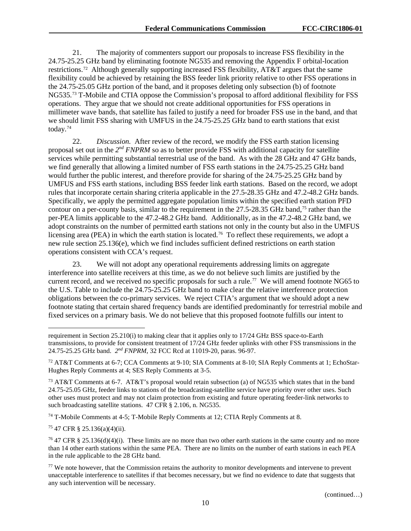21. The majority of commenters support our proposals to increase FSS flexibility in the 24.75-25.25 GHz band by eliminating footnote NG535 and removing the Appendix F orbital-location restrictions.<sup>72</sup> Although generally supporting increased FSS flexibility,  $AT&TT$  argues that the same flexibility could be achieved by retaining the BSS feeder link priority relative to other FSS operations in the 24.75-25.05 GHz portion of the band, and it proposes deleting only subsection (b) of footnote NG535.[73](#page-10-1) T-Mobile and CTIA oppose the Commission's proposal to afford additional flexibility for FSS operations. They argue that we should not create additional opportunities for FSS operations in millimeter wave bands, that satellite has failed to justify a need for broader FSS use in the band, and that we should limit FSS sharing with UMFUS in the 24.75-25.25 GHz band to earth stations that exist today.[74](#page-10-2)

22. *Discussion.* After review of the record, we modify the FSS earth station licensing proposal set out in the *2nd FNPRM* so as to better provide FSS with additional capacity for satellite services while permitting substantial terrestrial use of the band. As with the 28 GHz and 47 GHz bands, we find generally that allowing a limited number of FSS earth stations in the 24.75-25.25 GHz band would further the public interest, and therefore provide for sharing of the 24.75-25.25 GHz band by UMFUS and FSS earth stations, including BSS feeder link earth stations. Based on the record, we adopt rules that incorporate certain sharing criteria applicable in the 27.5-28.35 GHz and 47.2-48.2 GHz bands. Specifically, we apply the permitted aggregate population limits within the specified earth station PFD contour on a per-county basis, similar to the requirement in the 27.5-28.35 GHz band,<sup>[75](#page-10-3)</sup> rather than the per-PEA limits applicable to the 47.2-48.2 GHz band. Additionally, as in the 47.2-48.2 GHz band, we adopt constraints on the number of permitted earth stations not only in the county but also in the UMFUS licensing area (PEA) in which the earth station is located.<sup>76</sup> To reflect these requirements, we adopt a new rule section 25.136(e), which we find includes sufficient defined restrictions on earth station operations consistent with CCA's request.

23. We will not adopt any operational requirements addressing limits on aggregate interference into satellite receivers at this time, as we do not believe such limits are justified by the current record, and we received no specific proposals for such a rule.<sup>[77](#page-10-5)</sup> We will amend footnote NG65 to the U.S. Table to include the 24.75-25.25 GHz band to make clear the relative interference protection obligations between the co-primary services. We reject CTIA's argument that we should adopt a new footnote stating that certain shared frequency bands are identified predominantly for terrestrial mobile and fixed services on a primary basis. We do not believe that this proposed footnote fulfills our intent to

<span id="page-10-2"></span><sup>74</sup> T-Mobile Comments at 4-5; T-Mobile Reply Comments at 12; CTIA Reply Comments at 8.

<span id="page-10-3"></span><sup>75</sup> 47 CFR § 25.136(a)(4)(ii).

 $\overline{a}$ 

<span id="page-10-4"></span><sup>76</sup> 47 CFR § 25.136(d)(4)(i). These limits are no more than two other earth stations in the same county and no more than 14 other earth stations within the same PEA. There are no limits on the number of earth stations in each PEA in the rule applicable to the 28 GHz band.

requirement in Section 25.210(i) to making clear that it applies only to 17/24 GHz BSS space-to-Earth transmissions, to provide for consistent treatment of 17/24 GHz feeder uplinks with other FSS transmissions in the 24.75-25.25 GHz band. *2nd FNPRM*, 32 FCC Rcd at 11019-20, paras. 96-97.

<span id="page-10-0"></span><sup>72</sup> AT&T Comments at 6-7; CCA Comments at 9-10; SIA Comments at 8-10; SIA Reply Comments at 1; EchoStar-Hughes Reply Comments at 4; SES Reply Comments at 3-5.

<span id="page-10-1"></span><sup>&</sup>lt;sup>73</sup> AT&T Comments at 6-7. AT&T's proposal would retain subsection (a) of NG535 which states that in the band 24.75-25.05 GHz, feeder links to stations of the broadcasting-satellite service have priority over other uses. Such other uses must protect and may not claim protection from existing and future operating feeder-link networks to such broadcasting satellite stations. 47 CFR § 2.106, n. NG535.

<span id="page-10-5"></span><sup>&</sup>lt;sup>77</sup> We note however, that the Commission retains the authority to monitor developments and intervene to prevent unacceptable interference to satellites if that becomes necessary, but we find no evidence to date that suggests that any such intervention will be necessary.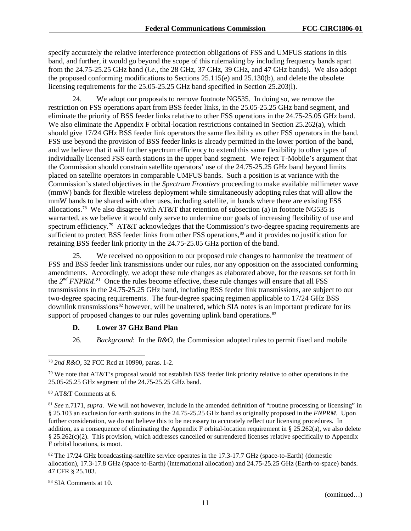specify accurately the relative interference protection obligations of FSS and UMFUS stations in this band, and further, it would go beyond the scope of this rulemaking by including frequency bands apart from the 24.75-25.25 GHz band (*i.e.*, the 28 GHz, 37 GHz, 39 GHz, and 47 GHz bands). We also adopt the proposed conforming modifications to Sections 25.115(e) and 25.130(b), and delete the obsolete licensing requirements for the 25.05-25.25 GHz band specified in Section 25.203(l).

24. We adopt our proposals to remove footnote NG535. In doing so, we remove the restriction on FSS operations apart from BSS feeder links, in the 25.05-25.25 GHz band segment, and eliminate the priority of BSS feeder links relative to other FSS operations in the 24.75-25.05 GHz band. We also eliminate the Appendix F orbital-location restrictions contained in Section 25.262(a), which should give 17/24 GHz BSS feeder link operators the same flexibility as other FSS operators in the band. FSS use beyond the provision of BSS feeder links is already permitted in the lower portion of the band, and we believe that it will further spectrum efficiency to extend this same flexibility to other types of individually licensed FSS earth stations in the upper band segment. We reject T-Mobile's argument that the Commission should constrain satellite operators' use of the 24.75-25.25 GHz band beyond limits placed on satellite operators in comparable UMFUS bands. Such a position is at variance with the Commission's stated objectives in the *Spectrum Frontiers* proceeding to make available millimeter wave (mmW) bands for flexible wireless deployment while simultaneously adopting rules that will allow the mmW bands to be shared with other uses, including satellite, in bands where there are existing FSS allocations. [78](#page-11-0) We also disagree with AT&T that retention of subsection (a) in footnote NG535 is warranted, as we believe it would only serve to undermine our goals of increasing flexibility of use and spectrum efficiency.<sup>79</sup> AT&T acknowledges that the Commission's two-degree spacing requirements are sufficient to protect BSS feeder links from other FSS operations,<sup>[80](#page-11-2)</sup> and it provides no justification for retaining BSS feeder link priority in the 24.75-25.05 GHz portion of the band.

25. We received no opposition to our proposed rule changes to harmonize the treatment of FSS and BSS feeder link transmissions under our rules, nor any opposition on the associated conforming amendments. Accordingly, we adopt these rule changes as elaborated above, for the reasons set forth in the *2nd FNPRM*. [81](#page-11-3) Once the rules become effective, these rule changes will ensure that all FSS transmissions in the 24.75-25.25 GHz band, including BSS feeder link transmissions, are subject to our two-degree spacing requirements. The four-degree spacing regimen applicable to 17/24 GHz BSS downlink transmissions<sup>[82](#page-11-4)</sup> however, will be unaltered, which SIA notes is an important predicate for its support of proposed changes to our rules governing uplink band operations.<sup>[83](#page-11-5)</sup>

#### **D. Lower 37 GHz Band Plan**

26. *Background*: In the *R&O*, the Commission adopted rules to permit fixed and mobile

<span id="page-11-0"></span> <sup>78</sup> *2nd R&O*, 32 FCC Rcd at 10990, paras. 1-2.

<span id="page-11-1"></span> $79$  We note that AT&T's proposal would not establish BSS feeder link priority relative to other operations in the 25.05-25.25 GHz segment of the 24.75-25.25 GHz band.

<span id="page-11-2"></span><sup>80</sup> AT&T Comments at 6.

<span id="page-11-3"></span><sup>81</sup> *See* n[.7171,](#page-9-8) *supra*. We will not however, include in the amended definition of "routine processing or licensing" in § 25.103 an exclusion for earth stations in the 24.75-25.25 GHz band as originally proposed in the *FNPRM*. Upon further consideration, we do not believe this to be necessary to accurately reflect our licensing procedures. In addition, as a consequence of eliminating the Appendix F orbital-location requirement in § 25.262(a), we also delete § 25.262(c)(2). This provision, which addresses cancelled or surrendered licenses relative specifically to Appendix F orbital locations, is moot.

<span id="page-11-4"></span><sup>&</sup>lt;sup>82</sup> The 17/24 GHz broadcasting-satellite service operates in the 17.3-17.7 GHz (space-to-Earth) (domestic allocation), 17.3-17.8 GHz (space-to-Earth) (international allocation) and 24.75-25.25 GHz (Earth-to-space) bands. 47 CFR § 25.103.

<span id="page-11-5"></span><sup>83</sup> SIA Comments at 10.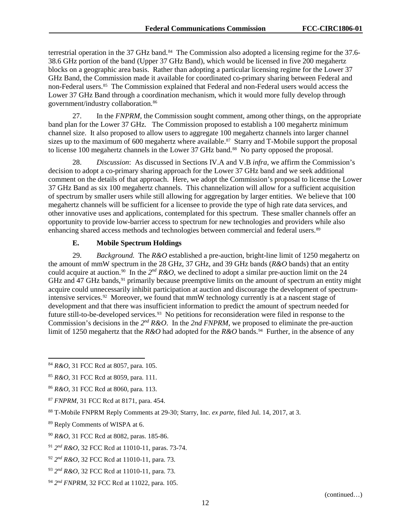terrestrial operation in the 37 GHz band.<sup>[84](#page-12-0)</sup> The Commission also adopted a licensing regime for the 37.6-38.6 GHz portion of the band (Upper 37 GHz Band), which would be licensed in five 200 megahertz blocks on a geographic area basis. Rather than adopting a particular licensing regime for the Lower 37 GHz Band, the Commission made it available for coordinated co-primary sharing between Federal and non-Federal users.<sup>[85](#page-12-1)</sup> The Commission explained that Federal and non-Federal users would access the Lower 37 GHz Band through a coordination mechanism, which it would more fully develop through government/industry collaboration.[86](#page-12-2)

27. In the *FNPRM*, the Commission sought comment, among other things, on the appropriate band plan for the Lower 37 GHz. The Commission proposed to establish a 100 megahertz minimum channel size. It also proposed to allow users to aggregate 100 megahertz channels into larger channel sizes up to the maximum of 600 megahertz where available.<sup>87</sup> Starry and T-Mobile support the proposal to license 100 megahertz channels in the Lower 37 GHz band.<sup>88</sup> No party opposed the proposal.

28. *Discussion*: As discussed in Sections [IV.A](#page-17-0) an[d V.B](#page-26-0) *infra*, we affirm the Commission's decision to adopt a co-primary sharing approach for the Lower 37 GHz band and we seek additional comment on the details of that approach. Here, we adopt the Commission's proposal to license the Lower 37 GHz Band as six 100 megahertz channels. This channelization will allow for a sufficient acquisition of spectrum by smaller users while still allowing for aggregation by larger entities. We believe that 100 megahertz channels will be sufficient for a licensee to provide the type of high rate data services, and other innovative uses and applications, contemplated for this spectrum. These smaller channels offer an opportunity to provide low-barrier access to spectrum for new technologies and providers while also enhancing shared access methods and technologies between commercial and federal users.<sup>[89](#page-12-5)</sup>

#### **E. Mobile Spectrum Holdings**

29. *Background.* The *R&O* established a pre-auction, bright-line limit of 1250 megahertz on the amount of mmW spectrum in the 28 GHz, 37 GHz, and 39 GHz bands (*R&O* bands) that an entity could acquire at auction.<sup>[90](#page-12-6)</sup> In the  $2^{nd} R\&O$ , we declined to adopt a similar pre-auction limit on the 24 GHz and 47 GHz bands,<sup>[91](#page-12-7)</sup> primarily because preemptive limits on the amount of spectrum an entity might acquire could unnecessarily inhibit participation at auction and discourage the development of spectrumintensive services.<sup>92</sup> Moreover, we found that mmW technology currently is at a nascent stage of development and that there was insufficient information to predict the amount of spectrum needed for future still-to-be-developed services.<sup>93</sup> No petitions for reconsideration were filed in response to the Commission's decisions in the  $2^{nd} R & O$ . In the 2nd FNPRM, we proposed to eliminate the pre-auction limit of 1250 megahertz that the *R&O* had adopted for the *R&O* bands.<sup>[94](#page-12-10)</sup> Further, in the absence of any

<span id="page-12-0"></span> <sup>84</sup> *R&O*, 31 FCC Rcd at 8057, para. 105.

<span id="page-12-1"></span><sup>85</sup> *R&O*, 31 FCC Rcd at 8059, para. 111.

<span id="page-12-2"></span><sup>86</sup> *R&O*, 31 FCC Rcd at 8060, para. 113.

<span id="page-12-3"></span><sup>87</sup> *FNPRM*, 31 FCC Rcd at 8171, para. 454.

<span id="page-12-4"></span><sup>88</sup> T-Mobile FNPRM Reply Comments at 29-30; Starry, Inc. *ex parte*, filed Jul. 14, 2017, at 3.

<span id="page-12-5"></span><sup>89</sup> Reply Comments of WISPA at 6.

<span id="page-12-6"></span><sup>90</sup> *R&O*, 31 FCC Rcd at 8082, paras. 185-86.

<span id="page-12-7"></span><sup>91</sup> *2nd R&O*, 32 FCC Rcd at 11010-11, paras. 73-74.

<span id="page-12-8"></span><sup>92</sup> *2nd R&O*, 32 FCC Rcd at 11010-11, para. 73.

<span id="page-12-9"></span><sup>93</sup> *2nd R&O*, 32 FCC Rcd at 11010-11, para. 73.

<span id="page-12-10"></span><sup>94</sup> *2nd FNPRM*, 32 FCC Rcd at 11022, para. 105.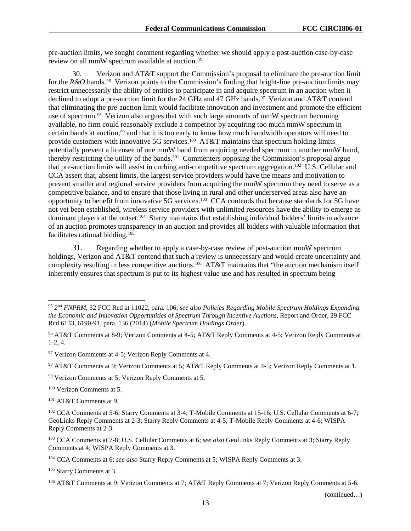pre-auction limits, we sought comment regarding whether we should apply a post-auction case-by-case review on all mmW spectrum available at auction.<sup>[95](#page-13-0)</sup>

30. Verizon and AT&T support the Commission's proposal to eliminate the pre-auction limit for the *R&O* bands*.* [96](#page-13-1) Verizon points to the Commission's finding that bright-line pre-auction limits may restrict unnecessarily the ability of entities to participate in and acquire spectrum in an auction when it declined to adopt a pre-auction limit for the 24 GHz and 47 GHz bands.<sup>97</sup> Verizon and AT&T contend that eliminating the pre-auction limit would facilitate innovation and investment and promote the efficient use of spectrum.<sup>[98](#page-13-3)</sup> Verizon also argues that with such large amounts of mmW spectrum becoming available, no firm could reasonably exclude a competitor by acquiring too much mmW spectrum in certain bands at auction,<sup>99</sup> and that it is too early to know how much bandwidth operators will need to provide customers with innovative 5G services.<sup>100</sup> AT&T maintains that spectrum holding limits potentially prevent a licensee of one mmW band from acquiring needed spectrum in another mmW band, thereby restricting the utility of the bands.[101](#page-13-6) Commenters opposing the Commission's proposal argue that pre-auction limits will assist in curbing anti-competitive spectrum aggregation.[102](#page-13-7) U.S. Cellular and CCA assert that, absent limits, the largest service providers would have the means and motivation to prevent smaller and regional service providers from acquiring the mmW spectrum they need to serve as a competitive balance, and to ensure that those living in rural and other underserved areas also have an opportunity to benefit from innovative 5G services.[103](#page-13-8) CCA contends that because standards for 5G have not yet been established, wireless service providers with unlimited resources have the ability to emerge as dominant players at the outset.[104](#page-13-9) Starry maintains that establishing individual bidders' limits in advance of an auction promotes transparency in an auction and provides all bidders with valuable information that facilitates rational bidding.[105](#page-13-10)

31. Regarding whether to apply a case-by-case review of post-auction mmW spectrum holdings, Verizon and AT&T contend that such a review is unnecessary and would create uncertainty and complexity resulting in less competitive auctions.[106](#page-13-11) AT&T maintains that "the auction mechanism itself inherently ensures that spectrum is put to its highest value use and has resulted in spectrum being

<span id="page-13-2"></span><sup>97</sup> Verizon Comments at 4-5; Verizon Reply Comments at 4.

<span id="page-13-3"></span><sup>98</sup> AT&T Comments at 9; Verizon Comments at 5; AT&T Reply Comments at 4-5; Verizon Reply Comments at 1.

<span id="page-13-4"></span><sup>99</sup> Verizon Comments at 5; Verizon Reply Comments at 5.

<span id="page-13-5"></span><sup>100</sup> Verizon Comments at 5.

<span id="page-13-6"></span><sup>101</sup> AT&T Comments at 9.

<span id="page-13-8"></span><sup>103</sup> CCA Comments at 7-8; U.S. Cellular Comments at 6; *see also* GeoLinks Reply Comments at 3; Starry Reply Comments at 4; WISPA Reply Comments at 3.

<span id="page-13-10"></span><sup>105</sup> Starry Comments at 3.

(continued…)

<span id="page-13-0"></span> <sup>95</sup> *2nd FNPRM*, 32 FCC Rcd at 11022, para. 106; *see also Policies Regarding Mobile Spectrum Holdings Expanding the Economic and Innovation Opportunities of Spectrum Through Incentive Auctions*, Report and Order, 29 FCC Rcd 6133, 6190-91, para. 136 (2014) (*Mobile Spectrum Holdings Order*).

<span id="page-13-1"></span><sup>96</sup> AT&T Comments at 8-9; Verizon Comments at 4-5; AT&T Reply Comments at 4-5; Verizon Reply Comments at 1-2, 4.

<span id="page-13-7"></span><sup>102</sup> CCA Comments at 5-6; Starry Comments at 3-4; T-Mobile Comments at 15-16; U.S. Cellular Comments at 6-7; GeoLinks Reply Comments at 2-3; Starry Reply Comments at 4-5; T-Mobile Reply Comments at 4-6; WISPA Reply Comments at 2-3.

<span id="page-13-9"></span><sup>104</sup> CCA Comments at 6; *see also* Starry Reply Comments at 5; WISPA Reply Comments at 3.

<span id="page-13-11"></span><sup>106</sup> AT&T Comments at 9; Verizon Comments at 7; AT&T Reply Comments at 7; Verizon Reply Comments at 5-6.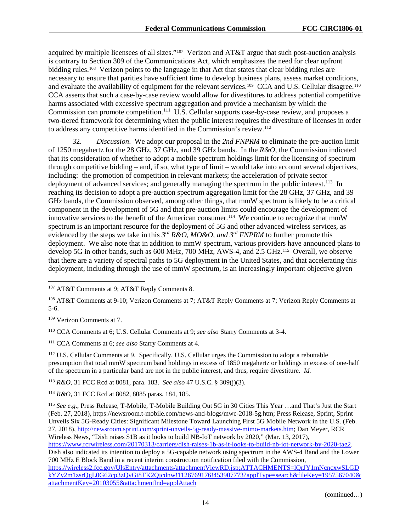acquired by multiple licensees of all sizes.["107](#page-14-0) Verizon and AT&T argue that such post-auction analysis is contrary to Section 309 of the Communications Act, which emphasizes the need for clear upfront bidding rules.<sup>108</sup> Verizon points to the language in that Act that states that clear bidding rules are necessary to ensure that parities have sufficient time to develop business plans, assess market conditions, and evaluate the availability of equipment for the relevant services.<sup>109</sup> CCA and U.S. Cellular disagree.<sup>110</sup> CCA asserts that such a case-by-case review would allow for divestitures to address potential competitive harms associated with excessive spectrum aggregation and provide a mechanism by which the Commission can promote competition.<sup>[111](#page-14-4)</sup> U.S. Cellular supports case-by-case review, and proposes a two-tiered framework for determining when the public interest requires the divestiture of licenses in order to address any competitive harms identified in the Commission's review.[112](#page-14-5)

32. *Discussion*. We adopt our proposal in the *2nd FNPRM* to eliminate the pre-auction limit of 1250 megahertz for the 28 GHz, 37 GHz, and 39 GHz bands. In the *R&O*, the Commission indicated that its consideration of whether to adopt a mobile spectrum holdings limit for the licensing of spectrum through competitive bidding – and, if so, what type of limit – would take into account several objectives, including: the promotion of competition in relevant markets; the acceleration of private sector deployment of advanced services; and generally managing the spectrum in the public interest.<sup>113</sup> In reaching its decision to adopt a pre-auction spectrum aggregation limit for the 28 GHz, 37 GHz, and 39 GHz bands, the Commission observed, among other things, that mmW spectrum is likely to be a critical component in the development of 5G and that pre-auction limits could encourage the development of innovative services to the benefit of the American consumer.[114](#page-14-7) We continue to recognize that mmW spectrum is an important resource for the deployment of 5G and other advanced wireless services, as evidenced by the steps we take in this  $3^{rd} R\&O, MO\&O, and 3^{rd} FNPRM$  to further promote this deployment. We also note that in addition to mmW spectrum, various providers have announced plans to develop 5G in other bands, such as 600 MHz, 700 MHz, AWS-4, and 2.5 GHz.<sup>[115](#page-14-8)</sup> Overall, we observe that there are a variety of spectral paths to 5G deployment in the United States, and that accelerating this deployment, including through the use of mmW spectrum, is an increasingly important objective given

<span id="page-14-2"></span><sup>109</sup> Verizon Comments at 7.

<span id="page-14-3"></span><sup>110</sup> CCA Comments at 6; U.S. Cellular Comments at 9; *see also* Starry Comments at 3-4.

<span id="page-14-4"></span><sup>111</sup> CCA Comments at 6; *see also* Starry Comments at 4.

<span id="page-14-5"></span><sup>112</sup> U.S. Cellular Comments at 9. Specifically, U.S. Cellular urges the Commission to adopt a rebuttable presumption that total mmW spectrum band holdings in excess of 1850 megahertz or holdings in excess of one-half of the spectrum in a particular band are not in the public interest, and thus, require divestiture. *Id.*

<span id="page-14-6"></span><sup>113</sup> *R&O*, 31 FCC Rcd at 8081, para. 183. *See also* 47 U.S.C. § 309(j)(3).

<span id="page-14-7"></span><sup>114</sup> *R&O*, 31 FCC Rcd at 8082, 8085 paras. 184, 185.

<span id="page-14-8"></span><sup>115</sup> *See e.g*., Press Release, T-Mobile, T-Mobile Building Out 5G in 30 Cities This Year …and That's Just the Start (Feb. 27, 2018), https://newsroom.t-mobile.com/news-and-blogs/mwc-2018-5g.htm; Press Release, Sprint, Sprint Unveils Six 5G-Ready Cities: Significant Milestone Toward Launching First 5G Mobile Network in the U.S. (Feb. 27, 2018), [http://newsroom.sprint.com/sprint-unveils-5g-ready-massive-mimo-markets.htm;](http://newsroom.sprint.com/sprint-unveils-5g-ready-massive-mimo-markets.htm) Dan Meyer, RCR Wireless News, "Dish raises \$1B as it looks to build NB-IoT network by 2020," (Mar. 13, 2017), [https://www.rcrwireless.com/20170313/carriers/dish-raises-1b-as-it-looks-to-build-nb-iot-network-by-2020-tag2.](https://www.rcrwireless.com/20170313/carriers/dish-raises-1b-as-it-looks-to-build-nb-iot-network-by-2020-tag2) Dish also indicated its intention to deploy a 5G-capable network using spectrum in the AWS-4 Band and the Lower 700 MHz E Block Band in a recent interim construction notification filed with the Commission, [https://wireless2.fcc.gov/UlsEntry/attachments/attachmentViewRD.jsp;ATTACHMENTS=lQrJY1mNcncxwSLGD](https://wireless2.fcc.gov/UlsEntry/attachments/attachmentViewRD.jsp;ATTACHMENTS=lQrJY1mNcncxwSLGDkYZy2m1zsrQgL0G62cp3zQyGt8TK2Qjcdnw!1126769176!453907773?applType=search&fileKey=1957567040&attachmentKey=20103055&attachmentInd=applAttach) [kYZy2m1zsrQgL0G62cp3zQyGt8TK2Qjcdnw!1126769176!453907773?applType=search&fileKey=1957567040&](https://wireless2.fcc.gov/UlsEntry/attachments/attachmentViewRD.jsp;ATTACHMENTS=lQrJY1mNcncxwSLGDkYZy2m1zsrQgL0G62cp3zQyGt8TK2Qjcdnw!1126769176!453907773?applType=search&fileKey=1957567040&attachmentKey=20103055&attachmentInd=applAttach) [attachmentKey=20103055&attachmentInd=applAttach](https://wireless2.fcc.gov/UlsEntry/attachments/attachmentViewRD.jsp;ATTACHMENTS=lQrJY1mNcncxwSLGDkYZy2m1zsrQgL0G62cp3zQyGt8TK2Qjcdnw!1126769176!453907773?applType=search&fileKey=1957567040&attachmentKey=20103055&attachmentInd=applAttach)

(continued…)

<span id="page-14-0"></span> <sup>107</sup> AT&T Comments at 9; AT&T Reply Comments 8.

<span id="page-14-1"></span><sup>108</sup> AT&T Comments at 9-10; Verizon Comments at 7; AT&T Reply Comments at 7; Verizon Reply Comments at 5-6.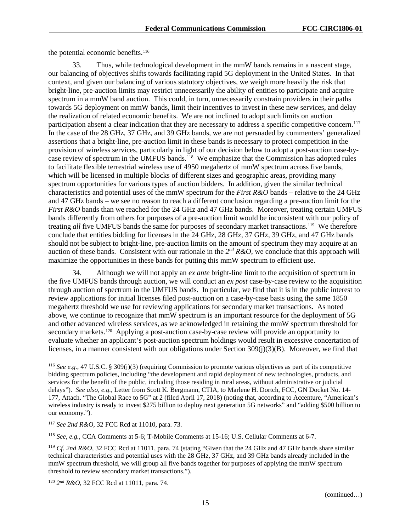the potential economic benefits.<sup>[116](#page-15-0)</sup>

33. Thus, while technological development in the mmW bands remains in a nascent stage, our balancing of objectives shifts towards facilitating rapid 5G deployment in the United States. In that context, and given our balancing of various statutory objectives, we weigh more heavily the risk that bright-line, pre-auction limits may restrict unnecessarily the ability of entities to participate and acquire spectrum in a mmW band auction. This could, in turn, unnecessarily constrain providers in their paths towards 5G deployment on mmW bands, limit their incentives to invest in these new services, and delay the realization of related economic benefits. We are not inclined to adopt such limits on auction participation absent a clear indication that they are necessary to address a specific competitive concern.<sup>[117](#page-15-1)</sup> In the case of the 28 GHz, 37 GHz, and 39 GHz bands, we are not persuaded by commenters' generalized assertions that a bright-line, pre-auction limit in these bands is necessary to protect competition in the provision of wireless services, particularly in light of our decision below to adopt a post-auction case-bycase review of spectrum in the UMFUS bands.<sup>118</sup> We emphasize that the Commission has adopted rules to facilitate flexible terrestrial wireless use of 4950 megahertz of mmW spectrum across five bands, which will be licensed in multiple blocks of different sizes and geographic areas, providing many spectrum opportunities for various types of auction bidders. In addition, given the similar technical characteristics and potential uses of the mmW spectrum for the *First R&O* bands – relative to the 24 GHz and 47 GHz bands – we see no reason to reach a different conclusion regarding a pre-auction limit for the *First R&O* bands than we reached for the 24 GHz and 47 GHz bands. Moreover, treating certain UMFUS bands differently from others for purposes of a pre-auction limit would be inconsistent with our policy of treating *all* five UMFUS bands the same for purposes of secondary market transactions.[119](#page-15-3) We therefore conclude that entities bidding for licenses in the 24 GHz, 28 GHz, 37 GHz, 39 GHz, and 47 GHz bands should not be subject to bright-line, pre-auction limits on the amount of spectrum they may acquire at an auction of these bands. Consistent with our rationale in the  $2^{nd} R\&O$ , we conclude that this approach will maximize the opportunities in these bands for putting this mmW spectrum to efficient use.

34. Although we will not apply an *ex ante* bright-line limit to the acquisition of spectrum in the five UMFUS bands through auction, we will conduct an *ex post* case-by-case review to the acquisition through auction of spectrum in the UMFUS bands. In particular, we find that it is in the public interest to review applications for initial licenses filed post-auction on a case-by-case basis using the same 1850 megahertz threshold we use for reviewing applications for secondary market transactions. As noted above, we continue to recognize that mmW spectrum is an important resource for the deployment of 5G and other advanced wireless services, as we acknowledged in retaining the mmW spectrum threshold for secondary markets.<sup>[120](#page-15-4)</sup> Applying a post-auction case-by-case review will provide an opportunity to evaluate whether an applicant's post-auction spectrum holdings would result in excessive concertation of licenses, in a manner consistent with our obligations under Section 309(j)(3)(B). Moreover, we find that

<span id="page-15-2"></span><sup>118</sup> *See, e.g.*, CCA Comments at 5-6; T-Mobile Comments at 15-16; U.S. Cellular Comments at 6-7.

<span id="page-15-0"></span> <sup>116</sup> *See e.g.*, 47 U.S.C. § 309(j)(3) (requiring Commission to promote various objectives as part of its competitive bidding spectrum policies, including "the development and rapid deployment of new technologies, products, and services for the benefit of the public, including those residing in rural areas, without administrative or judicial delays"). *See also*, *e.g.*, Letter from Scott K. Bergmann, CTIA, to Marlene H. Dortch, FCC, GN Docket No. 14- 177, Attach. "The Global Race to 5G" at 2 (filed April 17, 2018) (noting that, according to Accenture, "American's wireless industry is ready to invest \$275 billion to deploy next generation 5G networks" and "adding \$500 billion to our economy.").

<span id="page-15-1"></span><sup>117</sup> *See 2nd R&O*, 32 FCC Rcd at 11010, para. 73.

<span id="page-15-3"></span><sup>119</sup> *Cf. 2nd R&O*, 32 FCC Rcd at 11011, para. 74 (stating "Given that the 24 GHz and 47 GHz bands share similar technical characteristics and potential uses with the 28 GHz, 37 GHz, and 39 GHz bands already included in the mmW spectrum threshold, we will group all five bands together for purposes of applying the mmW spectrum threshold to review secondary market transactions.").

<span id="page-15-4"></span><sup>120</sup> *2nd R&O*, 32 FCC Rcd at 11011, para. 74.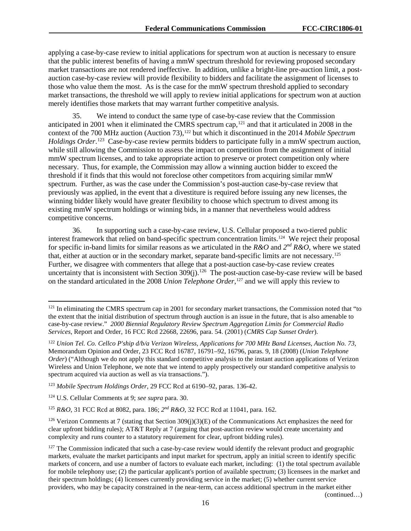applying a case-by-case review to initial applications for spectrum won at auction is necessary to ensure that the public interest benefits of having a mmW spectrum threshold for reviewing proposed secondary market transactions are not rendered ineffective. In addition, unlike a bright-line pre-auction limit, a postauction case-by-case review will provide flexibility to bidders and facilitate the assignment of licenses to those who value them the most. As is the case for the mmW spectrum threshold applied to secondary market transactions, the threshold we will apply to review initial applications for spectrum won at auction merely identifies those markets that may warrant further competitive analysis.

35. We intend to conduct the same type of case-by-case review that the Commission anticipated in 2001 when it eliminated the CMRS spectrum cap,<sup>[121](#page-16-0)</sup> and that it articulated in 2008 in the context of the 700 MHz auction (Auction 73),<sup>[122](#page-16-1)</sup> but which it discontinued in the 2014 *Mobile Spectrum Holdings Order*. [123](#page-16-2) Case-by-case review permits bidders to participate fully in a mmW spectrum auction, while still allowing the Commission to assess the impact on competition from the assignment of initial mmW spectrum licenses, and to take appropriate action to preserve or protect competition only where necessary. Thus, for example, the Commission may allow a winning auction bidder to exceed the threshold if it finds that this would not foreclose other competitors from acquiring similar mmW spectrum. Further, as was the case under the Commission's post-auction case-by-case review that previously was applied, in the event that a divestiture is required before issuing any new licenses, the winning bidder likely would have greater flexibility to choose which spectrum to divest among its existing mmW spectrum holdings or winning bids, in a manner that nevertheless would address competitive concerns.

36. In supporting such a case-by-case review, U.S. Cellular proposed a two-tiered public interest framework that relied on band-specific spectrum concentration limits.[124](#page-16-3) We reject their proposal for specific in-band limits for similar reasons as we articulated in the *R&O* and *2nd R&O*, where we stated that, either at auction or in the secondary market, separate band-specific limits are not necessary.[125](#page-16-4)  Further, we disagree with commenters that allege that a post-auction case-by-case review creates uncertainty that is inconsistent with Section  $309(j)$ .<sup>126</sup> The post-auction case-by-case review will be based on the standard articulated in the 2008 *Union Telephone Order*, [127](#page-16-6) and we will apply this review to

<span id="page-16-0"></span><sup>&</sup>lt;sup>121</sup> In eliminating the CMRS spectrum cap in 2001 for secondary market transactions, the Commission noted that "to the extent that the initial distribution of spectrum through auction is an issue in the future, that is also amenable to case-by-case review." *2000 Biennial Regulatory Review Spectrum Aggregation Limits for Commercial Radio Services*, Report and Order, 16 FCC Rcd 22668, 22696, para. 54. (2001) (*CMRS Cap Sunset Order*).

<span id="page-16-1"></span><sup>122</sup> *Union Tel. Co. Cellco P'ship d/b/a Verizon Wireless, Applications for 700 MHz Band Licenses, Auction No. 73,* Memorandum Opinion and Order, 23 FCC Rcd 16787, 16791–92, 16796, paras. 9, 18 (2008) (*Union Telephone Order*) ("Although we do not apply this standard competitive analysis to the instant auction applications of Verizon Wireless and Union Telephone, we note that we intend to apply prospectively our standard competitive analysis to spectrum acquired via auction as well as via transactions.").

<span id="page-16-2"></span><sup>123</sup> *Mobile Spectrum Holdings Order*, 29 FCC Rcd at 6190–92, paras. 136-42.

<span id="page-16-3"></span><sup>124</sup> U.S. Cellular Comments at 9; *see supra* para. 30.

<span id="page-16-4"></span><sup>125</sup> *R&O*, 31 FCC Rcd at 8082, para. 186; *2nd R&O*, 32 FCC Rcd at 11041, para. 162.

<span id="page-16-5"></span><sup>&</sup>lt;sup>126</sup> Verizon Comments at 7 (stating that Section 309(j)(3)(E) of the Communications Act emphasizes the need for clear upfront bidding rules); AT&T Reply at 7 (arguing that post-auction review would create uncertainty and complexity and runs counter to a statutory requirement for clear, upfront bidding rules).

<span id="page-16-6"></span> $127$  The Commission indicated that such a case-by-case review would identify the relevant product and geographic markets, evaluate the market participants and input market for spectrum, apply an initial screen to identify specific markets of concern, and use a number of factors to evaluate each market, including: (1) the total spectrum available for mobile telephony use; (2) the particular applicant's portion of available spectrum; (3) licensees in the market and their spectrum holdings; (4) licensees currently providing service in the market; (5) whether current service providers, who may be capacity constrained in the near-term, can access additional spectrum in the market either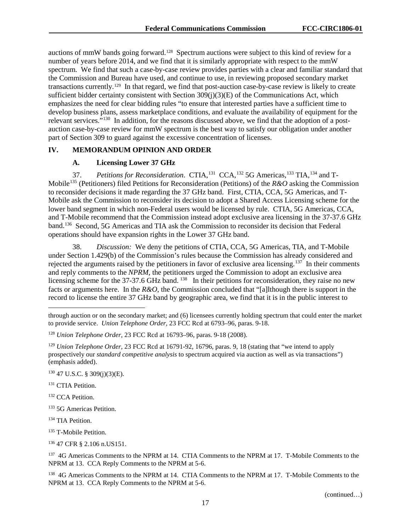auctions of mmW bands going forward.[128](#page-17-1) Spectrum auctions were subject to this kind of review for a number of years before 2014, and we find that it is similarly appropriate with respect to the mmW spectrum. We find that such a case-by-case review provides parties with a clear and familiar standard that the Commission and Bureau have used, and continue to use, in reviewing proposed secondary market transactions currently.[129](#page-17-2) In that regard, we find that post-auction case-by-case review is likely to create sufficient bidder certainty consistent with Section  $309(i)(3)(E)$  of the Communications Act, which emphasizes the need for clear bidding rules "to ensure that interested parties have a sufficient time to develop business plans, assess marketplace conditions, and evaluate the availability of equipment for the relevant services."<sup>[130](#page-17-3)</sup> In addition, for the reasons discussed above, we find that the adoption of a postauction case-by-case review for mmW spectrum is the best way to satisfy our obligation under another part of Section 309 to guard against the excessive concentration of licenses.

#### <span id="page-17-0"></span>**IV. MEMORANDUM OPINION AND ORDER**

#### **A. Licensing Lower 37 GHz**

37. *Petitions for Reconsideration*. CTIA,[131](#page-17-4) CCA,[132](#page-17-5) 5G Americas,[133](#page-17-6) TIA,[134](#page-17-7) and T-Mobile[135](#page-17-8) (Petitioners) filed Petitions for Reconsideration (Petitions) of the *R&O* asking the Commission to reconsider decisions it made regarding the 37 GHz band. First, CTIA, CCA, 5G Americas, and T-Mobile ask the Commission to reconsider its decision to adopt a Shared Access Licensing scheme for the lower band segment in which non-Federal users would be licensed by rule. CTIA, 5G Americas, CCA, and T-Mobile recommend that the Commission instead adopt exclusive area licensing in the 37-37.6 GHz band.[136](#page-17-9) Second, 5G Americas and TIA ask the Commission to reconsider its decision that Federal operations should have expansion rights in the Lower 37 GHz band.

38. *Discussion:* We deny the petitions of CTIA, CCA, 5G Americas, TIA, and T-Mobile under Section 1.429(b) of the Commission's rules because the Commission has already considered and rejected the arguments raised by the petitioners in favor of exclusive area licensing.<sup>[137](#page-17-10)</sup> In their comments and reply comments to the *NPRM*, the petitioners urged the Commission to adopt an exclusive area licensing scheme for the 37-37.6 GHz band. <sup>[138](#page-17-11)</sup> In their petitions for reconsideration, they raise no new facts or arguments here. In the *R&O*, the Commission concluded that "[a]lthough there is support in the record to license the entire 37 GHz band by geographic area, we find that it is in the public interest to

<span id="page-17-3"></span> $130$  47 U.S.C. § 309(j)(3)(E).

<span id="page-17-4"></span><sup>131</sup> CTIA Petition.

 $\overline{a}$ 

<span id="page-17-5"></span><sup>132</sup> CCA Petition.

<span id="page-17-6"></span><sup>133</sup> 5G Americas Petition.

<span id="page-17-7"></span><sup>134</sup> TIA Petition.

<span id="page-17-8"></span><sup>135</sup> T-Mobile Petition.

<span id="page-17-9"></span><sup>136</sup> 47 CFR § 2.106 n.US151.

<span id="page-17-10"></span><sup>137</sup> 4G Americas Comments to the NPRM at 14. CTIA Comments to the NPRM at 17. T-Mobile Comments to the NPRM at 13. CCA Reply Comments to the NPRM at 5-6.

<span id="page-17-11"></span><sup>138</sup> 4G Americas Comments to the NPRM at 14. CTIA Comments to the NPRM at 17. T-Mobile Comments to the NPRM at 13. CCA Reply Comments to the NPRM at 5-6.

(continued…)

through auction or on the secondary market; and (6) licensees currently holding spectrum that could enter the market to provide service. *Union Telephone Order,* 23 FCC Rcd at 6793–96, paras. 9-18.

<span id="page-17-1"></span><sup>128</sup> *Union Telephone Order,* 23 FCC Rcd at 16793–96, paras. 9-18 (2008).

<span id="page-17-2"></span><sup>129</sup> *Union Telephone Order,* 23 FCC Rcd at 16791-92, 16796, paras. 9, 18 (stating that "we intend to apply prospectively our *standard competitive analysis* to spectrum acquired via auction as well as via transactions") (emphasis added).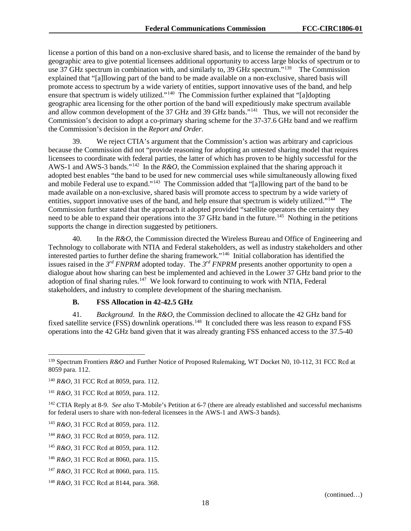license a portion of this band on a non-exclusive shared basis, and to license the remainder of the band by geographic area to give potential licensees additional opportunity to access large blocks of spectrum or to use 37 GHz spectrum in combination with, and similarly to, 39 GHz spectrum."<sup>139</sup> The Commission explained that "[a]llowing part of the band to be made available on a non-exclusive, shared basis will promote access to spectrum by a wide variety of entities, support innovative uses of the band, and help ensure that spectrum is widely utilized."[140](#page-18-1) The Commission further explained that "[a]dopting geographic area licensing for the other portion of the band will expeditiously make spectrum available and allow common development of the 37 GHz and 39 GHz bands."<sup>[141](#page-18-2)</sup> Thus, we will not reconsider the Commission's decision to adopt a co-primary sharing scheme for the 37-37.6 GHz band and we reaffirm the Commission's decision in the *Report and Order*.

39. We reject CTIA's argument that the Commission's action was arbitrary and capricious because the Commission did not "provide reasoning for adopting an untested sharing model that requires licensees to coordinate with federal parties, the latter of which has proven to be highly successful for the AWS-1 and AWS-3 bands."[142](#page-18-3) In the *R&O*, the Commission explained that the sharing approach it adopted best enables "the band to be used for new commercial uses while simultaneously allowing fixed and mobile Federal use to expand."[143](#page-18-4) The Commission added that "[a]llowing part of the band to be made available on a non-exclusive, shared basis will promote access to spectrum by a wide variety of entities, support innovative uses of the band, and help ensure that spectrum is widely utilized."<sup>[144](#page-18-5)</sup> The Commission further stated that the approach it adopted provided "satellite operators the certainty they need to be able to expand their operations into the 37 GHz band in the future.<sup>[145](#page-18-6)</sup> Nothing in the petitions supports the change in direction suggested by petitioners.

40. In the *R&O*, the Commission directed the Wireless Bureau and Office of Engineering and Technology to collaborate with NTIA and Federal stakeholders, as well as industry stakeholders and other interested parties to further define the sharing framework."[146](#page-18-7) Initial collaboration has identified the issues raised in the  $3^{rd}$  *FNPRM* adopted today. The  $3^{rd}$  *FNPRM* presents another opportunity to open a dialogue about how sharing can best be implemented and achieved in the Lower 37 GHz band prior to the adoption of final sharing rules.<sup>[147](#page-18-8)</sup> We look forward to continuing to work with NTIA, Federal stakeholders, and industry to complete development of the sharing mechanism.

#### **B. FSS Allocation in 42-42.5 GHz**

<span id="page-18-10"></span>41. *Background.* In the *R&O*, the Commission declined to allocate the 42 GHz band for fixed satellite service (FSS) downlink operations.<sup>[148](#page-18-9)</sup> It concluded there was less reason to expand FSS operations into the 42 GHz band given that it was already granting FSS enhanced access to the 37.5-40

<span id="page-18-0"></span><sup>&</sup>lt;sup>139</sup> Spectrum Frontiers *R&O* and Further Notice of Proposed Rulemaking, WT Docket N0, 10-112, 31 FCC Rcd at 8059 para. 112.

<span id="page-18-1"></span><sup>140</sup> *R&O*, 31 FCC Rcd at 8059, para. 112.

<span id="page-18-2"></span><sup>141</sup> *R&O*, 31 FCC Rcd at 8059, para. 112.

<span id="page-18-3"></span><sup>142</sup> CTIA Reply at 8-9. *See also* T-Mobile's Petition at 6-7 (there are already established and successful mechanisms for federal users to share with non-federal licensees in the AWS-1 and AWS-3 bands).

<span id="page-18-4"></span><sup>143</sup> *R&O*, 31 FCC Rcd at 8059, para. 112.

<span id="page-18-5"></span><sup>144</sup> *R&O*, 31 FCC Rcd at 8059, para. 112.

<span id="page-18-6"></span><sup>145</sup> *R&O*, 31 FCC Rcd at 8059, para. 112.

<span id="page-18-7"></span><sup>146</sup> *R&O*, 31 FCC Rcd at 8060, para. 115.

<span id="page-18-8"></span><sup>147</sup> *R&O*, 31 FCC Rcd at 8060, para. 115.

<span id="page-18-9"></span><sup>148</sup> *R&O*, 31 FCC Rcd at 8144, para. 368.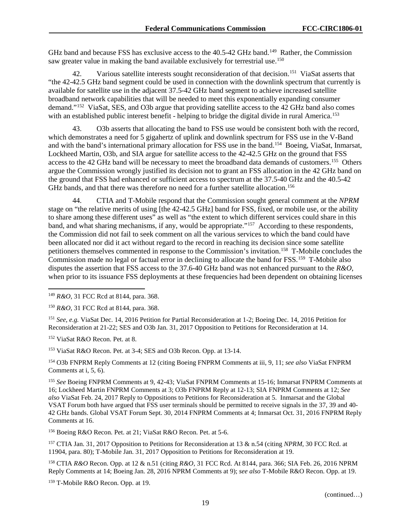GHz band and because FSS has exclusive access to the 40.5-42 GHz band.<sup>[149](#page-19-0)</sup> Rather, the Commission saw greater value in making the band available exclusively for terrestrial use.<sup>[150](#page-19-1)</sup>

42. Various satellite interests sought reconsideration of that decision.<sup>[151](#page-19-2)</sup> ViaSat asserts that "the 42-42.5 GHz band segment could be used in connection with the downlink spectrum that currently is available for satellite use in the adjacent 37.5-42 GHz band segment to achieve increased satellite broadband network capabilities that will be needed to meet this exponentially expanding consumer demand."[152](#page-19-3) ViaSat, SES, and O3b argue that providing satellite access to the 42 GHz band also comes with an established public interest benefit - helping to bridge the digital divide in rural America.<sup>153</sup>

43. O3b asserts that allocating the band to FSS use would be consistent both with the record, which demonstrates a need for 5 gigahertz of uplink and downlink spectrum for FSS use in the V-Band and with the band's international primary allocation for FSS use in the band[.154](#page-19-5) Boeing, ViaSat, Inmarsat, Lockheed Martin, O3b, and SIA argue for satellite access to the 42-42.5 GHz on the ground that FSS access to the 42 GHz band will be necessary to meet the broadband data demands of customers.<sup>[155](#page-19-6)</sup> Others argue the Commission wrongly justified its decision not to grant an FSS allocation in the 42 GHz band on the ground that FSS had enhanced or sufficient access to spectrum at the 37.5-40 GHz and the 40.5-42 GHz bands, and that there was therefore no need for a further satellite allocation.<sup>156</sup>

44. CTIA and T-Mobile respond that the Commission sought general comment at the *NPRM* stage on "the relative merits of using [the 42-42.5 GHz] band for FSS, fixed, or mobile use, or the ability to share among these different uses" as well as "the extent to which different services could share in this band, and what sharing mechanisms, if any, would be appropriate."[157](#page-19-8) According to these respondents, the Commission did not fail to seek comment on all the various services to which the band could have been allocated nor did it act without regard to the record in reaching its decision since some satellite petitioners themselves commented in response to the Commission's invitation.[158](#page-19-9) T-Mobile concludes the Commission made no legal or factual error in declining to allocate the band for FSS.<sup>159</sup> T-Mobile also disputes the assertion that FSS access to the 37.6-40 GHz band was not enhanced pursuant to the *R&O*, when prior to its issuance FSS deployments at these frequencies had been dependent on obtaining licenses

<span id="page-19-2"></span><sup>151</sup> *See, e.g.* ViaSat Dec. 14, 2016 Petition for Partial Reconsideration at 1-2; Boeing Dec. 14, 2016 Petition for Reconsideration at 21-22; SES and O3b Jan. 31, 2017 Opposition to Petitions for Reconsideration at 14.

<span id="page-19-3"></span><sup>152</sup> ViaSat R&O Recon. Pet. at 8.

<span id="page-19-4"></span><sup>153</sup> ViaSat R&O Recon. Pet. at 3-4; SES and O3b Recon. Opp. at 13-14.

<span id="page-19-5"></span><sup>154</sup> O3b FNPRM Reply Comments at 12 (citing Boeing FNPRM Comments at iii, 9, 11; *see also* ViaSat FNPRM Comments at i, 5, 6).

<span id="page-19-6"></span><sup>155</sup> *See* Boeing FNPRM Comments at 9, 42-43; ViaSat FNPRM Comments at 15-16; Inmarsat FNPRM Comments at 16; Lockheed Martin FNPRM Comments at 3; O3b FNPRM Reply at 12-13; SIA FNPRM Comments at 12; *See also* ViaSat Feb. 24, 2017 Reply to Oppositions to Petitions for Reconsideration at 5. Inmarsat and the Global VSAT Forum both have argued that FSS user terminals should be permitted to receive signals in the 37, 39 and 40- 42 GHz bands. Global VSAT Forum Sept. 30, 2014 FNPRM Comments at 4; Inmarsat Oct. 31, 2016 FNPRM Reply Comments at 16.

<span id="page-19-7"></span><sup>156</sup> Boeing R&O Recon. Pet. at 21; ViaSat R&O Recon. Pet. at 5-6.

<span id="page-19-8"></span><sup>157</sup> CTIA Jan. 31, 2017 Opposition to Petitions for Reconsideration at 13 & n.54 (citing *NPRM*, 30 FCC Rcd. at 11904, para. 80); T-Mobile Jan. 31, 2017 Opposition to Petitions for Reconsideration at 19.

<span id="page-19-9"></span><sup>158</sup> CTIA *R&O* Recon. Opp. at 12 & n.51 (citing *R&O*, 31 FCC Rcd. At 8144, para. 366; SIA Feb. 26, 2016 NPRM Reply Comments at 14; Boeing Jan. 28, 2016 NPRM Comments at 9); *see also* T-Mobile R&O Recon. Opp. at 19.

<span id="page-19-10"></span><sup>159</sup> T-Mobile R&O Recon. Opp. at 19.

<span id="page-19-0"></span> <sup>149</sup> *R&O*, 31 FCC Rcd at 8144, para. 368.

<span id="page-19-1"></span><sup>150</sup> *R&O*, 31 FCC Rcd at 8144, para. 368.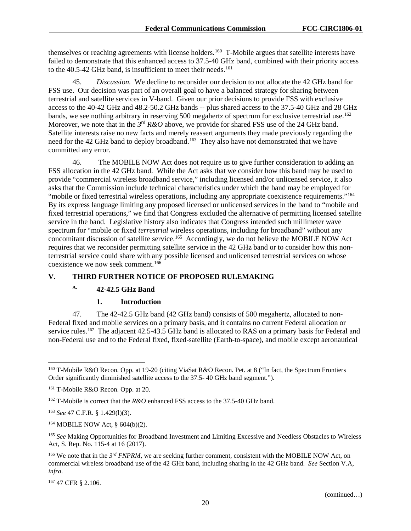themselves or reaching agreements with license holders.<sup>160</sup> T-Mobile argues that satellite interests have failed to demonstrate that this enhanced access to 37.5-40 GHz band, combined with their priority access to the 40.5-42 GHz band, is insufficient to meet their needs.<sup>161</sup>

45. *Discussion.* We decline to reconsider our decision to not allocate the 42 GHz band for FSS use. Our decision was part of an overall goal to have a balanced strategy for sharing between terrestrial and satellite services in V-band. Given our prior decisions to provide FSS with exclusive access to the 40-42 GHz and 48.2-50.2 GHz bands -- plus shared access to the 37.5-40 GHz and 28 GHz bands, we see nothing arbitrary in reserving 500 megahertz of spectrum for exclusive terrestrial use.<sup>162</sup> Moreover, we note that in the  $3^{rd}$  *R&O* above, we provide for shared FSS use of the 24 GHz band. Satellite interests raise no new facts and merely reassert arguments they made previously regarding the need for the 42 GHz band to deploy broadband.<sup>163</sup> They also have not demonstrated that we have committed any error.

46. The MOBILE NOW Act does not require us to give further consideration to adding an FSS allocation in the 42 GHz band. While the Act asks that we consider how this band may be used to provide "commercial wireless broadband service," including licensed and/or unlicensed service, it also asks that the Commission include technical characteristics under which the band may be employed for "mobile or fixed terrestrial wireless operations, including any appropriate coexistence requirements."<sup>[164](#page-20-5)</sup> By its express language limiting any proposed licensed or unlicensed services in the band to "mobile and fixed terrestrial operations," we find that Congress excluded the alternative of permitting licensed satellite service in the band. Legislative history also indicates that Congress intended such millimeter wave spectrum for "mobile or fixed *terrestrial* wireless operations, including for broadband" without any concomitant discussion of satellite service.<sup>[165](#page-20-6)</sup> Accordingly, we do not believe the MOBILE NOW Act requires that we reconsider permitting satellite service in the 42 GHz band or to consider how this nonterrestrial service could share with any possible licensed and unlicensed terrestrial services on whose coexistence we now seek comment.<sup>[166](#page-20-7)</sup>

#### <span id="page-20-0"></span>**V. THIRD FURTHER NOTICE OF PROPOSED RULEMAKING**

# **A. 42-42.5 GHz Band**

#### **1. Introduction**

47. The 42-42.5 GHz band (42 GHz band) consists of 500 megahertz, allocated to non-Federal fixed and mobile services on a primary basis, and it contains no current Federal allocation or service rules.<sup>[167](#page-20-8)</sup> The adjacent 42.5-43.5 GHz band is allocated to RAS on a primary basis for Federal and non-Federal use and to the Federal fixed, fixed-satellite (Earth-to-space), and mobile except aeronautical

<span id="page-20-8"></span><sup>167</sup> 47 CFR § 2.106.

<span id="page-20-1"></span> <sup>160</sup> T-Mobile R&O Recon. Opp. at 19-20 (citing ViaSat R&O Recon. Pet. at 8 ("In fact, the Spectrum Frontiers Order significantly diminished satellite access to the 37.5- 40 GHz band segment.").

<span id="page-20-2"></span><sup>161</sup> T-Mobile R&O Recon. Opp. at 20.

<span id="page-20-3"></span><sup>162</sup> T-Mobile is correct that the *R&O* enhanced FSS access to the 37.5-40 GHz band.

<span id="page-20-4"></span><sup>163</sup> *See* 47 C.F.R. § 1.429(l)(3).

<span id="page-20-5"></span><sup>164</sup> MOBILE NOW Act, § 604(b)(2).

<span id="page-20-6"></span><sup>&</sup>lt;sup>165</sup> See Making Opportunities for Broadband Investment and Limiting Excessive and Needless Obstacles to Wireless Act, S. Rep. No. 115-4 at 16 (2017).

<span id="page-20-7"></span><sup>&</sup>lt;sup>166</sup> We note that in the 3<sup>rd</sup> *FNPRM*, we are seeking further comment, consistent with the MOBILE NOW Act, on commercial wireless broadband use of the 42 GHz band, including sharing in the 42 GHz band. *See* Section [V.A,](#page-20-0) *infra*.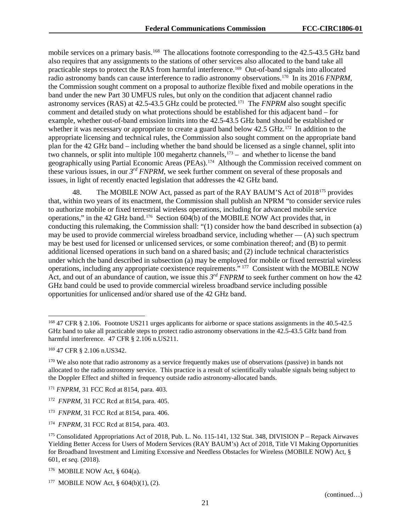mobile services on a primary basis.<sup>[168](#page-21-0)</sup> The allocations footnote corresponding to the 42.5-43.5 GHz band also requires that any assignments to the stations of other services also allocated to the band take all practicable steps to protect the RAS from harmful interference.[169](#page-21-1) Out-of-band signals into allocated radio astronomy bands can cause interference to radio astronomy observations.[170](#page-21-2)In its 2016 *FNPRM*, the Commission sought comment on a proposal to authorize flexible fixed and mobile operations in the band under the new Part 30 UMFUS rules, but only on the condition that adjacent channel radio astronomy services (RAS) at 42.5-43.5 GHz could be protected.[171](#page-21-3) The *FNPRM* also sought specific comment and detailed study on what protections should be established for this adjacent band – for example, whether out-of-band emission limits into the 42.5-43.5 GHz band should be established or whether it was necessary or appropriate to create a guard band below 42.5 GHz.<sup>[172](#page-21-4)</sup> In addition to the appropriate licensing and technical rules, the Commission also sought comment on the appropriate band plan for the 42 GHz band – including whether the band should be licensed as a single channel, split into two channels, or split into multiple 100 megahertz channels, [173](#page-21-5) – and whether to license the band geographically using Partial Economic Areas (PEAs).<sup>[174](#page-21-6)</sup> Although the Commission received comment on these various issues, in our *3rd FNPRM*, we seek further comment on several of these proposals and issues, in light of recently enacted legislation that addresses the 42 GHz band.

48. The MOBILE NOW Act, passed as part of the RAY BAUM'S Act of 2018<sup>[175](#page-21-7)</sup> provides that, within two years of its enactment, the Commission shall publish an NPRM "to consider service rules to authorize mobile or fixed terrestrial wireless operations, including for advanced mobile service operations," in the 42 GHz band.[176](#page-21-8) Section 604(b) of the MOBILE NOW Act provides that, in conducting this rulemaking, the Commission shall: "(1) consider how the band described in subsection (a) may be used to provide commercial wireless broadband service, including whether  $-$  (A) such spectrum may be best used for licensed or unlicensed services, or some combination thereof; and (B) to permit additional licensed operations in such band on a shared basis; and (2) include technical characteristics under which the band described in subsection (a) may be employed for mobile or fixed terrestrial wireless operations, including any appropriate coexistence requirements." [177](#page-21-9) Consistent with the MOBILE NOW Act, and out of an abundance of caution, we issue this 3<sup>rd</sup> *FNPRM* to seek further comment on how the 42 GHz band could be used to provide commercial wireless broadband service including possible opportunities for unlicensed and/or shared use of the 42 GHz band.

<span id="page-21-0"></span> <sup>168</sup> 47 CFR § 2.106. Footnote US211 urges applicants for airborne or space stations assignments in the 40.5-42.5 GHz band to take all practicable steps to protect radio astronomy observations in the 42.5-43.5 GHz band from harmful interference. 47 CFR § 2.106 n.US211.

<span id="page-21-1"></span><sup>169</sup> 47 CFR § 2.106 n.US342.

<span id="page-21-2"></span><sup>&</sup>lt;sup>170</sup> We also note that radio astronomy as a service frequently makes use of observations (passive) in bands not allocated to the radio astronomy service. This practice is a result of scientifically valuable signals being subject to the Doppler Effect and shifted in frequency outside radio astronomy-allocated bands.

<span id="page-21-3"></span><sup>171</sup> *FNPRM*, 31 FCC Rcd at 8154, para. 403.

<span id="page-21-4"></span><sup>172</sup> *FNPRM*, 31 FCC Rcd at 8154, para. 405.

<span id="page-21-5"></span><sup>173</sup> *FNPRM*, 31 FCC Rcd at 8154, para. 406.

<span id="page-21-6"></span><sup>174</sup> *FNPRM*, 31 FCC Rcd at 8154, para. 403.

<span id="page-21-7"></span><sup>175</sup> Consolidated Appropriations Act of 2018, Pub. L. No. 115-141, 132 Stat. 348, DIVISION P – Repack Airwaves Yielding Better Access for Users of Modern Services (RAY BAUM's) Act of 2018, Title VI Making Opportunities for Broadband Investment and Limiting Excessive and Needless Obstacles for Wireless (MOBILE NOW) Act, § 601, e*t seq.* (2018).

<span id="page-21-8"></span><sup>176</sup> MOBILE NOW Act, § 604(a).

<span id="page-21-9"></span><sup>&</sup>lt;sup>177</sup> MOBILE NOW Act, §  $604(b)(1)$ ,  $(2)$ .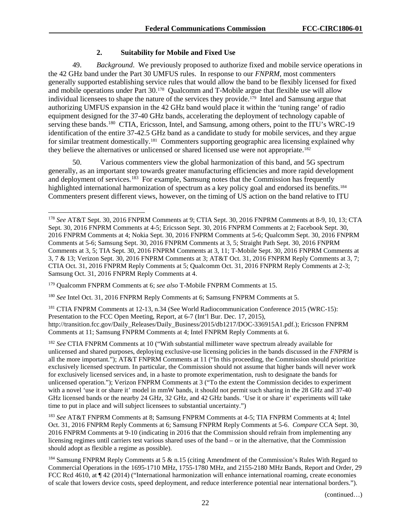### **2. Suitability for Mobile and Fixed Use**

49. *Background*. We previously proposed to authorize fixed and mobile service operations in the 42 GHz band under the Part 30 UMFUS rules. In response to our *FNPRM*, most commenters generally supported establishing service rules that would allow the band to be flexibly licensed for fixed and mobile operations under Part 30.<sup>178</sup> Qualcomm and T-Mobile argue that flexible use will allow individual licensees to shape the nature of the services they provide.<sup>179</sup> Intel and Samsung argue that authorizing UMFUS expansion in the 42 GHz band would place it within the 'tuning range' of radio equipment designed for the 37-40 GHz bands, accelerating the deployment of technology capable of serving these bands.<sup>180</sup> CTIA, Ericsson, Intel, and Samsung, among others, point to the ITU's WRC-19 identification of the entire 37-42.5 GHz band as a candidate to study for mobile services, and they argue for similar treatment domestically.<sup>[181](#page-22-3)</sup> Commenters supporting geographic area licensing explained why they believe the alternatives or unlicensed or shared licensed use were not appropriate[.182](#page-22-4)

50. Various commenters view the global harmonization of this band, and 5G spectrum generally, as an important step towards greater manufacturing efficiencies and more rapid development and deployment of services.<sup>[183](#page-22-5)</sup> For example, Samsung notes that the Commission has frequently highlighted international harmonization of spectrum as a key policy goal and endorsed its benefits.<sup>184</sup> Commenters present different views, however, on the timing of US action on the band relative to ITU

<span id="page-22-1"></span><sup>179</sup> Qualcomm FNPRM Comments at 6; *see also* T-Mobile FNPRM Comments at 15.

<span id="page-22-2"></span><sup>180</sup> *See* Intel Oct. 31, 2016 FNPRM Reply Comments at 6; Samsung FNPRM Comments at 5.

<span id="page-22-3"></span><sup>181</sup> CTIA FNPRM Comments at 12-13, n.34 (See World Radiocommunication Conference 2015 (WRC-15): Presentation to the FCC Open Meeting, Report, at 6-7 (Int'l Bur. Dec. 17, 2015), http://transition.fcc.gov/Daily\_Releases/Daily\_Business/2015/db1217/DOC-336915A1.pdf.); Ericsson FNPRM Comments at 11; Samsung FNPRM Comments at 4; Intel FNPRM Reply Comments at 6.

<span id="page-22-4"></span><sup>182</sup> *See* CTIA FNPRM Comments at 10 ("With substantial millimeter wave spectrum already available for unlicensed and shared purposes, deploying exclusive-use licensing policies in the bands discussed in the *FNPRM* is all the more important."); AT&T FNPRM Comments at 11 ("In this proceeding, the Commission should prioritize exclusively licensed spectrum. In particular, the Commission should not assume that higher bands will never work for exclusively licensed services and, in a haste to promote experimentation, rush to designate the bands for unlicensed operation."); Verizon FNPRM Comments at 3 ("To the extent the Commission decides to experiment with a novel 'use it or share it' model in mmW bands, it should not permit such sharing in the 28 GHz and 37-40 GHz licensed bands or the nearby 24 GHz, 32 GHz, and 42 GHz bands. 'Use it or share it' experiments will take time to put in place and will subject licensees to substantial uncertainty.")

<span id="page-22-5"></span><sup>183</sup> *See* AT&T FNPRM Comments at 8; Samsung FNPRM Comments at 4-5; TIA FNPRM Comments at 4; Intel Oct. 31, 2016 FNPRM Reply Comments at 6; Samsung FNPRM Reply Comments at 5-6. *Compare* CCA Sept. 30, 2016 FNPRM Comments at 9-10 (indicating in 2016 that the Commission should refrain from implementing any licensing regimes until carriers test various shared uses of the band – or in the alternative, that the Commission should adopt as flexible a regime as possible).

<span id="page-22-6"></span><sup>184</sup> Samsung FNPRM Reply Comments at 5  $\&$  n.15 (citing Amendment of the Commission's Rules With Regard to Commercial Operations in the 1695-1710 MHz, 1755-1780 MHz, and 2155-2180 MHz Bands, Report and Order, 29 FCC Rcd 4610, at  $\P$  42 (2014) ("International harmonization will enhance international roaming, create economies of scale that lowers device costs, speed deployment, and reduce interference potential near international borders.").

(continued…)

<span id="page-22-0"></span> <sup>178</sup> *See* AT&T Sept. 30, 2016 FNPRM Comments at 9; CTIA Sept. 30, 2016 FNPRM Comments at 8-9, 10, 13; CTA Sept. 30, 2016 FNPRM Comments at 4-5; Ericsson Sept. 30, 2016 FNPRM Comments at 2; Facebook Sept. 30, 2016 FNPRM Comments at 4; Nokia Sept. 30, 2016 FNPRM Comments at 5-6; Qualcomm Sept. 30, 2016 FNPRM Comments at 5-6; Samsung Sept. 30, 2016 FNPRM Comments at 3, 5; Straight Path Sept. 30, 2016 FNPRM Comments at 3, 5; TIA Sept. 30, 2016 FNPRM Comments at 3, 11; T-Mobile Sept. 30, 2016 FNPRM Comments at 3, 7 & 13; Verizon Sept. 30, 2016 FNPRM Comments at 3; AT&T Oct. 31, 2016 FNPRM Reply Comments at 3, 7; CTIA Oct. 31, 2016 FNPRM Reply Comments at 5; Qualcomm Oct. 31, 2016 FNPRM Reply Comments at 2-3; Samsung Oct. 31, 2016 FNPRM Reply Comments at 4.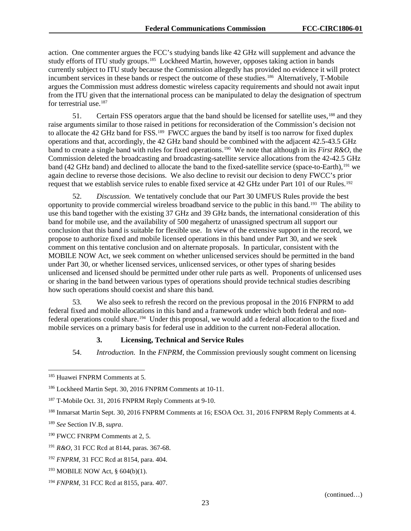action. One commenter argues the FCC's studying bands like 42 GHz will supplement and advance the study efforts of ITU study groups.<sup>185</sup> Lockheed Martin, however, opposes taking action in bands currently subject to ITU study because the Commission allegedly has provided no evidence it will protect incumbent services in these bands or respect the outcome of these studies.<sup>186</sup> Alternatively, T-Mobile argues the Commission must address domestic wireless capacity requirements and should not await input from the ITU given that the international process can be manipulated to delay the designation of spectrum for terrestrial use.<sup>[187](#page-23-2)</sup>

51. Certain FSS operators argue that the band should be licensed for satellite uses,<sup>188</sup> and they raise arguments similar to those raised in petitions for reconsideration of the Commission's decision not to allocate the 42 GHz band for FSS.[189](#page-23-4) FWCC argues the band by itself is too narrow for fixed duplex operations and that, accordingly, the 42 GHz band should be combined with the adjacent 42.5-43.5 GHz band to create a single band with rules for fixed operations.[190](#page-23-5) We note that although in its *First R&O*, the Commission deleted the broadcasting and broadcasting-satellite service allocations from the 42-42.5 GHz band (42 GHz band) and declined to allocate the band to the fixed-satellite service (space-to-Earth),<sup>[191](#page-23-6)</sup> we again decline to reverse those decisions. We also decline to revisit our decision to deny FWCC's prior request that we establish service rules to enable fixed service at 42 GHz under Part 101 of our Rules.[192](#page-23-7)

52. *Discussion.* We tentatively conclude that our Part 30 UMFUS Rules provide the best opportunity to provide commercial wireless broadband service to the public in this band.<sup>[193](#page-23-8)</sup> The ability to use this band together with the existing 37 GHz and 39 GHz bands, the international consideration of this band for mobile use, and the availability of 500 megahertz of unassigned spectrum all support our conclusion that this band is suitable for flexible use. In view of the extensive support in the record, we propose to authorize fixed and mobile licensed operations in this band under Part 30, and we seek comment on this tentative conclusion and on alternate proposals. In particular, consistent with the MOBILE NOW Act, we seek comment on whether unlicensed services should be permitted in the band under Part 30, or whether licensed services, unlicensed services, or other types of sharing besides unlicensed and licensed should be permitted under other rule parts as well. Proponents of unlicensed uses or sharing in the band between various types of operations should provide technical studies describing how such operations should coexist and share this band.

53. We also seek to refresh the record on the previous proposal in the 2016 FNPRM to add federal fixed and mobile allocations in this band and a framework under which both federal and nonfederal operations could share[.194](#page-23-9) Under this proposal, we would add a federal allocation to the fixed and mobile services on a primary basis for federal use in addition to the current non-Federal allocation.

#### **3. Licensing, Technical and Service Rules**

54. *Introduction.* In the *FNPRM*, the Commission previously sought comment on licensing

<span id="page-23-0"></span> <sup>185</sup> Huawei FNPRM Comments at 5.

<span id="page-23-1"></span><sup>186</sup> Lockheed Martin Sept. 30, 2016 FNPRM Comments at 10-11.

<span id="page-23-2"></span><sup>187</sup> T-Mobile Oct. 31, 2016 FNPRM Reply Comments at 9-10.

<span id="page-23-3"></span><sup>&</sup>lt;sup>188</sup> Inmarsat Martin Sept. 30, 2016 FNPRM Comments at 16; ESOA Oct. 31, 2016 FNPRM Reply Comments at 4.

<span id="page-23-4"></span><sup>189</sup> *See* Section [IV.B,](#page-18-10) *supra*.

<span id="page-23-5"></span><sup>190</sup> FWCC FNRPM Comments at 2, 5.

<span id="page-23-6"></span><sup>191</sup> *R&O*, 31 FCC Rcd at 8144, paras. 367-68.

<span id="page-23-7"></span><sup>192</sup> *FNPRM*, 31 FCC Rcd at 8154, para. 404.

<span id="page-23-8"></span><sup>193</sup> MOBILE NOW Act, § 604(b)(1).

<span id="page-23-9"></span><sup>194</sup> *FNPRM*, 31 FCC Rcd at 8155, para. 407.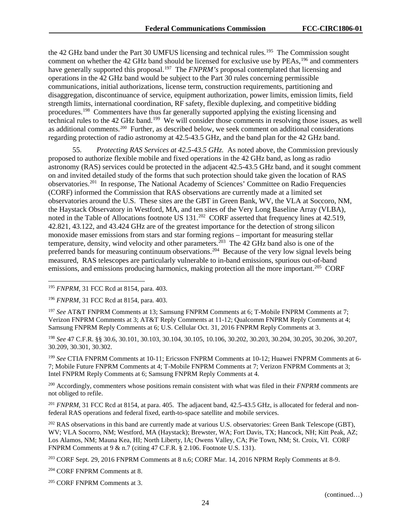the 42 GHz band under the Part 30 UMFUS licensing and technical rules.<sup>[195](#page-24-0)</sup> The Commission sought comment on whether the 42 GHz band should be licensed for exclusive use by PEAs,<sup>[196](#page-24-1)</sup> and commenters have generally supported this proposal.<sup>197</sup> The *FNPRM's* proposal contemplated that licensing and operations in the 42 GHz band would be subject to the Part 30 rules concerning permissible communications, initial authorizations, license term, construction requirements, partitioning and disaggregation, discontinuance of service, equipment authorization, power limits, emission limits, field strength limits, international coordination, RF safety, flexible duplexing, and competitive bidding procedures.<sup>198</sup> Commenters have thus far generally supported applying the existing licensing and technical rules to the 42 GHz band.<sup>[199](#page-24-4)</sup> We will consider those comments in resolving those issues, as well as additional comments.[200](#page-24-5) Further, as described below, we seek comment on additional considerations regarding protection of radio astronomy at 42.5-43.5 GHz, and the band plan for the 42 GHz band.

55. *Protecting RAS Services at 42.5-43.5 GHz.* As noted above, the Commission previously proposed to authorize flexible mobile and fixed operations in the 42 GHz band, as long as radio astronomy (RAS) services could be protected in the adjacent 42.5-43.5 GHz band, and it sought comment on and invited detailed study of the forms that such protection should take given the location of RAS observatories.[201](#page-24-6)In response, The National Academy of Sciences' Committee on Radio Frequencies (CORF) informed the Commission that RAS observations are currently made at a limited set observatories around the U.S. These sites are the GBT in Green Bank, WV, the VLA at Soccoro, NM, the Haystack Observatory in Westford, MA, and ten sites of the Very Long Baseline Array (VLBA), noted in the Table of Allocations footnote US 131.<sup>[202](#page-24-7)</sup> CORF asserted that frequency lines at 42.519, 42.821, 43.122, and 43.424 GHz are of the greatest importance for the detection of strong silicon monoxide maser emissions from stars and star forming regions – important for measuring stellar temperature, density, wind velocity and other parameters.<sup>[203](#page-24-8)</sup> The 42 GHz band also is one of the preferred bands for measuring continuum observations.[204](#page-24-9) Because of the very low signal levels being measured, RAS telescopes are particularly vulnerable to in-band emissions, spurious out-of-band emissions, and emissions producing harmonics, making protection all the more important.<sup>[205](#page-24-10)</sup> CORF

<span id="page-24-2"></span><sup>197</sup> *See* AT&T FNPRM Comments at 13; Samsung FNPRM Comments at 6; T-Mobile FNPRM Comments at 7; Verizon FNPRM Comments at 3; AT&T Reply Comments at 11-12; Qualcomm FNPRM Reply Comments at 4; Samsung FNPRM Reply Comments at 6; U.S. Cellular Oct. 31, 2016 FNPRM Reply Comments at 3.

<span id="page-24-3"></span><sup>198</sup> *See* 47 C.F.R. §§ 30.6, 30.101, 30.103, 30.104, 30.105, 10.106, 30.202, 30.203, 30.204, 30.205, 30.206, 30.207, 30.209, 30.301, 30.302.

<span id="page-24-4"></span><sup>199</sup> *See* CTIA FNPRM Comments at 10-11; Ericsson FNPRM Comments at 10-12; Huawei FNPRM Comments at 6- 7; Mobile Future FNPRM Comments at 4; T-Mobile FNPRM Comments at 7; Verizon FNPRM Comments at 3; Intel FNPRM Reply Comments at 6; Samsung FNPRM Reply Comments at 4.

<span id="page-24-5"></span><sup>200</sup> Accordingly, commenters whose positions remain consistent with what was filed in their *FNPRM* comments are not obliged to refile.

<span id="page-24-6"></span><sup>201</sup> *FNPRM*, 31 FCC Rcd at 8154, at para. 405. The adjacent band, 42.5-43.5 GHz, is allocated for federal and nonfederal RAS operations and federal fixed, earth-to-space satellite and mobile services.

<span id="page-24-7"></span><sup>202</sup> RAS observations in this band are currently made at various U.S. observatories: Green Bank Telescope (GBT), WV; VLA Socorro, NM; Westford, MA (Haystack); Brewster, WA; Fort Davis, TX; Hancock, NH; Kitt Peak, AZ; Los Alamos, NM; Mauna Kea, HI; North Liberty, IA; Owens Valley, CA; Pie Town, NM; St. Croix, VI. CORF FNPRM Comments at 9 & n.7 (citing 47 C.F.R. § 2.106. Footnote U.S. 131).

<span id="page-24-8"></span><sup>203</sup> CORF Sept. 29, 2016 FNPRM Comments at 8 n.6; CORF Mar. 14, 2016 NPRM Reply Comments at 8-9.

<span id="page-24-9"></span><sup>204</sup> CORF FNPRM Comments at 8.

<span id="page-24-10"></span><sup>205</sup> CORF FNPRM Comments at 3.

<span id="page-24-0"></span> <sup>195</sup> *FNPRM*, 31 FCC Rcd at 8154, para. 403.

<span id="page-24-1"></span><sup>196</sup> *FNPRM,* 31 FCC Rcd at 8154, para. 403.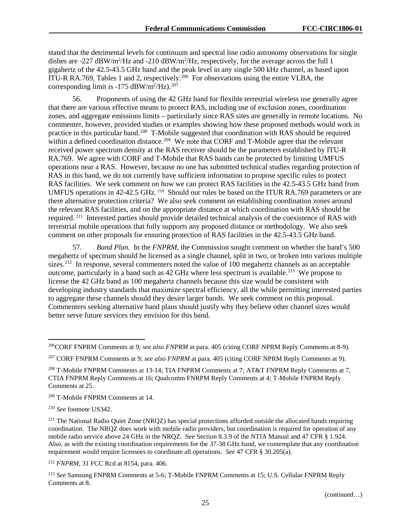stated that the detrimental levels for continuum and spectral line radio astronomy observations for single dishes are -227  $\text{dBW/m}^2/\text{Hz}$  and -210  $\text{dBW/m}^2/\text{Hz}$ , respectively, for the average across the full 1 gigahertz of the 42.5-43.5 GHz band and the peak level in any single 500 kHz channel, as based upon ITU-R RA.769, Tables 1 and 2, respectively.<sup>206</sup> For observations using the entire VLBA, the corresponding limit is  $-175$  dBW/m<sup>2</sup>/Hz).<sup>[207](#page-25-1)</sup>

56. Proponents of using the 42 GHz band for flexible terrestrial wireless use generally agree that there are various effective means to protect RAS, including use of exclusion zones, coordination zones, and aggregate emissions limits – particularly since RAS sites are generally in remote locations. No commenter, however, provided studies or examples showing how these proposed methods would work in practice in this particular band.[208](#page-25-2) T-Mobile suggested that coordination with RAS should be required within a defined coordination distance.<sup>[209](#page-25-3)</sup> We note that CORF and T-Mobile agree that the relevant received power spectrum density at the RAS receiver should be the parameters established by ITU-R RA.769. We agree with CORF and T-Mobile that RAS bands can be protected by limiting UMFUS operations near a RAS. However, because no one has submitted technical studies regarding protection of RAS in this band, we do not currently have sufficient information to propose specific rules to protect RAS facilities. We seek comment on how we can protect RAS facilities in the 42.5-43.5 GHz band from UMFUS operations in 42-42.5 GHz. <sup>210</sup> Should our rules be based on the ITUR RA.769 parameters or are there alternative protection criteria? We also seek comment on establishing coordination zones around the relevant RAS facilities, and on the appropriate distance at which coordination with RAS should be required. [211](#page-25-5) Interested parties should provide detailed technical analysis of the coexistence of RAS with terrestrial mobile operations that fully supports any proposed distance or methodology. We also seek comment on other proposals for ensuring protection of RAS facilities in the 42.5-43.5 GHz band.

57. *Band Plan.* In the *FNPRM*, the Commission sought comment on whether the band's 500 megahertz of spectrum should be licensed as a single channel, split in two, or broken into various multiple sizes.<sup>[212](#page-25-6)</sup> In response, several commenters noted the value of 100 megahertz channels as an acceptable outcome, particularly in a band such as 42 GHz where less spectrum is available.<sup>[213](#page-25-7)</sup> We propose to license the 42 GHz band as 100 megahertz channels because this size would be consistent with developing industry standards that maximize spectral efficiency, all the while permitting interested parties to aggregate these channels should they desire larger bands. We seek comment on this proposal. Commenters seeking alternative band plans should justify why they believe other channel sizes would better serve future services they envision for this band.

<span id="page-25-3"></span><sup>209</sup> T-Mobile FNPRM Comments at 14.

<span id="page-25-4"></span><sup>210</sup> *See* footnote US342.

<span id="page-25-5"></span><sup>211</sup> The National Radio Quiet Zone (NRQZ) has special protections afforded outside the allocated bands requiring coordination. The NRQZ does work with mobile radio providers, but coordination is required for operation of any mobile radio service above 24 GHz in the NRQZ. See Section 8.3.9 of the NTIA Manual and 47 CFR § 1.924. Also, as with the existing coordination requirements for the 37-38 GHz band, we contemplate that any coordination requirement would require licensees to coordinate all operations. *See* 47 CFR § 30.205(a).

<span id="page-25-6"></span><sup>212</sup> *FNPRM,* 31 FCC Rcd at 8154, para. 406.

<span id="page-25-7"></span><sup>213</sup> *See* Samsung FNPRM Comments at 5-6; T-Mobile FNPRM Comments at 15; U.S. Cellular FNPRM Reply Comments at 8.

<span id="page-25-0"></span> <sup>206</sup>CORF FNPRM Comments at 9; *see also FNPRM* at para. 405 (citing CORF NPRM Reply Comments at 8-9).

<span id="page-25-1"></span><sup>207</sup> CORF FNPRM Comments at 9; *see also FNPRM* at para. 405 (citing CORF NPRM Reply Comments at 9).

<span id="page-25-2"></span><sup>208</sup> T-Mobile FNPRM Comments at 13-14; TIA FNPRM Comments at 7; AT&T FNPRM Reply Comments at 7, CTIA FNPRM Reply Comments at 16; Qualcomm FNRPM Reply Comments at 4; T-Mobile FNPRM Reply Comments at 25.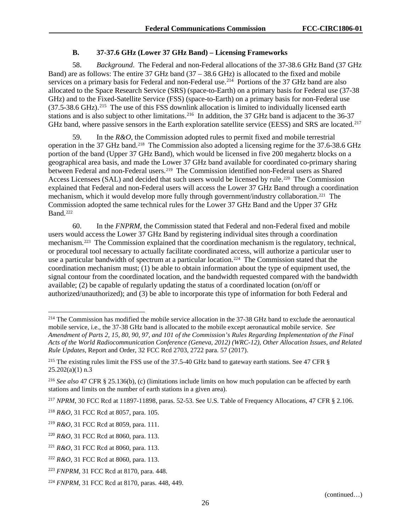### **B. 37-37.6 GHz (Lower 37 GHz Band) – Licensing Frameworks**

<span id="page-26-0"></span>58. *Background*. The Federal and non-Federal allocations of the 37-38.6 GHz Band (37 GHz Band) are as follows: The entire 37 GHz band (37 – 38.6 GHz) is allocated to the fixed and mobile services on a primary basis for Federal and non-Federal use.<sup>[214](#page-26-1)</sup> Portions of the 37 GHz band are also allocated to the Space Research Service (SRS) (space-to-Earth) on a primary basis for Federal use (37-38 GHz) and to the Fixed-Satellite Service (FSS) (space-to-Earth) on a primary basis for non-Federal use  $(37.5-38.6 \text{ GHz})$ .<sup>215</sup> The use of this FSS downlink allocation is limited to individually licensed earth stations and is also subject to other limitations.<sup>216</sup> In addition, the 37 GHz band is adjacent to the 36-37 GHz band, where passive sensors in the Earth exploration satellite service (EESS) and SRS are located.<sup>[217](#page-26-4)</sup>

59. In the *R&O*, the Commission adopted rules to permit fixed and mobile terrestrial operation in the 37 GHz band.[218](#page-26-5) The Commission also adopted a licensing regime for the 37.6-38.6 GHz portion of the band (Upper 37 GHz Band), which would be licensed in five 200 megahertz blocks on a geographical area basis, and made the Lower 37 GHz band available for coordinated co-primary sharing between Federal and non-Federal users. [219](#page-26-6) The Commission identified non-Federal users as Shared Access Licensees (SAL) and decided that such users would be licensed by rule.<sup>220</sup> The Commission explained that Federal and non-Federal users will access the Lower 37 GHz Band through a coordination mechanism, which it would develop more fully through government/industry collaboration.<sup>221</sup> The Commission adopted the same technical rules for the Lower 37 GHz Band and the Upper 37 GHz Band.<sup>[222](#page-26-9)</sup>

60. In the *FNPRM*, the Commission stated that Federal and non-Federal fixed and mobile users would access the Lower 37 GHz Band by registering individual sites through a coordination mechanism.[223](#page-26-10) The Commission explained that the coordination mechanism is the regulatory, technical, or procedural tool necessary to actually facilitate coordinated access, will authorize a particular user to use a particular bandwidth of spectrum at a particular location.<sup>224</sup> The Commission stated that the coordination mechanism must; (1) be able to obtain information about the type of equipment used, the signal contour from the coordinated location, and the bandwidth requested compared with the bandwidth available; (2) be capable of regularly updating the status of a coordinated location (on/off or authorized/unauthorized); and (3) be able to incorporate this type of information for both Federal and

<span id="page-26-1"></span><sup>&</sup>lt;sup>214</sup> The Commission has modified the mobile service allocation in the 37-38 GHz band to exclude the aeronautical mobile service, i.e., the 37-38 GHz band is allocated to the mobile except aeronautical mobile service. *See Amendment of Parts 2, 15, 80, 90, 97, and 101 of the Commission's Rules Regarding Implementation of the Final Acts of the World Radiocommunication Conference (Geneva, 2012) (WRC-12), Other Allocation Issues, and Related Rule Updates*, Report and Order, 32 FCC Rcd 2703, 2722 para. 57 (2017).

<span id="page-26-2"></span><sup>&</sup>lt;sup>215</sup> The existing rules limit the FSS use of the 37.5-40 GHz band to gateway earth stations. See 47 CFR §  $25.202(a)(1)$  n.3

<span id="page-26-3"></span><sup>216</sup> *See also* 47 CFR § 25.136(b), (c) (limitations include limits on how much population can be affected by earth stations and limits on the number of earth stations in a given area).

<span id="page-26-4"></span><sup>217</sup> *NPRM*, 30 FCC Rcd at 11897-11898, paras. 52-53. See U.S. Table of Frequency Allocations, 47 CFR § 2.106.

<span id="page-26-5"></span><sup>218</sup> *R&O*, 31 FCC Rcd at 8057, para. 105.

<span id="page-26-6"></span><sup>219</sup> *R&O*, 31 FCC Rcd at 8059, para. 111.

<span id="page-26-7"></span><sup>220</sup> *R&O*, 31 FCC Rcd at 8060, para. 113.

<span id="page-26-8"></span><sup>221</sup> *R&O*, 31 FCC Rcd at 8060, para. 113.

<span id="page-26-9"></span><sup>222</sup> *R&O*, 31 FCC Rcd at 8060, para. 113.

<span id="page-26-10"></span><sup>223</sup> *FNPRM*, 31 FCC Rcd at 8170, para. 448.

<span id="page-26-11"></span><sup>224</sup> *FNPRM*, 31 FCC Rcd at 8170, paras. 448, 449.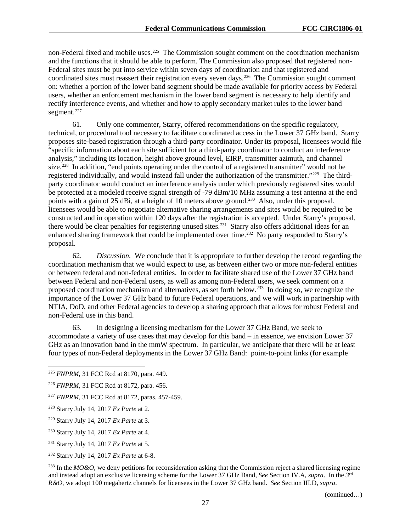non-Federal fixed and mobile uses.<sup>225</sup> The Commission sought comment on the coordination mechanism and the functions that it should be able to perform. The Commission also proposed that registered non-Federal sites must be put into service within seven days of coordination and that registered and coordinated sites must reassert their registration every seven days.<sup>[226](#page-27-1)</sup> The Commission sought comment on: whether a portion of the lower band segment should be made available for priority access by Federal users, whether an enforcement mechanism in the lower band segment is necessary to help identify and rectify interference events, and whether and how to apply secondary market rules to the lower band segment.<sup>[227](#page-27-2)</sup>

61. Only one commenter, Starry, offered recommendations on the specific regulatory, technical, or procedural tool necessary to facilitate coordinated access in the Lower 37 GHz band. Starry proposes site-based registration through a third-party coordinator. Under its proposal, licensees would file "specific information about each site sufficient for a third-party coordinator to conduct an interference analysis," including its location, height above ground level, EIRP, transmitter azimuth, and channel size.<sup>[228](#page-27-3)</sup> In addition, "end points operating under the control of a registered transmitter" would not be registered individually, and would instead fall under the authorization of the transmitter."[229](#page-27-4) The thirdparty coordinator would conduct an interference analysis under which previously registered sites would be protected at a modeled receive signal strength of -79 dBm/10 MHz assuming a test antenna at the end points with a gain of 25 dBi, at a height of 10 meters above ground.<sup>230</sup> Also, under this proposal, licensees would be able to negotiate alternative sharing arrangements and sites would be required to be constructed and in operation within 120 days after the registration is accepted. Under Starry's proposal, there would be clear penalties for registering unused sites.<sup>231</sup> Starry also offers additional ideas for an enhanced sharing framework that could be implemented over time.<sup>[232](#page-27-7)</sup> No party responded to Starry's proposal.

62. *Discussion.* We conclude that it is appropriate to further develop the record regarding the coordination mechanism that we would expect to use, as between either two or more non-federal entities or between federal and non-federal entities. In order to facilitate shared use of the Lower 37 GHz band between Federal and non-Federal users, as well as among non-Federal users, we seek comment on a proposed coordination mechanism and alternatives, as set forth below.<sup>233</sup> In doing so, we recognize the importance of the Lower 37 GHz band to future Federal operations, and we will work in partnership with NTIA, DoD, and other Federal agencies to develop a sharing approach that allows for robust Federal and non-Federal use in this band.

63. In designing a licensing mechanism for the Lower 37 GHz Band, we seek to accommodate a variety of use cases that may develop for this band – in essence, we envision Lower 37 GHz as an innovation band in the mmW spectrum. In particular, we anticipate that there will be at least four types of non-Federal deployments in the Lower 37 GHz Band: point-to-point links (for example

<span id="page-27-8"></span><sup>233</sup> In the *MO&O*, we deny petitions for reconsideration asking that the Commission reject a shared licensing regime and instead adopt an exclusive licensing scheme for the Lower 37 GHz Band, *See* Section [IV.A,](#page-17-0) *supra*. In the *3rd R&O*, we adopt 100 megahertz channels for licensees in the Lower 37 GHz band. *See* Section III.D, *supra*.

(continued…)

<span id="page-27-0"></span> <sup>225</sup> *FNPRM*, 31 FCC Rcd at 8170, para. 449.

<span id="page-27-1"></span><sup>226</sup> *FNPRM*, 31 FCC Rcd at 8172, para. 456.

<span id="page-27-2"></span><sup>227</sup> *FNPRM*, 31 FCC Rcd at 8172, paras. 457-459.

<span id="page-27-3"></span><sup>228</sup> Starry July 14, 2017 *Ex Parte* at 2.

<span id="page-27-4"></span><sup>229</sup> Starry July 14, 2017 *Ex Parte* at 3.

<span id="page-27-5"></span><sup>230</sup> Starry July 14, 2017 *Ex Parte* at 4.

<span id="page-27-6"></span><sup>231</sup> Starry July 14, 2017 *Ex Parte* at 5.

<span id="page-27-7"></span><sup>232</sup> Starry July 14, 2017 *Ex Parte* at 6-8.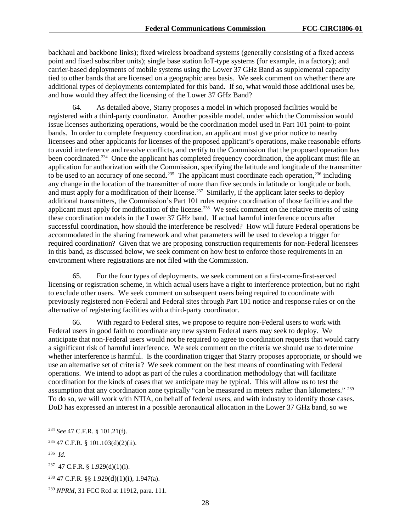backhaul and backbone links); fixed wireless broadband systems (generally consisting of a fixed access point and fixed subscriber units); single base station IoT-type systems (for example, in a factory); and carrier-based deployments of mobile systems using the Lower 37 GHz Band as supplemental capacity tied to other bands that are licensed on a geographic area basis. We seek comment on whether there are additional types of deployments contemplated for this band. If so, what would those additional uses be, and how would they affect the licensing of the Lower 37 GHz Band?

64. As detailed above, Starry proposes a model in which proposed facilities would be registered with a third-party coordinator. Another possible model, under which the Commission would issue licenses authorizing operations, would be the coordination model used in Part 101 point-to-point bands. In order to complete frequency coordination, an applicant must give prior notice to nearby licensees and other applicants for licenses of the proposed applicant's operations, make reasonable efforts to avoid interference and resolve conflicts, and certify to the Commission that the proposed operation has been coordinated.<sup>[234](#page-28-0)</sup> Once the applicant has completed frequency coordination, the applicant must file an application for authorization with the Commission, specifying the latitude and longitude of the transmitter to be used to an accuracy of one second.<sup>235</sup> The applicant must coordinate each operation,<sup>[236](#page-28-2)</sup> including any change in the location of the transmitter of more than five seconds in latitude or longitude or both, and must apply for a modification of their license. [237](#page-28-3) Similarly, if the applicant later seeks to deploy additional transmitters, the Commission's Part 101 rules require coordination of those facilities and the applicant must apply for modification of the license.<sup>238</sup> We seek comment on the relative merits of using these coordination models in the Lower 37 GHz band. If actual harmful interference occurs after successful coordination, how should the interference be resolved? How will future Federal operations be accommodated in the sharing framework and what parameters will be used to develop a trigger for required coordination? Given that we are proposing construction requirements for non-Federal licensees in this band, as discussed below, we seek comment on how best to enforce those requirements in an environment where registrations are not filed with the Commission.

65. For the four types of deployments, we seek comment on a first-come-first-served licensing or registration scheme, in which actual users have a right to interference protection, but no right to exclude other users. We seek comment on subsequent users being required to coordinate with previously registered non-Federal and Federal sites through Part 101 notice and response rules or on the alternative of registering facilities with a third-party coordinator.

66. With regard to Federal sites, we propose to require non-Federal users to work with Federal users in good faith to coordinate any new system Federal users may seek to deploy. We anticipate that non-Federal users would not be required to agree to coordination requests that would carry a significant risk of harmful interference. We seek comment on the criteria we should use to determine whether interference is harmful. Is the coordination trigger that Starry proposes appropriate, or should we use an alternative set of criteria? We seek comment on the best means of coordinating with Federal operations. We intend to adopt as part of the rules a coordination methodology that will facilitate coordination for the kinds of cases that we anticipate may be typical. This will allow us to test the assumption that any coordination zone typically "can be measured in meters rather than kilometers." [239](#page-28-5) To do so, we will work with NTIA, on behalf of federal users, and with industry to identify those cases. DoD has expressed an interest in a possible aeronautical allocation in the Lower 37 GHz band, so we

<span id="page-28-0"></span> <sup>234</sup> *See* 47 C.F.R. § 101.21(f).

<span id="page-28-1"></span><sup>235</sup> 47 C.F.R. § 101.103(d)(2)(ii).

<span id="page-28-2"></span><sup>236</sup> *Id*.

<span id="page-28-3"></span> $237$  47 C.F.R. § 1.929(d)(1)(i).

<span id="page-28-4"></span><sup>238</sup> 47 C.F.R. §§ 1.929(d)(1)(i), 1.947(a).

<span id="page-28-5"></span><sup>239</sup> *NPRM*, 31 FCC Rcd at 11912, para. 111.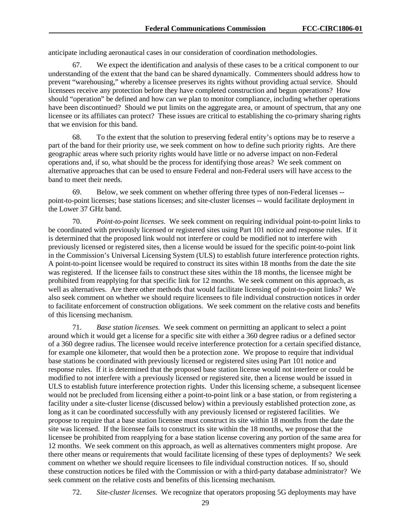anticipate including aeronautical cases in our consideration of coordination methodologies.

67. We expect the identification and analysis of these cases to be a critical component to our understanding of the extent that the band can be shared dynamically. Commenters should address how to prevent "warehousing," whereby a licensee preserves its rights without providing actual service. Should licensees receive any protection before they have completed construction and begun operations? How should "operation" be defined and how can we plan to monitor compliance, including whether operations have been discontinued? Should we put limits on the aggregate area, or amount of spectrum, that any one licensee or its affiliates can protect? These issues are critical to establishing the co-primary sharing rights that we envision for this band.

68. To the extent that the solution to preserving federal entity's options may be to reserve a part of the band for their priority use, we seek comment on how to define such priority rights. Are there geographic areas where such priority rights would have little or no adverse impact on non-Federal operations and, if so, what should be the process for identifying those areas? We seek comment on alternative approaches that can be used to ensure Federal and non-Federal users will have access to the band to meet their needs.

69. Below, we seek comment on whether offering three types of non-Federal licenses - point-to-point licenses; base stations licenses; and site-cluster licenses -- would facilitate deployment in the Lower 37 GHz band.

70. *Point-to-point licenses*. We seek comment on requiring individual point-to-point links to be coordinated with previously licensed or registered sites using Part 101 notice and response rules. If it is determined that the proposed link would not interfere or could be modified not to interfere with previously licensed or registered sites, then a license would be issued for the specific point-to-point link in the Commission's Universal Licensing System (ULS) to establish future interference protection rights. A point-to-point licensee would be required to construct its sites within 18 months from the date the site was registered. If the licensee fails to construct these sites within the 18 months, the licensee might be prohibited from reapplying for that specific link for 12 months. We seek comment on this approach, as well as alternatives. Are there other methods that would facilitate licensing of point-to-point links? We also seek comment on whether we should require licensees to file individual construction notices in order to facilitate enforcement of construction obligations. We seek comment on the relative costs and benefits of this licensing mechanism.

71. *Base station licenses.* We seek comment on permitting an applicant to select a point around which it would get a license for a specific site with either a 360 degree radius or a defined sector of a 360 degree radius. The licensee would receive interference protection for a certain specified distance, for example one kilometer, that would then be a protection zone. We propose to require that individual base stations be coordinated with previously licensed or registered sites using Part 101 notice and response rules. If it is determined that the proposed base station license would not interfere or could be modified to not interfere with a previously licensed or registered site, then a license would be issued in ULS to establish future interference protection rights. Under this licensing scheme, a subsequent licensee would not be precluded from licensing either a point-to-point link or a base station, or from registering a facility under a site-cluster license (discussed below) within a previously established protection zone, as long as it can be coordinated successfully with any previously licensed or registered facilities. We propose to require that a base station licensee must construct its site within 18 months from the date the site was licensed. If the licensee fails to construct its site within the 18 months, we propose that the licensee be prohibited from reapplying for a base station license covering any portion of the same area for 12 months. We seek comment on this approach, as well as alternatives commenters might propose. Are there other means or requirements that would facilitate licensing of these types of deployments? We seek comment on whether we should require licensees to file individual construction notices. If so, should these construction notices be filed with the Commission or with a third-party database administrator? We seek comment on the relative costs and benefits of this licensing mechanism.

72. *Site-cluster licenses.* We recognize that operators proposing 5G deployments may have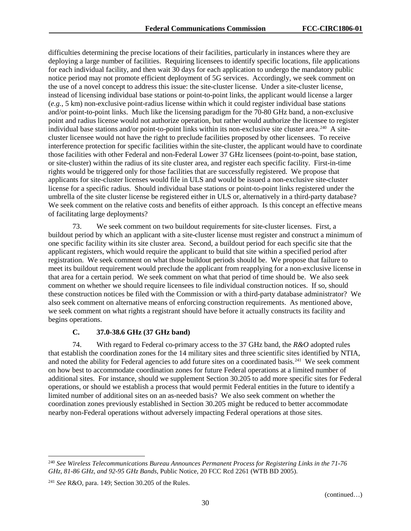difficulties determining the precise locations of their facilities, particularly in instances where they are deploying a large number of facilities. Requiring licensees to identify specific locations, file applications for each individual facility, and then wait 30 days for each application to undergo the mandatory public notice period may not promote efficient deployment of 5G services. Accordingly, we seek comment on the use of a novel concept to address this issue: the site-cluster license. Under a site-cluster license, instead of licensing individual base stations or point-to-point links, the applicant would license a larger (*e.g.*, 5 km) non-exclusive point-radius license within which it could register individual base stations and/or point-to-point links. Much like the licensing paradigm for the 70-80 GHz band, a non-exclusive point and radius license would not authorize operation, but rather would authorize the licensee to register individual base stations and/or point-to-point links within its non-exclusive site cluster area.<sup>240</sup> A sitecluster licensee would not have the right to preclude facilities proposed by other licensees. To receive interference protection for specific facilities within the site-cluster, the applicant would have to coordinate those facilities with other Federal and non-Federal Lower 37 GHz licensees (point-to-point, base station, or site-cluster) within the radius of its site cluster area, and register each specific facility. First-in-time rights would be triggered only for those facilities that are successfully registered. We propose that applicants for site-cluster licenses would file in ULS and would be issued a non-exclusive site-cluster license for a specific radius. Should individual base stations or point-to-point links registered under the umbrella of the site cluster license be registered either in ULS or, alternatively in a third-party database? We seek comment on the relative costs and benefits of either approach. Is this concept an effective means of facilitating large deployments?

73. We seek comment on two buildout requirements for site-cluster licenses. First, a buildout period by which an applicant with a site-cluster license must register and construct a minimum of one specific facility within its site cluster area. Second, a buildout period for each specific site that the applicant registers, which would require the applicant to build that site within a specified period after registration. We seek comment on what those buildout periods should be. We propose that failure to meet its buildout requirement would preclude the applicant from reapplying for a non-exclusive license in that area for a certain period. We seek comment on what that period of time should be. We also seek comment on whether we should require licensees to file individual construction notices. If so, should these construction notices be filed with the Commission or with a third-party database administrator? We also seek comment on alternative means of enforcing construction requirements. As mentioned above, we seek comment on what rights a registrant should have before it actually constructs its facility and begins operations.

#### **C. 37.0-38.6 GHz (37 GHz band)**

74. With regard to Federal co-primary access to the 37 GHz band, the *R&O* adopted rules that establish the coordination zones for the 14 military sites and three scientific sites identified by NTIA, and noted the ability for Federal agencies to add future sites on a coordinated basis.<sup>[241](#page-30-1)</sup> We seek comment on how best to accommodate coordination zones for future Federal operations at a limited number of additional sites. For instance, should we supplement Section 30.205 to add more specific sites for Federal operations, or should we establish a process that would permit Federal entities in the future to identify a limited number of additional sites on an as-needed basis? We also seek comment on whether the coordination zones previously established in Section 30.205 might be reduced to better accommodate nearby non-Federal operations without adversely impacting Federal operations at those sites.

<span id="page-30-0"></span> <sup>240</sup> *See Wireless Telecommunications Bureau Announces Permanent Process for Registering Links in the 71-76 GHz, 81-86 GHz, and 92-95 GHz Bands*, Public Notice, 20 FCC Rcd 2261 (WTB BD 2005).

<span id="page-30-1"></span><sup>241</sup> *See* R&O, para. 149; Section 30.205 of the Rules.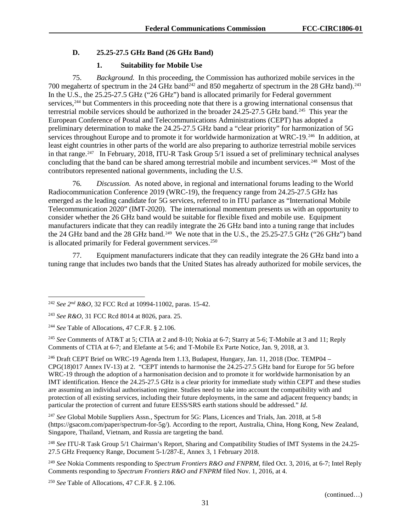### **D. 25.25-27.5 GHz Band (26 GHz Band)**

### **1. Suitability for Mobile Use**

75. *Background.* In this proceeding, the Commission has authorized mobile services in the 700 megahertz of spectrum in the 24 GHz band<sup>242</sup> and 850 megahertz of spectrum in the 28 GHz band).<sup>[243](#page-31-1)</sup> In the U.S., the 25.25-27.5 GHz ("26 GHz") band is allocated primarily for Federal government services,[244](#page-31-2) but Commenters in this proceeding note that there is a growing international consensus that terrestrial mobile services should be authorized in the broader 24.25-27.5 GHz band.[245](#page-31-3) This year the European Conference of Postal and Telecommunications Administrations (CEPT) has adopted a preliminary determination to make the 24.25-27.5 GHz band a "clear priority" for harmonization of 5G services throughout Europe and to promote it for worldwide harmonization at WRC-19.<sup>[246](#page-31-4)</sup> In addition, at least eight countries in other parts of the world are also preparing to authorize terrestrial mobile services in that range. [247](#page-31-5) In February, 2018, ITU-R Task Group 5/1 issued a set of preliminary technical analyses concluding that the band can be shared among terrestrial mobile and incumbent services.<sup>248</sup> Most of the contributors represented national governments, including the U.S.

76. *Discussion.* As noted above, in regional and international forums leading to the World Radiocommunication Conference 2019 (WRC-19), the frequency range from 24.25-27.5 GHz has emerged as the leading candidate for 5G services, referred to in ITU parlance as "International Mobile Telecommunication 2020" (IMT-2020). The international momentum presents us with an opportunity to consider whether the 26 GHz band would be suitable for flexible fixed and mobile use. Equipment manufacturers indicate that they can readily integrate the 26 GHz band into a tuning range that includes the 24 GHz band and the 28 GHz band.<sup>[249](#page-31-7)</sup> We note that in the U.S., the 25.25-27.5 GHz ("26 GHz") band is allocated primarily for Federal government services.<sup>250</sup>

77. Equipment manufacturers indicate that they can readily integrate the 26 GHz band into a tuning range that includes two bands that the United States has already authorized for mobile services, the

<span id="page-31-4"></span><sup>246</sup> Draft CEPT Brief on WRC-19 Agenda Item 1.13, Budapest, Hungary, Jan. 11, 2018 (Doc. TEMP04 – CPG(18)017 Annex IV-13) at 2. "CEPT intends to harmonise the 24.25-27.5 GHz band for Europe for 5G before WRC-19 through the adoption of a harmonisation decision and to promote it for worldwide harmonisation by an IMT identification. Hence the 24.25-27.5 GHz is a clear priority for immediate study within CEPT and these studies are assuming an individual authorisation regime. Studies need to take into account the compatibility with and protection of all existing services, including their future deployments, in the same and adjacent frequency bands; in particular the protection of current and future EESS/SRS earth stations should be addressed." *Id*.

<span id="page-31-5"></span><sup>247</sup> *See* Global Mobile Suppliers Assn., Spectrum for 5G: Plans, Licences and Trials, Jan. 2018, at 5-8 (https://gsacom.com/paper/spectrum-for-5g/). According to the report, Australia, China, Hong Kong, New Zealand, Singapore, Thailand, Vietnam, and Russia are targeting the band.

<span id="page-31-8"></span><sup>250</sup> *See* Table of Allocations, 47 C.F.R. § 2.106.

<span id="page-31-0"></span> <sup>242</sup> *See 2nd R&O,* 32 FCC Rcd at 10994-11002, paras. 15-42.

<span id="page-31-1"></span><sup>243</sup> *See R&O,* 31 FCC Rcd 8014 at 8026, para. 25.

<span id="page-31-2"></span><sup>244</sup> *See* Table of Allocations, 47 C.F.R. § 2.106.

<span id="page-31-3"></span><sup>245</sup> *See* Comments of AT&T at 5; CTIA at 2 and 8-10; Nokia at 6-7; Starry at 5-6; T-Mobile at 3 and 11; Reply Comments of CTIA at 6-7; and Elefante at 5-6; and T-Mobile Ex Parte Notice, Jan. 9, 2018, at 3.

<span id="page-31-6"></span><sup>248</sup> *See* ITU-R Task Group 5/1 Chairman's Report, Sharing and Compatibility Studies of IMT Systems in the 24.25- 27.5 GHz Frequency Range, Document 5-1/287-E, Annex 3, 1 February 2018.

<span id="page-31-7"></span><sup>249</sup> *See* Nokia Comments responding to *Spectrum Frontiers R&O and FNPRM*, filed Oct. 3, 2016, at 6-7; Intel Reply Comments responding to *Spectrum Frontiers R&O and FNPRM* filed Nov. 1, 2016, at 4.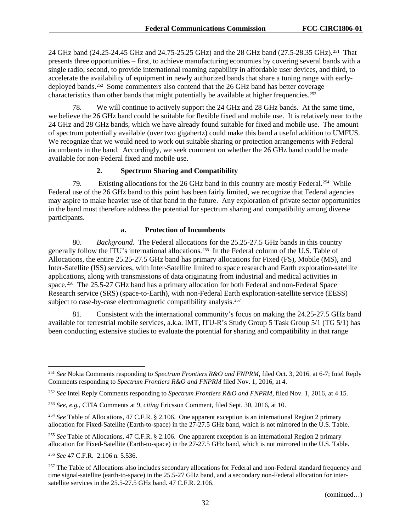24 GHz band (24.25-24.45 GHz and 24.75-25.25 GHz) and the 28 GHz band (27.5-28.35 GHz).[251](#page-32-0) That presents three opportunities – first, to achieve manufacturing economies by covering several bands with a single radio; second, to provide international roaming capability in affordable user devices, and third, to accelerate the availability of equipment in newly authorized bands that share a tuning range with earlydeployed bands.<sup>252</sup> Some commenters also contend that the 26 GHz band has better coverage characteristics than other bands that might potentially be available at higher frequencies.<sup>[253](#page-32-2)</sup>

78. We will continue to actively support the 24 GHz and 28 GHz bands. At the same time, we believe the 26 GHz band could be suitable for flexible fixed and mobile use. It is relatively near to the 24 GHz and 28 GHz bands, which we have already found suitable for fixed and mobile use. The amount of spectrum potentially available (over two gigahertz) could make this band a useful addition to UMFUS. We recognize that we would need to work out suitable sharing or protection arrangements with Federal incumbents in the band. Accordingly, we seek comment on whether the 26 GHz band could be made available for non-Federal fixed and mobile use.

## **2. Spectrum Sharing and Compatibility**

79. Existing allocations for the 26 GHz band in this country are mostly Federal.<sup>254</sup> While Federal use of the 26 GHz band to this point has been fairly limited, we recognize that Federal agencies may aspire to make heavier use of that band in the future. Any exploration of private sector opportunities in the band must therefore address the potential for spectrum sharing and compatibility among diverse participants.

#### **a. Protection of Incumbents**

80. *Background*. The Federal allocations for the 25.25-27.5 GHz bands in this country generally follow the ITU's international allocations.<sup>[255](#page-32-4)</sup> In the Federal column of the U.S. Table of Allocations, the entire 25.25-27.5 GHz band has primary allocations for Fixed (FS), Mobile (MS), and Inter-Satellite (ISS) services, with Inter-Satellite limited to space research and Earth exploration-satellite applications, along with transmissions of data originating from industrial and medical activities in space.[256](#page-32-5) The 25.5-27 GHz band has a primary allocation for both Federal and non-Federal Space Research service (SRS) (space-to-Earth), with non-Federal Earth exploration-satellite service (EESS) subject to case-by-case electromagnetic compatibility analysis.<sup>257</sup>

81. Consistent with the international community's focus on making the 24.25-27.5 GHz band available for terrestrial mobile services, a.k.a. IMT, ITU-R's Study Group 5 Task Group 5/1 (TG 5/1) has been conducting extensive studies to evaluate the potential for sharing and compatibility in that range

<span id="page-32-0"></span> <sup>251</sup> *See* Nokia Comments responding to *Spectrum Frontiers R&O and FNPRM*, filed Oct. 3, 2016, at 6-7; Intel Reply Comments responding to *Spectrum Frontiers R&O and FNPRM* filed Nov. 1, 2016, at 4.

<span id="page-32-1"></span><sup>252</sup> *See* Intel Reply Comments responding to *Spectrum Frontiers R&O and FNPRM*, filed Nov. 1, 2016, at 4 15.

<span id="page-32-2"></span><sup>253</sup> *See, e.g.,* CTIA Comments at 9, *citing* Ericsson Comment, filed Sept. 30, 2016, at 10.

<span id="page-32-3"></span><sup>254</sup> *See* Table of Allocations, 47 C.F.R. § 2.106. One apparent exception is an international Region 2 primary allocation for Fixed-Satellite (Earth-to-space) in the 27-27.5 GHz band, which is not mirrored in the U.S. Table.

<span id="page-32-4"></span><sup>255</sup> *See* Table of Allocations, 47 C.F.R. § 2.106. One apparent exception is an international Region 2 primary allocation for Fixed-Satellite (Earth-to-space) in the 27-27.5 GHz band, which is not mirrored in the U.S. Table.

<span id="page-32-5"></span><sup>256</sup> *See* 47 C.F.R. 2.106 n. 5.536.

<span id="page-32-6"></span><sup>&</sup>lt;sup>257</sup> The Table of Allocations also includes secondary allocations for Federal and non-Federal standard frequency and time signal-satellite (earth-to-space) in the 25.5-27 GHz band, and a secondary non-Federal allocation for intersatellite services in the 25.5-27.5 GHz band. 47 C.F.R. 2.106.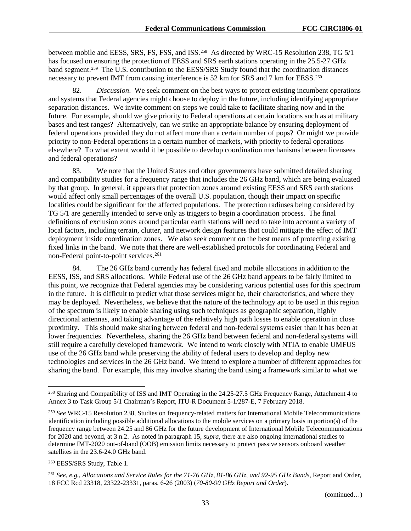between mobile and EESS, SRS, FS, FSS, and ISS.<sup>258</sup> As directed by WRC-15 Resolution 238, TG 5/1 has focused on ensuring the protection of EESS and SRS earth stations operating in the 25.5-27 GHz band segment.[259](#page-33-1) The U.S. contribution to the EESS/SRS Study found that the coordination distances necessary to prevent IMT from causing interference is 52 km for SRS and 7 km for EESS.<sup>[260](#page-33-2)</sup>

82. *Discussion*. We seek comment on the best ways to protect existing incumbent operations and systems that Federal agencies might choose to deploy in the future, including identifying appropriate separation distances. We invite comment on steps we could take to facilitate sharing now and in the future. For example, should we give priority to Federal operations at certain locations such as at military bases and test ranges? Alternatively, can we strike an appropriate balance by ensuring deployment of federal operations provided they do not affect more than a certain number of pops? Or might we provide priority to non-Federal operations in a certain number of markets, with priority to federal operations elsewhere? To what extent would it be possible to develop coordination mechanisms between licensees and federal operations?

83. We note that the United States and other governments have submitted detailed sharing and compatibility studies for a frequency range that includes the 26 GHz band, which are being evaluated by that group. In general, it appears that protection zones around existing EESS and SRS earth stations would affect only small percentages of the overall U.S. population, though their impact on specific localities could be significant for the affected populations. The protection radiuses being considered by TG 5/1 are generally intended to serve only as triggers to begin a coordination process. The final definitions of exclusion zones around particular earth stations will need to take into account a variety of local factors, including terrain, clutter, and network design features that could mitigate the effect of IMT deployment inside coordination zones. We also seek comment on the best means of protecting existing fixed links in the band. We note that there are well-established protocols for coordinating Federal and non-Federal point-to-point services.<sup>261</sup>

84. The 26 GHz band currently has federal fixed and mobile allocations in addition to the EESS, ISS, and SRS allocations. While Federal use of the 26 GHz band appears to be fairly limited to this point, we recognize that Federal agencies may be considering various potential uses for this spectrum in the future. It is difficult to predict what those services might be, their characteristics, and where they may be deployed. Nevertheless, we believe that the nature of the technology apt to be used in this region of the spectrum is likely to enable sharing using such techniques as geographic separation, highly directional antennas, and taking advantage of the relatively high path losses to enable operation in close proximity. This should make sharing between federal and non-federal systems easier than it has been at lower frequencies. Nevertheless, sharing the 26 GHz band between federal and non-federal systems will still require a carefully developed framework. We intend to work closely with NTIA to enable UMFUS use of the 26 GHz band while preserving the ability of federal users to develop and deploy new technologies and services in the 26 GHz band. We intend to explore a number of different approaches for sharing the band. For example, this may involve sharing the band using a framework similar to what we

<span id="page-33-0"></span> <sup>258</sup> Sharing and Compatibility of ISS and IMT Operating in the 24.25-27.5 GHz Frequency Range, Attachment 4 to Annex 3 to Task Group 5/1 Chairman's Report, ITU-R Document 5-1/287-E, 7 February 2018.

<span id="page-33-1"></span><sup>259</sup> *See* WRC-15 Resolution 238, Studies on frequency-related matters for International Mobile Telecommunications identification including possible additional allocations to the mobile services on a primary basis in portion(s) of the frequency range between 24.25 and 86 GHz for the future development of International Mobile Telecommunications for 2020 and beyond, at 3 n.2. As noted in paragraph [15,](#page-7-9) *supra*, there are also ongoing international studies to determine IMT-2020 out-of-band (OOB) emission limits necessary to protect passive sensors onboard weather satellites in the 23.6-24.0 GHz band.

<span id="page-33-2"></span><sup>260</sup> EESS/SRS Study, Table 1.

<span id="page-33-3"></span><sup>261</sup> *See, e.g., Allocations and Service Rules for the 71-76 GHz, 81-86 GHz, and 92-95 GHz Bands*, Report and Order, 18 FCC Rcd 23318, 23322-23331, paras. 6-26 (2003) (*70-80-90 GHz Report and Order*).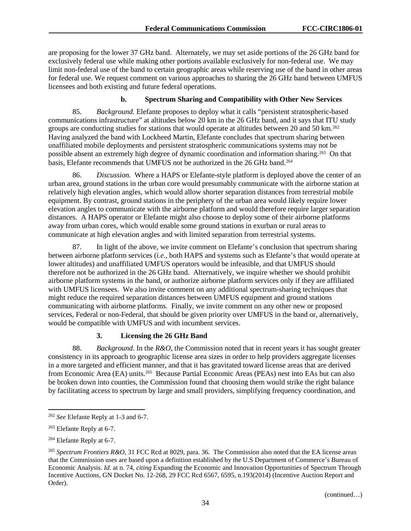are proposing for the lower 37 GHz band. Alternately, we may set aside portions of the 26 GHz band for exclusively federal use while making other portions available exclusively for non-federal use. We may limit non-federal use of the band to certain geographic areas while reserving use of the band in other areas for federal use. We request comment on various approaches to sharing the 26 GHz band between UMFUS licensees and both existing and future federal operations.

## **b. Spectrum Sharing and Compatibility with Other New Services**

85. *Background.* Elefante proposes to deploy what it calls "persistent stratospheric-based communications infrastructure" at altitudes below 20 km in the 26 GHz band, and it says that ITU study groups are conducting studies for stations that would operate at altitudes between 20 and 50 km.<sup>262</sup> Having analyzed the band with Lockheed Martin, Elefante concludes that spectrum sharing between unaffiliated mobile deployments and persistent stratospheric communications systems may not be possible absent an extremely high degree of dynamic coordination and information sharing.[263](#page-34-1) On that basis, Elefante recommends that UMFUS not be authorized in the 26 GHz band.<sup>[264](#page-34-2)</sup>

86. *Discussion.* Where a HAPS or Elefante-style platform is deployed above the center of an urban area, ground stations in the urban core would presumably communicate with the airborne station at relatively high elevation angles, which would allow shorter separation distances from terrestrial mobile equipment. By contrast, ground stations in the periphery of the urban area would likely require lower elevation angles to communicate with the airborne platform and would therefore require larger separation distances. A HAPS operator or Elefante might also choose to deploy some of their airborne platforms away from urban cores, which would enable some ground stations in exurban or rural areas to communicate at high elevation angles and with limited separation from terrestrial systems.

87. In light of the above, we invite comment on Elefante's conclusion that spectrum sharing between airborne platform services (*i.e.*, both HAPS and systems such as Elefante's that would operate at lower altitudes) and unaffiliated UMFUS operators would be infeasible, and that UMFUS should therefore not be authorized in the 26 GHz band. Alternatively, we inquire whether we should prohibit airborne platform systems in the band, or authorize airborne platform services only if they are affiliated with UMFUS licensees. We also invite comment on any additional spectrum-sharing techniques that might reduce the required separation distances between UMFUS equipment and ground stations communicating with airborne platforms. Finally, we invite comment on any other new or proposed services, Federal or non-Federal, that should be given priority over UMFUS in the band or, alternatively, would be compatible with UMFUS and with incumbent services.

# **3. Licensing the 26 GHz Band**

88. *Background*. In the *R&O*, the Commission noted that in recent years it has sought greater consistency in its approach to geographic license area sizes in order to help providers aggregate licenses in a more targeted and efficient manner, and that it has gravitated toward license areas that are derived from Economic Area (EA) units.<sup>265</sup> Because Partial Economic Areas (PEAs) nest into EAs but can also be broken down into counties, the Commission found that choosing them would strike the right balance by facilitating access to spectrum by large and small providers, simplifying frequency coordination, and

<span id="page-34-0"></span> <sup>262</sup> *See* Elefante Reply at 1-3 and 6-7.

<span id="page-34-1"></span><sup>263</sup> Elefante Reply at 6-7.

<span id="page-34-2"></span><sup>264</sup> Elefante Reply at 6-7.

<span id="page-34-3"></span><sup>265</sup> *Spectrum Frontiers R&O,* 31 FCC Rcd at 8029, para. 36. The Commission also noted that the EA license areas that the Commission uses are based upon a definition established by the U.S Department of Commerce's Bureau of Economic Analysis. *Id.* at n. 74, *citing* Expanding the Economic and Innovation Opportunities of Spectrum Through Incentive Auctions, GN Docket No. 12-268, 29 FCC Rcd 6567, 6595, n.193(2014) (Incentive Auction Report and Order).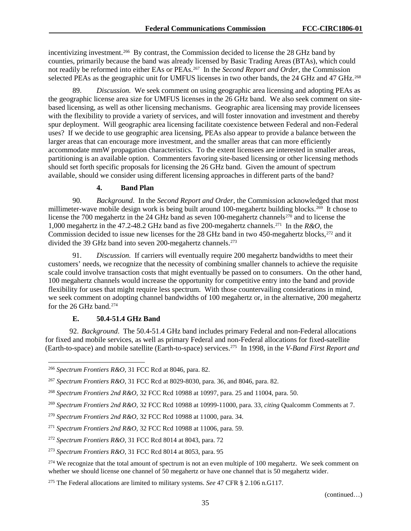incentivizing investment.<sup>[266](#page-35-0)</sup> By contrast, the Commission decided to license the 28 GHz band by counties, primarily because the band was already licensed by Basic Trading Areas (BTAs), which could not readily be reformed into either EAs or PEAs.[267](#page-35-1) In the *Second Report and Order,* the Commission selected PEAs as the geographic unit for UMFUS licenses in two other bands, the 24 GHz and 47 GHz.<sup>[268](#page-35-2)</sup>

89. *Discussion.* We seek comment on using geographic area licensing and adopting PEAs as the geographic license area size for UMFUS licenses in the 26 GHz band. We also seek comment on sitebased licensing, as well as other licensing mechanisms. Geographic area licensing may provide licensees with the flexibility to provide a variety of services, and will foster innovation and investment and thereby spur deployment. Will geographic area licensing facilitate coexistence between Federal and non-Federal uses? If we decide to use geographic area licensing, PEAs also appear to provide a balance between the larger areas that can encourage more investment, and the smaller areas that can more efficiently accommodate mmW propagation characteristics. To the extent licensees are interested in smaller areas, partitioning is an available option. Commenters favoring site-based licensing or other licensing methods should set forth specific proposals for licensing the 26 GHz band. Given the amount of spectrum available, should we consider using different licensing approaches in different parts of the band?

# **4. Band Plan**

90. *Background*.In the *Second Report and Order,* the Commission acknowledged that most millimeter-wave mobile design work is being built around 100-megahertz building blocks.<sup>269</sup> It chose to license the 700 megahertz in the 24 GHz band as seven 100-megahertz channels<sup>[270](#page-35-4)</sup> and to license the 1,000 megahertz in the 47.2-48.2 GHz band as five 200-megahertz channels.[271](#page-35-5) In the *R&O,* the Commission decided to issue new licenses for the 28 GHz band in two 450-megahertz blocks,<sup>272</sup> and it divided the 39 GHz band into seven 200-megahertz channels.<sup>273</sup>

91. *Discussion.* If carriers will eventually require 200 megahertz bandwidths to meet their customers' needs, we recognize that the necessity of combining smaller channels to achieve the requisite scale could involve transaction costs that might eventually be passed on to consumers. On the other hand, 100 megahertz channels would increase the opportunity for competitive entry into the band and provide flexibility for uses that might require less spectrum. With those countervailing considerations in mind, we seek comment on adopting channel bandwidths of 100 megahertz or, in the alternative, 200 megahertz for the 26 GHz band.<sup>[274](#page-35-8)</sup>

#### **E. 50.4-51.4 GHz Band**

92. *Background*. The 50.4-51.4 GHz band includes primary Federal and non-Federal allocations for fixed and mobile services, as well as primary Federal and non-Federal allocations for fixed-satellite (Earth-to-space) and mobile satellite (Earth-to-space) services[.275](#page-35-9) In 1998, in the *V-Band First Report and* 

<span id="page-35-0"></span> <sup>266</sup> *Spectrum Frontiers R&O,* 31 FCC Rcd at 8046, para. 82.

<span id="page-35-1"></span><sup>267</sup> *Spectrum Frontiers R&O,* 31 FCC Rcd at 8029-8030, para. 36, and 8046, para. 82.

<span id="page-35-2"></span><sup>268</sup> *Spectrum Frontiers 2nd R&O,* 32 FCC Rcd 10988 at 10997, para. 25 and 11004, para. 50.

<span id="page-35-3"></span><sup>269</sup> *Spectrum Frontiers 2nd R&O,* 32 FCC Rcd 10988 at 10999-11000, para. 33, *citing* Qualcomm Comments at 7.

<span id="page-35-4"></span><sup>270</sup> *Spectrum Frontiers 2nd R&O,* 32 FCC Rcd 10988 at 11000, para. 34.

<span id="page-35-5"></span><sup>271</sup> *Spectrum Frontiers 2nd R&O,* 32 FCC Rcd 10988 at 11006, para. 59.

<span id="page-35-6"></span><sup>272</sup> *Spectrum Frontiers R&O,* 31 FCC Rcd 8014 at 8043, para. 72

<span id="page-35-7"></span><sup>273</sup> *Spectrum Frontiers R&O,* 31 FCC Rcd 8014 at 8053, para. 95

<span id="page-35-8"></span><sup>&</sup>lt;sup>274</sup> We recognize that the total amount of spectrum is not an even multiple of 100 megahertz. We seek comment on whether we should license one channel of 50 megahertz or have one channel that is 50 megahertz wider.

<span id="page-35-9"></span><sup>275</sup> The Federal allocations are limited to military systems. *See* 47 CFR § 2.106 n.G117.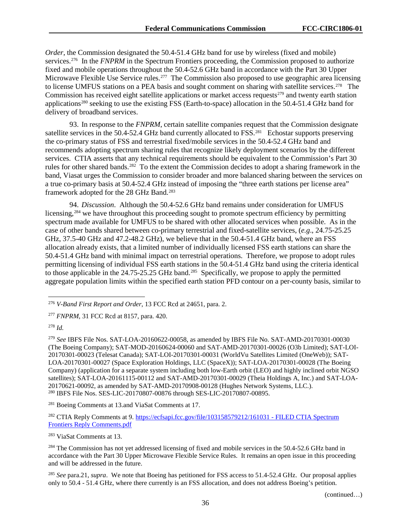*Order*, the Commission designated the 50.4-51.4 GHz band for use by wireless (fixed and mobile) services.[276](#page-36-0) In the *FNPRM* in the Spectrum Frontiers proceeding, the Commission proposed to authorize fixed and mobile operations throughout the 50.4-52.6 GHz band in accordance with the Part 30 Upper Microwave Flexible Use Service rules.<sup>[277](#page-36-1)</sup> The Commission also proposed to use geographic area licensing to license UMFUS stations on a PEA basis and sought comment on sharing with satellite services.<sup>278</sup> The Commission has received eight satellite applications or market access requests<sup>[279](#page-36-3)</sup> and twenty earth station applications<sup>[280](#page-36-4)</sup> seeking to use the existing FSS (Earth-to-space) allocation in the 50.4-51.4 GHz band for delivery of broadband services.

93. In response to the *FNPRM*, certain satellite companies request that the Commission designate satellite services in the 50.4-52.4 GHz band currently allocated to  $\text{FSS}^{\text{281}}$  $\text{FSS}^{\text{281}}$  $\text{FSS}^{\text{281}}$  Echostar supports preserving the co-primary status of FSS and terrestrial fixed/mobile services in the 50.4-52.4 GHz band and recommends adopting spectrum sharing rules that recognize likely deployment scenarios by the different services. CTIA asserts that any technical requirements should be equivalent to the Commission's Part 30 rules for other shared bands.<sup>282</sup> To the extent the Commission decides to adopt a sharing framework in the band, Viasat urges the Commission to consider broader and more balanced sharing between the services on a true co-primary basis at 50.4-52.4 GHz instead of imposing the "three earth stations per license area" framework adopted for the 28 GHz Band.<sup>[283](#page-36-7)</sup>

94. *Discussion*. Although the 50.4-52.6 GHz band remains under consideration for UMFUS licensing,<sup>[284](#page-36-8)</sup> we have throughout this proceeding sought to promote spectrum efficiency by permitting spectrum made available for UMFUS to be shared with other allocated services when possible. As in the case of other bands shared between co-primary terrestrial and fixed-satellite services, (*e.g*., 24.75-25.25 GHz, 37.5-40 GHz and 47.2-48.2 GHz), we believe that in the 50.4-51.4 GHz band, where an FSS allocation already exists, that a limited number of individually licensed FSS earth stations can share the 50.4-51.4 GHz band with minimal impact on terrestrial operations. Therefore, we propose to adopt rules permitting licensing of individual FSS earth stations in the 50.4-51.4 GHz band using the criteria identical to those applicable in the 24.75-25.25 GHz band.<sup>[285](#page-36-9)</sup> Specifically, we propose to apply the permitted aggregate population limits within the specified earth station PFD contour on a per-county basis, similar to

<span id="page-36-1"></span><sup>277</sup> *FNPRM*, 31 FCC Rcd at 8157, para. 420.

<span id="page-36-2"></span><sup>278</sup> *Id.*

<span id="page-36-3"></span><sup>279</sup> *See* IBFS File Nos. SAT-LOA-20160622-00058, as amended by IBFS File No. SAT-AMD-20170301-00030 (The Boeing Company); SAT-MOD-20160624-00060 and SAT-AMD-20170301-00026 (O3b Limited); SAT-LOI-20170301-00023 (Telesat Canada); SAT-LOI-20170301-00031 (WorldVu Satellites Limited (OneWeb)); SAT-LOA-20170301-00027 (Space Exploration Holdings, LLC (SpaceX)); SAT-LOA-20170301-00028 (The Boeing Company) (application for a separate system including both low-Earth orbit (LEO) and highly inclined orbit NGSO satellites); SAT-LOA-20161115-00112 and SAT-AMD-20170301-00029 (Theia Holdings A, Inc.) and SAT-LOA-20170621-00092, as amended by SAT-AMD-20170908-00128 (Hughes Network Systems, LLC.). <sup>280</sup> IBFS File Nos. SES-LIC-20170807-00876 through SES-LIC-20170807-00895.

<span id="page-36-5"></span><span id="page-36-4"></span><sup>281</sup> Boeing Comments at 13.and ViaSat Comments at 17.

<span id="page-36-6"></span><sup>282</sup> CTIA Reply Comments at 9. [https://ecfsapi.fcc.gov/file/103158579212/161031](https://ecfsapi.fcc.gov/file/103158579212/161031%20-%20FILED%20CTIA%20Spectrum%20Frontiers%20Reply%20Comments.pdf) - FILED CTIA Spectrum [Frontiers Reply Comments.pdf](https://ecfsapi.fcc.gov/file/103158579212/161031%20-%20FILED%20CTIA%20Spectrum%20Frontiers%20Reply%20Comments.pdf)

<span id="page-36-7"></span><sup>283</sup> ViaSat Comments at 13.

<span id="page-36-8"></span><sup>284</sup> The Commission has not yet addressed licensing of fixed and mobile services in the 50.4-52.6 GHz band in accordance with the Part 30 Upper Microwave Flexible Service Rules. It remains an open issue in this proceeding and will be addressed in the future.

<span id="page-36-9"></span><sup>285</sup> *See* para.21, *supra*. We note that Boeing has petitioned for FSS access to 51.4-52.4 GHz. Our proposal applies only to 50.4 - 51.4 GHz, where there currently is an FSS allocation, and does not address Boeing's petition.

<span id="page-36-0"></span> <sup>276</sup> *V-Band First Report and Order*, 13 FCC Rcd at 24651, para. 2.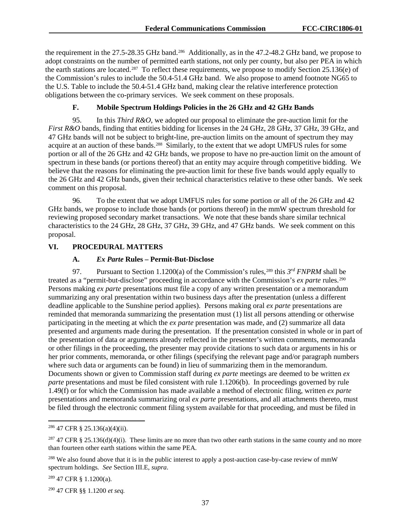the requirement in the 27.5-28.35 GHz band.<sup>[286](#page-37-0)</sup> Additionally, as in the 47.2-48.2 GHz band, we propose to adopt constraints on the number of permitted earth stations, not only per county, but also per PEA in which the earth stations are located.<sup>287</sup> To reflect these requirements, we propose to modify Section 25.136(e) of the Commission's rules to include the 50.4-51.4 GHz band. We also propose to amend footnote NG65 to the U.S. Table to include the 50.4-51.4 GHz band, making clear the relative interference protection obligations between the co-primary services. We seek comment on these proposals.

# **F. Mobile Spectrum Holdings Policies in the 26 GHz and 42 GHz Bands**

95. In this *Third R&O*, we adopted our proposal to eliminate the pre-auction limit for the *First R&O* bands, finding that entities bidding for licenses in the 24 GHz, 28 GHz, 37 GHz, 39 GHz, and 47 GHz bands will not be subject to bright-line, pre-auction limits on the amount of spectrum they may acquire at an auction of these bands.<sup>288</sup> Similarly, to the extent that we adopt UMFUS rules for some portion or all of the 26 GHz and 42 GHz bands, we propose to have no pre-auction limit on the amount of spectrum in these bands (or portions thereof) that an entity may acquire through competitive bidding. We believe that the reasons for eliminating the pre-auction limit for these five bands would apply equally to the 26 GHz and 42 GHz bands, given their technical characteristics relative to these other bands. We seek comment on this proposal.

96. To the extent that we adopt UMFUS rules for some portion or all of the 26 GHz and 42 GHz bands, we propose to include those bands (or portions thereof) in the mmW spectrum threshold for reviewing proposed secondary market transactions. We note that these bands share similar technical characteristics to the 24 GHz, 28 GHz, 37 GHz, 39 GHz, and 47 GHz bands. We seek comment on this proposal.

## **VI. PROCEDURAL MATTERS**

## **A.** *Ex Parte* **Rules – Permit-But-Disclose**

97. Pursuant to Section 1.1200(a) of the Commission's rules,<sup>[289](#page-37-3)</sup> this 3<sup>rd</sup> *FNPRM* shall be treated as a "permit-but-disclose" proceeding in accordance with the Commission's *ex parte* rules.[290](#page-37-4) Persons making *ex parte* presentations must file a copy of any written presentation or a memorandum summarizing any oral presentation within two business days after the presentation (unless a different deadline applicable to the Sunshine period applies). Persons making oral *ex parte* presentations are reminded that memoranda summarizing the presentation must (1) list all persons attending or otherwise participating in the meeting at which the *ex parte* presentation was made, and (2) summarize all data presented and arguments made during the presentation. If the presentation consisted in whole or in part of the presentation of data or arguments already reflected in the presenter's written comments, memoranda or other filings in the proceeding, the presenter may provide citations to such data or arguments in his or her prior comments, memoranda, or other filings (specifying the relevant page and/or paragraph numbers where such data or arguments can be found) in lieu of summarizing them in the memorandum. Documents shown or given to Commission staff during *ex parte* meetings are deemed to be written *ex parte* presentations and must be filed consistent with rule 1.1206(b). In proceedings governed by rule 1.49(f) or for which the Commission has made available a method of electronic filing, written *ex parte*  presentations and memoranda summarizing oral *ex parte* presentations, and all attachments thereto, must be filed through the electronic comment filing system available for that proceeding, and must be filed in

<span id="page-37-3"></span><sup>289</sup> 47 CFR § 1.1200(a).

<span id="page-37-4"></span><sup>290</sup> 47 CFR §§ 1.1200 *et seq.*

<span id="page-37-0"></span> $286$  47 CFR § 25.136(a)(4)(ii).

<span id="page-37-1"></span><sup>&</sup>lt;sup>287</sup> 47 CFR § 25.136(d)(4)(i). These limits are no more than two other earth stations in the same county and no more than fourteen other earth stations within the same PEA.

<span id="page-37-2"></span><sup>&</sup>lt;sup>288</sup> We also found above that it is in the public interest to apply a post-auction case-by-case review of mmW spectrum holdings*. See* Section [III.E,](#page-12-0) *supra*.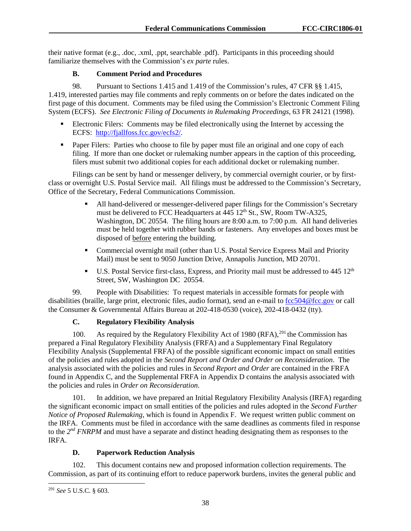their native format (e.g., .doc, .xml, .ppt, searchable .pdf). Participants in this proceeding should familiarize themselves with the Commission's *ex parte* rules.

# **B. Comment Period and Procedures**

98. Pursuant to Sections 1.415 and 1.419 of the Commission's rules, 47 CFR §§ 1.415, 1.419, interested parties may file comments and reply comments on or before the dates indicated on the first page of this document. Comments may be filed using the Commission's Electronic Comment Filing System (ECFS). *See Electronic Filing of Documents in Rulemaking Proceedings*, 63 FR 24121 (1998).

- Electronic Filers: Comments may be filed electronically using the Internet by accessing the ECFS: [http://fjallfoss.fcc.gov/ecfs2/.](http://fjallfoss.fcc.gov/ecfs2/)
- **Paper Filers:** Parties who choose to file by paper must file an original and one copy of each filing. If more than one docket or rulemaking number appears in the caption of this proceeding, filers must submit two additional copies for each additional docket or rulemaking number.

Filings can be sent by hand or messenger delivery, by commercial overnight courier, or by firstclass or overnight U.S. Postal Service mail. All filings must be addressed to the Commission's Secretary, Office of the Secretary, Federal Communications Commission.

- All hand-delivered or messenger-delivered paper filings for the Commission's Secretary must be delivered to FCC Headquarters at 445 12<sup>th</sup> St., SW, Room TW-A325, Washington, DC 20554. The filing hours are 8:00 a.m. to 7:00 p.m. All hand deliveries must be held together with rubber bands or fasteners. Any envelopes and boxes must be disposed of before entering the building.
- Commercial overnight mail (other than U.S. Postal Service Express Mail and Priority Mail) must be sent to 9050 Junction Drive, Annapolis Junction, MD 20701.
- U.S. Postal Service first-class, Express, and Priority mail must be addressed to 445 12<sup>th</sup> Street, SW, Washington DC 20554.

99. People with Disabilities: To request materials in accessible formats for people with disabilities (braille, large print, electronic files, audio format), send an e-mail to [fcc504@fcc.gov](mailto:fcc504@fcc.gov) or call the Consumer & Governmental Affairs Bureau at 202-418-0530 (voice), 202-418-0432 (tty).

# **C. Regulatory Flexibility Analysis**

100. As required by the Regulatory Flexibility Act of 1980 (RFA),  $^{291}$  $^{291}$  $^{291}$  the Commission has prepared a Final Regulatory Flexibility Analysis (FRFA) and a Supplementary Final Regulatory Flexibility Analysis (Supplemental FRFA) of the possible significant economic impact on small entities of the policies and rules adopted in the *Second Report and Order and Order on Reconsideration*. The analysis associated with the policies and rules in *Second Report and Order* are contained in the FRFA found in Appendix C, and the Supplemental FRFA in Appendix D contains the analysis associated with the policies and rules in *Order on Reconsideration*.

101. In addition, we have prepared an Initial Regulatory Flexibility Analysis (IRFA) regarding the significant economic impact on small entities of the policies and rules adopted in the *Second Further Notice of Proposed Rulemaking*, which is found in Appendix F. We request written public comment on the IRFA. Comments must be filed in accordance with the same deadlines as comments filed in response to the *2nd FNRPM* and must have a separate and distinct heading designating them as responses to the IRFA.

# **D. Paperwork Reduction Analysis**

102. This document contains new and proposed information collection requirements. The Commission, as part of its continuing effort to reduce paperwork burdens, invites the general public and

<span id="page-38-0"></span> <sup>291</sup> *See* 5 U.S.C. § 603.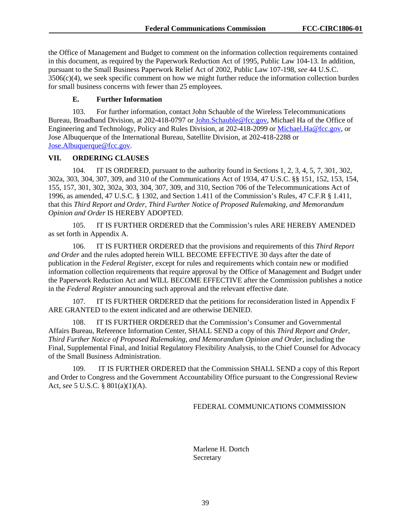the Office of Management and Budget to comment on the information collection requirements contained in this document, as required by the Paperwork Reduction Act of 1995, Public Law 104-13. In addition, pursuant to the Small Business Paperwork Relief Act of 2002, Public Law 107-198, *see* 44 U.S.C. 3506(c)(4), we seek specific comment on how we might further reduce the information collection burden for small business concerns with fewer than 25 employees.

# **E. Further Information**

103. For further information, contact John Schauble of the Wireless Telecommunications Bureau, Broadband Division, at 202-418-0797 or [John.Schauble@fcc.gov,](mailto:John.Schauble@fcc.gov) Michael Ha of the Office of Engineering and Technology, Policy and Rules Division, at 202-418-2099 or [Michael.Ha@fcc.gov,](mailto:Michael.Ha@fcc.gov) or Jose Albuquerque of the International Bureau, Satellite Division, at 202-418-2288 or [Jose.Albuquerque@fcc.gov.](mailto:Jose.Albuquerque@fcc.gov)

## **VII. ORDERING CLAUSES**

104. IT IS ORDERED, pursuant to the authority found in Sections 1, 2, 3, 4, 5, 7, 301, 302, 302a, 303, 304, 307, 309, and 310 of the Communications Act of 1934, 47 U.S.C. §§ 151, 152, 153, 154, 155, 157, 301, 302, 302a, 303, 304, 307, 309, and 310, Section 706 of the Telecommunications Act of 1996, as amended, 47 U.S.C. § 1302, and Section 1.411 of the Commission's Rules, 47 C.F.R § 1.411, that this *Third Report and Order, Third Further Notice of Proposed Rulemaking, and Memorandum Opinion and Order* IS HEREBY ADOPTED.

105. IT IS FURTHER ORDERED that the Commission's rules ARE HEREBY AMENDED as set forth in Appendix A.

106. IT IS FURTHER ORDERED that the provisions and requirements of this *Third Report and Order* and the rules adopted herein WILL BECOME EFFECTIVE 30 days after the date of publication in the *Federal Register*, except for rules and requirements which contain new or modified information collection requirements that require approval by the Office of Management and Budget under the Paperwork Reduction Act and WILL BECOME EFFECTIVE after the Commission publishes a notice in the *Federal Register* announcing such approval and the relevant effective date.

107. IT IS FURTHER ORDERED that the petitions for reconsideration listed in Appendix F ARE GRANTED to the extent indicated and are otherwise DENIED.

108. IT IS FURTHER ORDERED that the Commission's Consumer and Governmental Affairs Bureau, Reference Information Center, SHALL SEND a copy of this *Third Report and Order, Third Further Notice of Proposed Rulemaking, and Memorandum Opinion and Order,* including the Final, Supplemental Final, and Initial Regulatory Flexibility Analysis, to the Chief Counsel for Advocacy of the Small Business Administration.

109. IT IS FURTHER ORDERED that the Commission SHALL SEND a copy of this Report and Order to Congress and the Government Accountability Office pursuant to the Congressional Review Act, *see* 5 U.S.C. § 801(a)(1)(A).

### FEDERAL COMMUNICATIONS COMMISSION

Marlene H. Dortch Secretary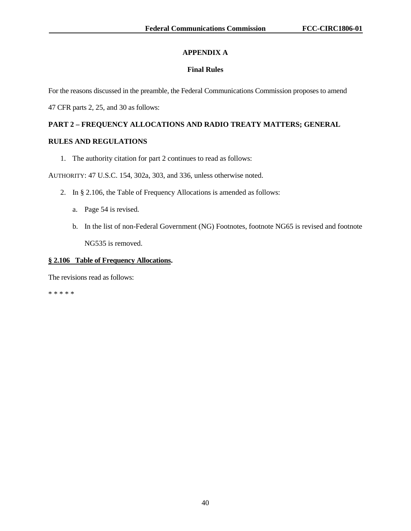# **APPENDIX A**

# **Final Rules**

For the reasons discussed in the preamble, the Federal Communications Commission proposes to amend

47 CFR parts 2, 25, and 30 as follows:

# **PART 2 – FREQUENCY ALLOCATIONS AND RADIO TREATY MATTERS; GENERAL**

## **RULES AND REGULATIONS**

1. The authority citation for part 2 continues to read as follows:

AUTHORITY: 47 U.S.C. 154, 302a, 303, and 336, unless otherwise noted.

- 2. In § 2.106, the Table of Frequency Allocations is amended as follows:
	- a. Page 54 is revised.
	- b. In the list of non-Federal Government (NG) Footnotes, footnote NG65 is revised and footnote NG535 is removed.

## **§ 2.106 Table of Frequency Allocations.**

The revisions read as follows:

\* \* \* \* \*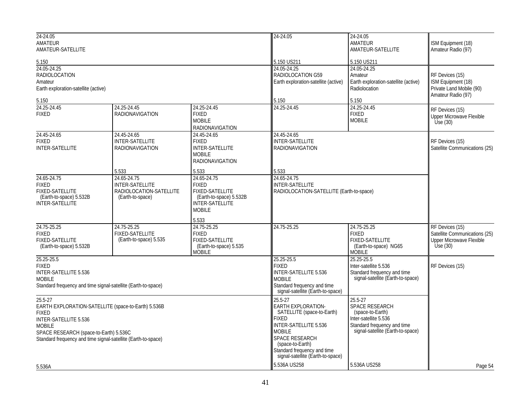| 24-24.05                                                                                                                                                                                                                            |                                                                                      |                                                                                                                             | 24-24.05                                                                                                                                                                                                                        | 24-24.05                                                                                                                                       |                                                                                                   |
|-------------------------------------------------------------------------------------------------------------------------------------------------------------------------------------------------------------------------------------|--------------------------------------------------------------------------------------|-----------------------------------------------------------------------------------------------------------------------------|---------------------------------------------------------------------------------------------------------------------------------------------------------------------------------------------------------------------------------|------------------------------------------------------------------------------------------------------------------------------------------------|---------------------------------------------------------------------------------------------------|
| AMATEUR<br>AMATEUR-SATELLITE                                                                                                                                                                                                        |                                                                                      |                                                                                                                             |                                                                                                                                                                                                                                 | AMATEUR<br>AMATEUR-SATELLITE                                                                                                                   | <b>ISM Equipment (18)</b><br>Amateur Radio (97)                                                   |
|                                                                                                                                                                                                                                     |                                                                                      |                                                                                                                             | 5.150 US211                                                                                                                                                                                                                     | 5.150 US211                                                                                                                                    |                                                                                                   |
| 5.150<br>24.05-24.25<br><b>RADIOLOCATION</b><br>Amateur<br>Earth exploration-satellite (active)                                                                                                                                     |                                                                                      |                                                                                                                             | 24.05-24.25<br>RADIOLOCATION G59<br>Earth exploration-satellite (active)                                                                                                                                                        | 24.05-24.25<br>Amateur<br>Earth exploration-satellite (active)<br>Radiolocation                                                                | RF Devices (15)<br>ISM Equipment (18)<br>Private Land Mobile (90)<br>Amateur Radio (97)           |
| 5.150                                                                                                                                                                                                                               |                                                                                      |                                                                                                                             | 5.150                                                                                                                                                                                                                           | 5.150                                                                                                                                          |                                                                                                   |
| 24.25-24.45<br><b>FIXED</b>                                                                                                                                                                                                         | 24.25-24.45<br><b>RADIONAVIGATION</b>                                                | 24.25-24.45<br><b>FIXED</b><br><b>MOBILE</b><br><b>RADIONAVIGATION</b>                                                      | 24.25-24.45                                                                                                                                                                                                                     | 24.25-24.45<br><b>FIXED</b><br><b>MOBILE</b>                                                                                                   | RF Devices (15)<br>Upper Microwave Flexible<br>Use $(30)$                                         |
| 24.45-24.65<br><b>FIXED</b><br><b>INTER-SATELLITE</b>                                                                                                                                                                               | 24.45-24.65<br><b>INTER-SATELLITE</b><br><b>RADIONAVIGATION</b>                      | 24.45-24.65<br><b>FIXED</b><br><b>INTER-SATELLITE</b><br><b>MOBILE</b><br><b>RADIONAVIGATION</b>                            | 24.45-24.65<br><b>INTER-SATELLITE</b><br><b>RADIONAVIGATION</b>                                                                                                                                                                 |                                                                                                                                                | RF Devices (15)<br>Satellite Communications (25)                                                  |
|                                                                                                                                                                                                                                     | 5.533                                                                                | 5.533                                                                                                                       | 5.533                                                                                                                                                                                                                           |                                                                                                                                                |                                                                                                   |
| 24.65-24.75<br><b>FIXED</b><br><b>FIXED-SATELLITE</b><br>(Earth-to-space) 5.532B<br><b>INTER-SATELLITE</b>                                                                                                                          | 24.65-24.75<br><b>INTER-SATELLITE</b><br>RADIOLOCATION-SATELLITE<br>(Earth-to-space) | 24.65-24.75<br><b>FIXED</b><br><b>FIXED-SATELLITE</b><br>(Earth-to-space) 5.532B<br><b>INTER-SATELLITE</b><br><b>MOBILE</b> | 24.65-24.75<br><b>INTER-SATELLITE</b><br>RADIOLOCATION-SATELLITE (Earth-to-space)                                                                                                                                               |                                                                                                                                                |                                                                                                   |
|                                                                                                                                                                                                                                     |                                                                                      | 5.533                                                                                                                       |                                                                                                                                                                                                                                 |                                                                                                                                                |                                                                                                   |
| 24.75-25.25<br><b>FIXED</b><br><b>FIXED-SATELLITE</b><br>(Earth-to-space) 5.532B                                                                                                                                                    | 24.75-25.25<br><b>FIXED-SATELLITE</b><br>(Earth-to-space) 5.535                      | 24.75-25.25<br><b>FIXED</b><br><b>FIXED-SATELLITE</b><br>(Earth-to-space) 5.535<br><b>MOBILE</b>                            | 24.75-25.25                                                                                                                                                                                                                     | 24.75-25.25<br><b>FIXED</b><br><b>FIXED-SATELLITE</b><br>(Earth-to-space) NG65<br><b>MOBILE</b>                                                | RF Devices (15)<br>Satellite Communications (25)<br><b>Upper Microwave Flexible</b><br>Use $(30)$ |
| 25.25-25.5<br><b>FIXED</b><br>INTER-SATELLITE 5.536<br><b>MOBILE</b><br>Standard frequency and time signal-satellite (Earth-to-space)                                                                                               |                                                                                      |                                                                                                                             | 25.25-25.5<br>FIXED<br>INTER-SATELLITE 5.536<br><b>MOBILE</b><br>Standard frequency and time<br>signal-satellite (Earth-to-space)                                                                                               | 25.25-25.5<br>Inter-satellite 5.536<br>Standard frequency and time<br>signal-satellite (Earth-to-space)                                        | RF Devices (15)                                                                                   |
| 25.5-27<br>EARTH EXPLORATION-SATELLITE (space-to-Earth) 5.536B<br><b>FIXED</b><br>INTER-SATELLITE 5.536<br><b>MOBILE</b><br>SPACE RESEARCH (space-to-Earth) 5.536C<br>Standard frequency and time signal-satellite (Earth-to-space) |                                                                                      |                                                                                                                             | 25.5-27<br>EARTH EXPLORATION-<br>SATELLITE (space-to-Earth)<br>FIXED<br><b>INTER-SATELLITE 5.536</b><br><b>MOBILE</b><br>SPACE RESEARCH<br>(space-to-Earth)<br>Standard frequency and time<br>signal-satellite (Earth-to-space) | $25.5 - 27$<br>SPACE RESEARCH<br>(space-to-Earth)<br>Inter-satellite 5.536<br>Standard frequency and time<br>signal-satellite (Earth-to-space) |                                                                                                   |
| 5.536A                                                                                                                                                                                                                              |                                                                                      |                                                                                                                             | 5.536A US258                                                                                                                                                                                                                    | 5.536A US258                                                                                                                                   | Page 54                                                                                           |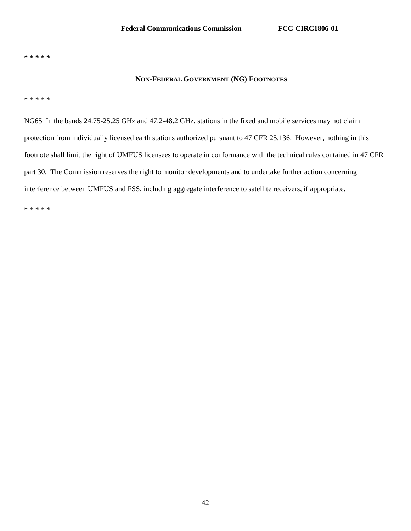**\* \* \* \* \***

## **NON-FEDERAL GOVERNMENT (NG) FOOTNOTES**

\* \* \* \* \*

NG65 In the bands 24.75-25.25 GHz and 47.2-48.2 GHz, stations in the fixed and mobile services may not claim protection from individually licensed earth stations authorized pursuant to 47 CFR 25.136. However, nothing in this footnote shall limit the right of UMFUS licensees to operate in conformance with the technical rules contained in 47 CFR part 30. The Commission reserves the right to monitor developments and to undertake further action concerning interference between UMFUS and FSS, including aggregate interference to satellite receivers, if appropriate.

\* \* \* \* \*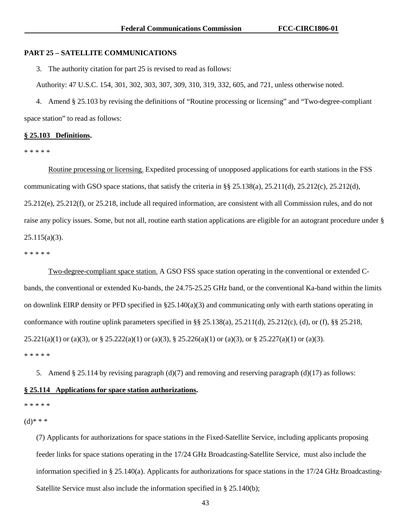### **PART 25 – SATELLITE COMMUNICATIONS**

3. The authority citation for part 25 is revised to read as follows:

Authority: 47 U.S.C. 154, 301, 302, 303, 307, 309, 310, 319, 332, 605, and 721, unless otherwise noted.

4. Amend § 25.103 by revising the definitions of "Routine processing or licensing" and "Two-degree-compliant space station" to read as follows:

### **§ 25.103 Definitions.**

\* \* \* \* \*

Routine processing or licensing. Expedited processing of unopposed applications for earth stations in the FSS communicating with GSO space stations, that satisfy the criteria in §§ 25.138(a), 25.211(d), 25.212(c), 25.212(d), 25.212(e), 25.212(f), or 25.218, include all required information, are consistent with all Commission rules, and do not raise any policy issues. Some, but not all, routine earth station applications are eligible for an autogrant procedure under § 25.115(a)(3).

\* \* \* \* \*

Two-degree-compliant space station. A GSO FSS space station operating in the conventional or extended Cbands, the conventional or extended Ku-bands, the 24.75-25.25 GHz band, or the conventional Ka-band within the limits on downlink EIRP density or PFD specified in  $\S25.140(a)(3)$  and communicating only with earth stations operating in conformance with routine uplink parameters specified in  $\S$ § 25.138(a), 25.211(d), 25.212(c), (d), or (f),  $\S$ § 25.218, 25.221(a)(1) or (a)(3), or § 25.222(a)(1) or (a)(3), § 25.226(a)(1) or (a)(3), or § 25.227(a)(1) or (a)(3). \* \* \* \* \*

5. Amend § 25.114 by revising paragraph (d)(7) and removing and reserving paragraph (d)(17) as follows:

### **§ 25.114 Applications for space station authorizations.**

\* \* \* \* \*

 $(d)$ \* \* \*

(7) Applicants for authorizations for space stations in the Fixed-Satellite Service, including applicants proposing feeder links for space stations operating in the 17/24 GHz Broadcasting-Satellite Service, must also include the information specified in § 25.140(a). Applicants for authorizations for space stations in the 17/24 GHz Broadcasting-Satellite Service must also include the information specified in § 25.140(b);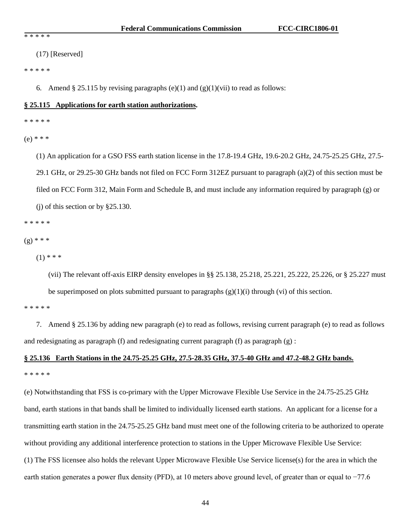(17) [Reserved]

\* \* \* \* \*

6. Amend § 25.115 by revising paragraphs (e)(1) and (g)(1)(vii) to read as follows:

## **§ 25.115 Applications for earth station authorizations.**

\* \* \* \* \*

(e) \* \* \*

(1) An application for a GSO FSS earth station license in the 17.8-19.4 GHz, 19.6-20.2 GHz, 24.75-25.25 GHz, 27.5- 29.1 GHz, or 29.25-30 GHz bands not filed on FCC Form 312EZ pursuant to paragraph (a)(2) of this section must be filed on FCC Form 312, Main Form and Schedule B, and must include any information required by paragraph (g) or (j) of this section or by §25.130.

\* \* \* \* \*

 $(g) * * *$ 

 $(1)$  \* \* \*

(vii) The relevant off-axis EIRP density envelopes in §§ 25.138, 25.218, 25.221, 25.222, 25.226, or § 25.227 must be superimposed on plots submitted pursuant to paragraphs  $(g)(1)(i)$  through (vi) of this section.

\* \* \* \* \*

7. Amend § 25.136 by adding new paragraph (e) to read as follows, revising current paragraph (e) to read as follows and redesignating as paragraph (f) and redesignating current paragraph (f) as paragraph (g) :

# **§ 25.136 Earth Stations in the 24.75-25.25 GHz, 27.5-28.35 GHz, 37.5-40 GHz and 47.2-48.2 GHz bands.**  \* \* \* \* \*

(e) Notwithstanding that FSS is co-primary with the Upper Microwave Flexible Use Service in the 24.75-25.25 GHz band, earth stations in that bands shall be limited to individually licensed earth stations. An applicant for a license for a transmitting earth station in the 24.75-25.25 GHz band must meet one of the following criteria to be authorized to operate without providing any additional interference protection to stations in the Upper Microwave Flexible Use Service: (1) The FSS licensee also holds the relevant Upper Microwave Flexible Use Service license(s) for the area in which the earth station generates a power flux density (PFD), at 10 meters above ground level, of greater than or equal to −77.6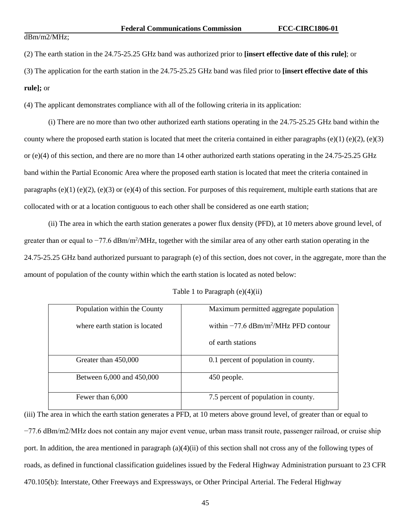### dBm/m2/MHz;

(2) The earth station in the 24.75-25.25 GHz band was authorized prior to **[insert effective date of this rule]**; or

(3) The application for the earth station in the 24.75-25.25 GHz band was filed prior to **[insert effective date of this rule];** or

(4) The applicant demonstrates compliance with all of the following criteria in its application:

(i) There are no more than two other authorized earth stations operating in the 24.75-25.25 GHz band within the county where the proposed earth station is located that meet the criteria contained in either paragraphs (e)(1) (e)(2), (e)(3) or (e)(4) of this section, and there are no more than 14 other authorized earth stations operating in the 24.75-25.25 GHz band within the Partial Economic Area where the proposed earth station is located that meet the criteria contained in paragraphs (e)(1) (e)(2), (e)(3) or (e)(4) of this section. For purposes of this requirement, multiple earth stations that are collocated with or at a location contiguous to each other shall be considered as one earth station;

(ii) The area in which the earth station generates a power flux density (PFD), at 10 meters above ground level, of greater than or equal to -77.6 dBm/m<sup>2</sup>/MHz, together with the similar area of any other earth station operating in the 24.75-25.25 GHz band authorized pursuant to paragraph (e) of this section, does not cover, in the aggregate, more than the amount of population of the county within which the earth station is located as noted below:

|  |  | Table 1 to Paragraph $(e)(4)(ii)$ |  |  |
|--|--|-----------------------------------|--|--|
|--|--|-----------------------------------|--|--|

| Population within the County   | Maximum permitted aggregate population                |
|--------------------------------|-------------------------------------------------------|
| where earth station is located | within $-77.6 \text{ dBm/m}^2/\text{MHz PFD}$ contour |
|                                | of earth stations                                     |
| Greater than 450,000           | 0.1 percent of population in county.                  |
| Between 6,000 and 450,000      | 450 people.                                           |
| Fewer than 6,000               | 7.5 percent of population in county.                  |

(iii) The area in which the earth station generates a PFD, at 10 meters above ground level, of greater than or equal to −77.6 dBm/m2/MHz does not contain any major event venue, urban mass transit route, passenger railroad, or cruise ship port. In addition, the area mentioned in paragraph (a)(4)(ii) of this section shall not cross any of the following types of roads, as defined in functional classification guidelines issued by the Federal Highway Administration pursuant to 23 CFR 470.105(b): Interstate, Other Freeways and Expressways, or Other Principal Arterial. The Federal Highway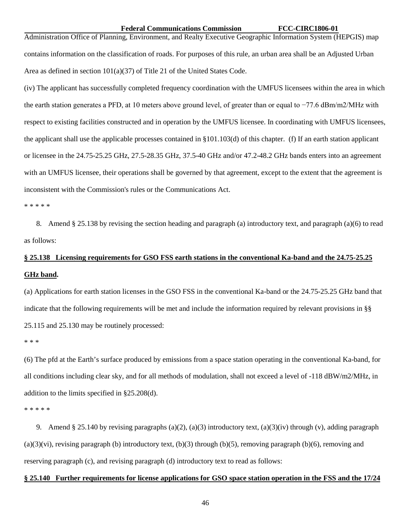### **Federal Communications Commission FCC-CIRC1806-01**

Administration Office of Planning, Environment, and Realty Executive Geographic Information System (HEPGIS) map contains information on the classification of roads. For purposes of this rule, an urban area shall be an Adjusted Urban Area as defined in section 101(a)(37) of Title 21 of the United States Code.

(iv) The applicant has successfully completed frequency coordination with the UMFUS licensees within the area in which the earth station generates a PFD, at 10 meters above ground level, of greater than or equal to −77.6 dBm/m2/MHz with respect to existing facilities constructed and in operation by the UMFUS licensee. In coordinating with UMFUS licensees, the applicant shall use the applicable processes contained in §101.103(d) of this chapter. (f) If an earth station applicant or licensee in the 24.75-25.25 GHz, 27.5-28.35 GHz, 37.5-40 GHz and/or 47.2-48.2 GHz bands enters into an agreement with an UMFUS licensee, their operations shall be governed by that agreement, except to the extent that the agreement is inconsistent with the Commission's rules or the Communications Act.

### \* \* \* \* \*

8. Amend § 25.138 by revising the section heading and paragraph (a) introductory text, and paragraph (a)(6) to read as follows:

# **§ 25.138 Licensing requirements for GSO FSS earth stations in the conventional Ka-band and the 24.75-25.25 GHz band.**

(a) Applications for earth station licenses in the GSO FSS in the conventional Ka-band or the 24.75-25.25 GHz band that indicate that the following requirements will be met and include the information required by relevant provisions in §§ 25.115 and 25.130 may be routinely processed:

\* \* \*

(6) The pfd at the Earth's surface produced by emissions from a space station operating in the conventional Ka-band, for all conditions including clear sky, and for all methods of modulation, shall not exceed a level of -118 dBW/m2/MHz, in addition to the limits specified in §25.208(d).

\* \* \* \* \*

9. Amend § 25.140 by revising paragraphs (a)(2), (a)(3) introductory text, (a)(3)(iv) through (v), adding paragraph  $(a)(3)(vi)$ , revising paragraph (b) introductory text,  $(b)(3)$  through  $(b)(5)$ , removing paragraph  $(b)(6)$ , removing and reserving paragraph (c), and revising paragraph (d) introductory text to read as follows:

### **§ 25.140 Further requirements for license applications for GSO space station operation in the FSS and the 17/24**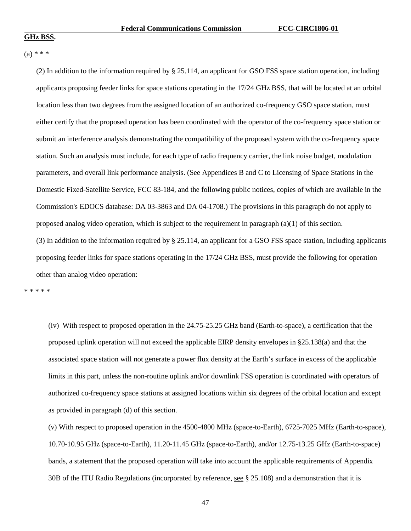# $(a) * * *$

(2) In addition to the information required by § 25.114, an applicant for GSO FSS space station operation, including applicants proposing feeder links for space stations operating in the 17/24 GHz BSS, that will be located at an orbital location less than two degrees from the assigned location of an authorized co-frequency GSO space station, must either certify that the proposed operation has been coordinated with the operator of the co-frequency space station or submit an interference analysis demonstrating the compatibility of the proposed system with the co-frequency space station. Such an analysis must include, for each type of radio frequency carrier, the link noise budget, modulation parameters, and overall link performance analysis. (See Appendices B and C to Licensing of Space Stations in the Domestic Fixed-Satellite Service, FCC 83-184, and the following public notices, copies of which are available in the Commission's EDOCS database: DA 03-3863 and DA 04-1708.) The provisions in this paragraph do not apply to proposed analog video operation, which is subject to the requirement in paragraph (a)(1) of this section. (3) In addition to the information required by § 25.114, an applicant for a GSO FSS space station, including applicants proposing feeder links for space stations operating in the 17/24 GHz BSS, must provide the following for operation other than analog video operation:

\* \* \* \* \*

(iv) With respect to proposed operation in the 24.75-25.25 GHz band (Earth-to-space), a certification that the proposed uplink operation will not exceed the applicable EIRP density envelopes in §25.138(a) and that the associated space station will not generate a power flux density at the Earth's surface in excess of the applicable limits in this part, unless the non-routine uplink and/or downlink FSS operation is coordinated with operators of authorized co-frequency space stations at assigned locations within six degrees of the orbital location and except as provided in paragraph (d) of this section.

(v) With respect to proposed operation in the 4500-4800 MHz (space-to-Earth), 6725-7025 MHz (Earth-to-space), 10.70-10.95 GHz (space-to-Earth), 11.20-11.45 GHz (space-to-Earth), and/or 12.75-13.25 GHz (Earth-to-space) bands, a statement that the proposed operation will take into account the applicable requirements of Appendix 30B of the ITU Radio Regulations (incorporated by reference,  $\frac{\text{see } 8 \text{ 25.108}}{25.108}$ ) and a demonstration that it is

47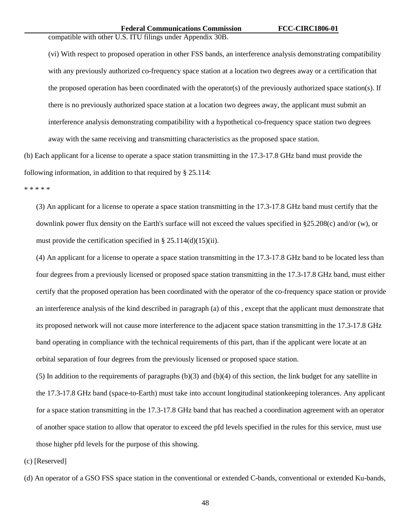compatible with other U.S. ITU filings under Appendix 30B.

(vi) With respect to proposed operation in other FSS bands, an interference analysis demonstrating compatibility with any previously authorized co-frequency space station at a location two degrees away or a certification that the proposed operation has been coordinated with the operator(s) of the previously authorized space station(s). If there is no previously authorized space station at a location two degrees away, the applicant must submit an interference analysis demonstrating compatibility with a hypothetical co-frequency space station two degrees away with the same receiving and transmitting characteristics as the proposed space station.

(b) Each applicant for a license to operate a space station transmitting in the 17.3-17.8 GHz band must provide the following information, in addition to that required by § 25.114:

\* \* \* \* \*

(3) An applicant for a license to operate a space station transmitting in the 17.3-17.8 GHz band must certify that the downlink power flux density on the Earth's surface will not exceed the values specified in §25.208(c) and/or (w), or must provide the certification specified in § 25.114(d)(15)(ii).

(4) An applicant for a license to operate a space station transmitting in the 17.3-17.8 GHz band to be located less than four degrees from a previously licensed or proposed space station transmitting in the 17.3-17.8 GHz band, must either certify that the proposed operation has been coordinated with the operator of the co-frequency space station or provide an interference analysis of the kind described in paragraph (a) of this , except that the applicant must demonstrate that its proposed network will not cause more interference to the adjacent space station transmitting in the 17.3-17.8 GHz band operating in compliance with the technical requirements of this part, than if the applicant were locate at an orbital separation of four degrees from the previously licensed or proposed space station.

(5) In addition to the requirements of paragraphs (b)(3) and (b)(4) of this section, the link budget for any satellite in the 17.3-17.8 GHz band (space-to-Earth) must take into account longitudinal stationkeeping tolerances. Any applicant for a space station transmitting in the 17.3-17.8 GHz band that has reached a coordination agreement with an operator of another space station to allow that operator to exceed the pfd levels specified in the rules for this service, must use those higher pfd levels for the purpose of this showing.

(c) [Reserved]

(d) An operator of a GSO FSS space station in the conventional or extended C-bands, conventional or extended Ku-bands,

48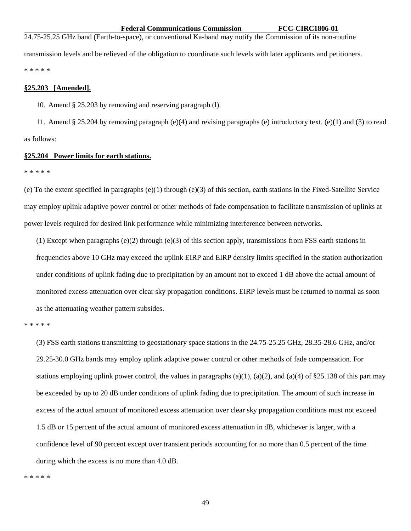**Federal Communications Commission FCC-CIRC1806-01**

24.75-25.25 GHz band (Earth-to-space), or conventional Ka-band may notify the Commission of its non-routine transmission levels and be relieved of the obligation to coordinate such levels with later applicants and petitioners. \* \* \* \* \*

### **§25.203 [Amended].**

10. Amend § 25.203 by removing and reserving paragraph (l).

11. Amend § 25.204 by removing paragraph (e)(4) and revising paragraphs (e) introductory text, (e)(1) and (3) to read as follows:

### **§25.204 Power limits for earth stations.**

\* \* \* \* \*

(e) To the extent specified in paragraphs  $(e)(1)$  through  $(e)(3)$  of this section, earth stations in the Fixed-Satellite Service may employ uplink adaptive power control or other methods of fade compensation to facilitate transmission of uplinks at power levels required for desired link performance while minimizing interference between networks.

(1) Except when paragraphs  $(e)(2)$  through  $(e)(3)$  of this section apply, transmissions from FSS earth stations in frequencies above 10 GHz may exceed the uplink EIRP and EIRP density limits specified in the station authorization under conditions of uplink fading due to precipitation by an amount not to exceed 1 dB above the actual amount of monitored excess attenuation over clear sky propagation conditions. EIRP levels must be returned to normal as soon as the attenuating weather pattern subsides.

\* \* \* \* \*

(3) FSS earth stations transmitting to geostationary space stations in the 24.75-25.25 GHz, 28.35-28.6 GHz, and/or 29.25-30.0 GHz bands may employ uplink adaptive power control or other methods of fade compensation. For stations employing uplink power control, the values in paragraphs  $(a)(1)$ ,  $(a)(2)$ , and  $(a)(4)$  of §25.138 of this part may be exceeded by up to 20 dB under conditions of uplink fading due to precipitation. The amount of such increase in excess of the actual amount of monitored excess attenuation over clear sky propagation conditions must not exceed 1.5 dB or 15 percent of the actual amount of monitored excess attenuation in dB, whichever is larger, with a confidence level of 90 percent except over transient periods accounting for no more than 0.5 percent of the time during which the excess is no more than 4.0 dB.

\* \* \* \* \*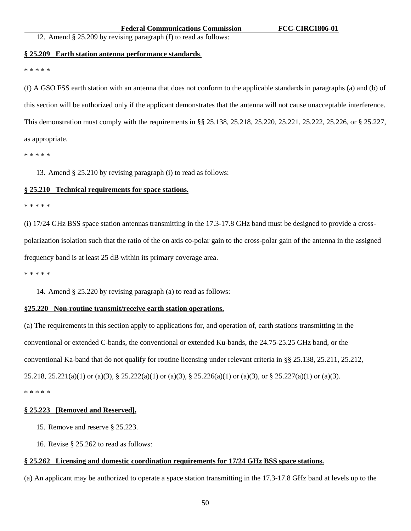# 12. Amend § 25.209 by revising paragraph (f) to read as follows:

### **§ 25.209 Earth station antenna performance standards**.

### \* \* \* \* \*

(f) A GSO FSS earth station with an antenna that does not conform to the applicable standards in paragraphs (a) and (b) of this section will be authorized only if the applicant demonstrates that the antenna will not cause unacceptable interference. This demonstration must comply with the requirements in §§ 25.138, 25.218, 25.220, 25.221, 25.222, 25.226, or § 25.227, as appropriate.

\* \* \* \* \*

13. Amend § 25.210 by revising paragraph (i) to read as follows:

## **§ 25.210 Technical requirements for space stations.**

### \* \* \* \* \*

(i) 17/24 GHz BSS space station antennas transmitting in the 17.3-17.8 GHz band must be designed to provide a crosspolarization isolation such that the ratio of the on axis co-polar gain to the cross-polar gain of the antenna in the assigned frequency band is at least 25 dB within its primary coverage area.

\* \* \* \* \*

14. Amend § 25.220 by revising paragraph (a) to read as follows:

### **§25.220 Non-routine transmit/receive earth station operations.**

(a) The requirements in this section apply to applications for, and operation of, earth stations transmitting in the conventional or extended C-bands, the conventional or extended Ku-bands, the 24.75-25.25 GHz band, or the conventional Ka-band that do not qualify for routine licensing under relevant criteria in §§ 25.138, 25.211, 25.212, 25.218, 25.221(a)(1) or (a)(3), § 25.222(a)(1) or (a)(3), § 25.226(a)(1) or (a)(3), or § 25.227(a)(1) or (a)(3). \* \* \* \* \*

### **§ 25.223 [Removed and Reserved].**

- 15. Remove and reserve § 25.223.
- 16. Revise § 25.262 to read as follows:

# **§ 25.262 Licensing and domestic coordination requirements for 17/24 GHz BSS space stations.**

(a) An applicant may be authorized to operate a space station transmitting in the 17.3-17.8 GHz band at levels up to the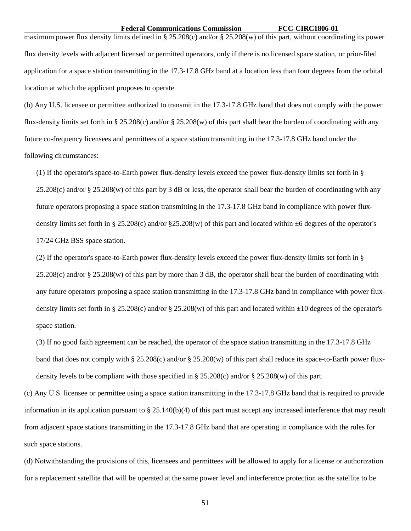### **Federal Communications Commission FCC-CIRC1806-01**

maximum power flux density limits defined in § 25.208(c) and/or § 25.208(w) of this part, without coordinating its power flux density levels with adjacent licensed or permitted operators, only if there is no licensed space station, or prior-filed application for a space station transmitting in the 17.3-17.8 GHz band at a location less than four degrees from the orbital location at which the applicant proposes to operate.

(b) Any U.S. licensee or permittee authorized to transmit in the 17.3-17.8 GHz band that does not comply with the power flux-density limits set forth in § 25.208(c) and/or § 25.208(w) of this part shall bear the burden of coordinating with any future co-frequency licensees and permittees of a space station transmitting in the 17.3-17.8 GHz band under the following circumstances:

(1) If the operator's space-to-Earth power flux-density levels exceed the power flux-density limits set forth in §  $25.208(c)$  and/or §  $25.208(w)$  of this part by 3 dB or less, the operator shall bear the burden of coordinating with any future operators proposing a space station transmitting in the 17.3-17.8 GHz band in compliance with power fluxdensity limits set forth in § 25.208(c) and/or §25.208(w) of this part and located within  $\pm 6$  degrees of the operator's 17/24 GHz BSS space station.

(2) If the operator's space-to-Earth power flux-density levels exceed the power flux-density limits set forth in §  $25.208(c)$  and/or §  $25.208(w)$  of this part by more than 3 dB, the operator shall bear the burden of coordinating with any future operators proposing a space station transmitting in the 17.3-17.8 GHz band in compliance with power fluxdensity limits set forth in § 25.208(c) and/or § 25.208(w) of this part and located within  $\pm 10$  degrees of the operator's space station.

(3) If no good faith agreement can be reached, the operator of the space station transmitting in the 17.3-17.8 GHz band that does not comply with § 25.208(c) and/or § 25.208(w) of this part shall reduce its space-to-Earth power fluxdensity levels to be compliant with those specified in § 25.208(c) and/or § 25.208(w) of this part.

(c) Any U.S. licensee or permittee using a space station transmitting in the 17.3-17.8 GHz band that is required to provide information in its application pursuant to § 25.140(b)(4) of this part must accept any increased interference that may result from adjacent space stations transmitting in the 17.3-17.8 GHz band that are operating in compliance with the rules for such space stations.

(d) Notwithstanding the provisions of this, licensees and permittees will be allowed to apply for a license or authorization for a replacement satellite that will be operated at the same power level and interference protection as the satellite to be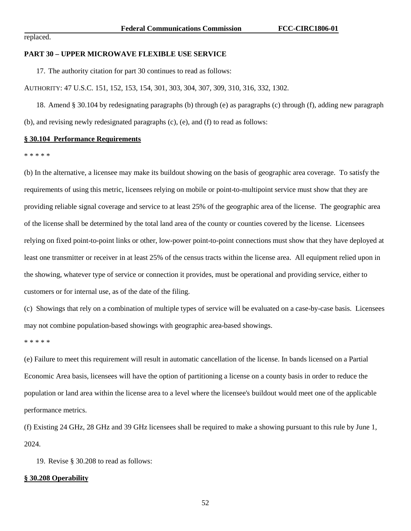replaced.

### **PART 30 – UPPER MICROWAVE FLEXIBLE USE SERVICE**

17. The authority citation for part 30 continues to read as follows:

AUTHORITY: 47 U.S.C. 151, 152, 153, 154, 301, 303, 304, 307, 309, 310, 316, 332, 1302.

18. Amend § 30.104 by redesignating paragraphs (b) through (e) as paragraphs (c) through (f), adding new paragraph (b), and revising newly redesignated paragraphs (c), (e), and (f) to read as follows:

### **§ 30.104 Performance Requirements**

\* \* \* \* \*

(b) In the alternative, a licensee may make its buildout showing on the basis of geographic area coverage. To satisfy the requirements of using this metric, licensees relying on mobile or point-to-multipoint service must show that they are providing reliable signal coverage and service to at least 25% of the geographic area of the license. The geographic area of the license shall be determined by the total land area of the county or counties covered by the license. Licensees relying on fixed point-to-point links or other, low-power point-to-point connections must show that they have deployed at least one transmitter or receiver in at least 25% of the census tracts within the license area. All equipment relied upon in the showing, whatever type of service or connection it provides, must be operational and providing service, either to customers or for internal use, as of the date of the filing.

(c) Showings that rely on a combination of multiple types of service will be evaluated on a case-by-case basis. Licensees may not combine population-based showings with geographic area-based showings.

\* \* \* \* \*

(e) Failure to meet this requirement will result in automatic cancellation of the license. In bands licensed on a Partial Economic Area basis, licensees will have the option of partitioning a license on a county basis in order to reduce the population or land area within the license area to a level where the licensee's buildout would meet one of the applicable performance metrics.

(f) Existing 24 GHz, 28 GHz and 39 GHz licensees shall be required to make a showing pursuant to this rule by June 1, 2024.

19. Revise § 30.208 to read as follows:

### **§ 30.208 Operability**

52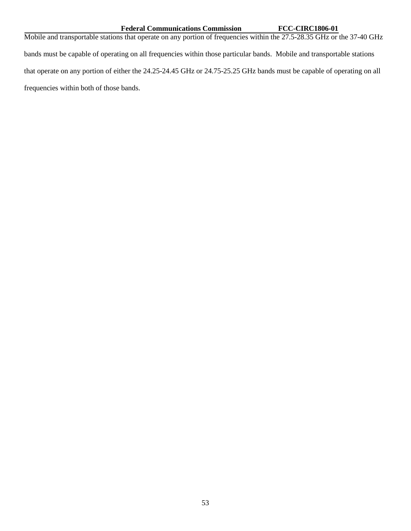# Federal Communications Commission<br> **FCC-CIRC1806-01**

Mobile and transportable stations that operate on any portion of frequencies within the 27.5-28.35 GHz or the 37-40 GHz bands must be capable of operating on all frequencies within those particular bands. Mobile and transportable stations that operate on any portion of either the 24.25-24.45 GHz or 24.75-25.25 GHz bands must be capable of operating on all frequencies within both of those bands.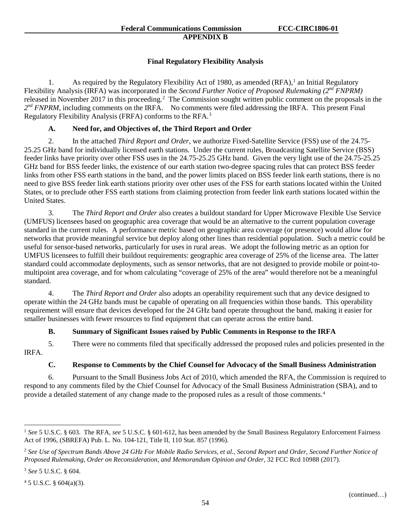# **Final Regulatory Flexibility Analysis**

[1](#page-54-0). As required by the Regulatory Flexibility Act of 1980, as amended  $(RFA)$ ,<sup>1</sup> an Initial Regulatory Flexibility Analysis (IRFA) was incorporated in the *Second Further Notice of Proposed Rulemaking (2nd FNPRM)* released in November [2](#page-54-1)017 in this proceeding.<sup>2</sup> The Commission sought written public comment on the proposals in the  $2^{nd}$  *FNPRM*, including comments on the IRFA. No comments were filed addressing the IRFA. This present Final Regulatory Flexibility Analysis (FRFA) conforms to the RFA.<sup>[3](#page-54-2)</sup>

# **A. Need for, and Objectives of, the Third Report and Order**

2. In the attached *Third Report and Order*, we authorize Fixed-Satellite Service (FSS) use of the 24.75- 25.25 GHz band for individually licensed earth stations. Under the current rules, Broadcasting Satellite Service (BSS) feeder links have priority over other FSS uses in the 24.75-25.25 GHz band. Given the very light use of the 24.75-25.25 GHz band for BSS feeder links, the existence of our earth station two-degree spacing rules that can protect BSS feeder links from other FSS earth stations in the band, and the power limits placed on BSS feeder link earth stations, there is no need to give BSS feeder link earth stations priority over other uses of the FSS for earth stations located within the United States, or to preclude other FSS earth stations from claiming protection from feeder link earth stations located within the United States.

3. The *Third Report and Order* also creates a buildout standard for Upper Microwave Flexible Use Service (UMFUS) licensees based on geographic area coverage that would be an alternative to the current population coverage standard in the current rules. A performance metric based on geographic area coverage (or presence) would allow for networks that provide meaningful service but deploy along other lines than residential population. Such a metric could be useful for sensor-based networks, particularly for uses in rural areas. We adopt the following metric as an option for UMFUS licensees to fulfill their buildout requirements: geographic area coverage of 25% of the license area. The latter standard could accommodate deployments, such as sensor networks, that are not designed to provide mobile or point-tomultipoint area coverage, and for whom calculating "coverage of 25% of the area" would therefore not be a meaningful standard.

4. The *Third Report and Order* also adopts an operability requirement such that any device designed to operate within the 24 GHz bands must be capable of operating on all frequencies within those bands. This operability requirement will ensure that devices developed for the 24 GHz band operate throughout the band, making it easier for smaller businesses with fewer resources to find equipment that can operate across the entire band.

# **B. Summary of Significant Issues raised by Public Comments in Response to the IRFA**

5. There were no comments filed that specifically addressed the proposed rules and policies presented in the IRFA.

# **C. Response to Comments by the Chief Counsel for Advocacy of the Small Business Administration**

6. Pursuant to the Small Business Jobs Act of 2010, which amended the RFA, the Commission is required to respond to any comments filed by the Chief Counsel for Advocacy of the Small Business Administration (SBA), and to provide a detailed statement of any change made to the proposed rules as a result of those comments.[4](#page-54-3)

<span id="page-54-0"></span> <sup>1</sup> *See* 5 U.S.C. § 603. The RFA, *see* 5 U.S.C. § 601-612, has been amended by the Small Business Regulatory Enforcement Fairness Act of 1996, (SBREFA) Pub. L. No. 104-121, Title II, 110 Stat. 857 (1996).

<span id="page-54-1"></span><sup>2</sup> *See Use of Spectrum Bands Above 24 GHz For Mobile Radio Services, et al., Second Report and Order, Second Further Notice of Proposed Rulemaking, Order on Reconsideration, and Memorandum Opinion and Order*, 32 FCC Rcd 10988 (2017).

<span id="page-54-2"></span><sup>3</sup> *See* 5 U.S.C. § 604.

<span id="page-54-3"></span> $45$  U.S.C. § 604(a)(3).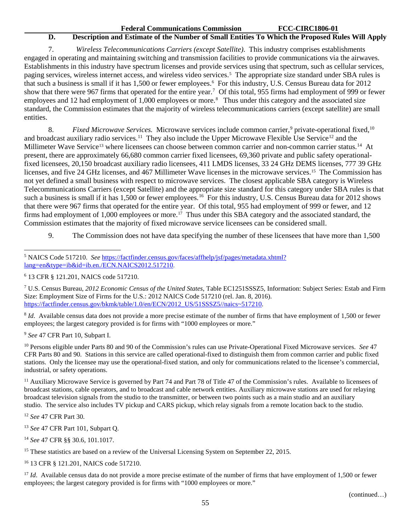# **D. Description and Estimate of the Number of Small Entities To Which the Proposed Rules Will Apply**

7. *Wireless Telecommunications Carriers (except Satellite)*. This industry comprises establishments engaged in operating and maintaining switching and transmission facilities to provide communications via the airwaves. Establishments in this industry have spectrum licenses and provide services using that spectrum, such as cellular services, paging services, wireless internet access, and wireless video services.<sup>[5](#page-55-0)</sup> The appropriate size standard under SBA rules is that such a business is small if it has 1,500 or fewer employees.<sup>[6](#page-55-1)</sup> For this industry, U.S. Census Bureau data for 2012 show that there were 96[7](#page-55-2) firms that operated for the entire year.<sup>7</sup> Of this total, 955 firms had employment of 999 or fewer employees and 12 had employment of 1,000 employees or more.<sup>[8](#page-55-3)</sup> Thus under this category and the associated size standard, the Commission estimates that the majority of wireless telecommunications carriers (except satellite) are small entities.

8. *Fixed Microwave Services.* Microwave services include common carrier,<sup>[9](#page-55-4)</sup> private-operational fixed, <sup>[10](#page-55-5)</sup> and broadcast auxiliary radio services.<sup>11</sup> They also include the Upper Microwave Flexible Use Service<sup>[12](#page-55-7)</sup> and the Millimeter Wave Service<sup>[13](#page-55-8)</sup> where licensees can choose between common carrier and non-common carrier status.<sup>[14](#page-55-9)</sup> At present, there are approximately 66,680 common carrier fixed licensees, 69,360 private and public safety operationalfixed licensees, 20,150 broadcast auxiliary radio licensees, 411 LMDS licenses, 33 24 GHz DEMS licenses, 777 39 GHz licenses, and five 24 GHz licenses, and 467 Millimeter Wave licenses in the microwave services.[15](#page-55-10) The Commission has not yet defined a small business with respect to microwave services. The closest applicable SBA category is Wireless Telecommunications Carriers (except Satellite) and the appropriate size standard for this category under SBA rules is that such a business is small if it has 1,500 or fewer employees.<sup>[16](#page-55-11)</sup> For this industry, U.S. Census Bureau data for 2012 shows that there were 967 firms that operated for the entire year. Of this total, 955 had employment of 999 or fewer, and 12 firms had employment of 1,000 employees or more.<sup>17</sup> Thus under this SBA category and the associated standard, the Commission estimates that the majority of fixed microwave service licensees can be considered small.

9. The Commission does not have data specifying the number of these licensees that have more than 1,500

<span id="page-55-2"></span><sup>7</sup> U.S. Census Bureau, *2012 Economic Census of the United States*, Table EC1251SSSZ5, Information: Subject Series: Estab and Firm Size: Employment Size of Firms for the U.S.: 2012 NAICS Code 517210 (rel. Jan. 8, 2016). [https://factfinder.census.gov/bkmk/table/1.0/en/ECN/2012\\_US/51SSSZ5//naics~517210.](https://factfinder.census.gov/bkmk/table/1.0/en/ECN/2012_US/51SSSZ5/naics%7E517210)

<span id="page-55-3"></span><sup>8</sup> *Id.* Available census data does not provide a more precise estimate of the number of firms that have employment of 1,500 or fewer employees; the largest category provided is for firms with "1000 employees or more."

<span id="page-55-4"></span><sup>9</sup> *See* 47 CFR Part 10, Subpart I.

<span id="page-55-5"></span><sup>10</sup> Persons eligible under Parts 80 and 90 of the Commission's rules can use Private-Operational Fixed Microwave services. *See* 47 CFR Parts 80 and 90. Stations in this service are called operational-fixed to distinguish them from common carrier and public fixed stations. Only the licensee may use the operational-fixed station, and only for communications related to the licensee's commercial, industrial, or safety operations.

<span id="page-55-6"></span><sup>11</sup> Auxiliary Microwave Service is governed by Part 74 and Part 78 of Title 47 of the Commission's rules. Available to licensees of broadcast stations, cable operators, and to broadcast and cable network entities. Auxiliary microwave stations are used for relaying broadcast television signals from the studio to the transmitter, or between two points such as a main studio and an auxiliary studio. The service also includes TV pickup and CARS pickup, which relay signals from a remote location back to the studio.

<span id="page-55-7"></span><sup>12</sup> *See* 47 CFR Part 30*.*

<span id="page-55-8"></span><sup>13</sup> *See* 47 CFR Part 101, Subpart Q.

<span id="page-55-9"></span><sup>14</sup> *See* 47 CFR §§ 30.6, 101.1017.

<span id="page-55-10"></span><sup>15</sup> These statistics are based on a review of the Universal Licensing System on September 22, 2015.

<span id="page-55-11"></span><sup>16</sup> 13 CFR § 121.201, NAICS code 517210.

<span id="page-55-12"></span><sup>17</sup> *Id*. Available census data do not provide a more precise estimate of the number of firms that have employment of 1,500 or fewer employees; the largest category provided is for firms with "1000 employees or more."

<span id="page-55-0"></span> <sup>5</sup> NAICS Code 517210. *See* [https://factfinder.census.gov/faces/affhelp/jsf/pages/metadata.xhtml?](https://factfinder.census.gov/faces/affhelp/jsf/pages/metadata.xhtml?lang=en&type=ib&id=ib.en./ECN.NAICS2012.517210) [lang=en&type=ib&id=ib.en./ECN.NAICS2012.517210.](https://factfinder.census.gov/faces/affhelp/jsf/pages/metadata.xhtml?lang=en&type=ib&id=ib.en./ECN.NAICS2012.517210)

<span id="page-55-1"></span><sup>6</sup> 13 CFR § 121.201, NAICS code 517210.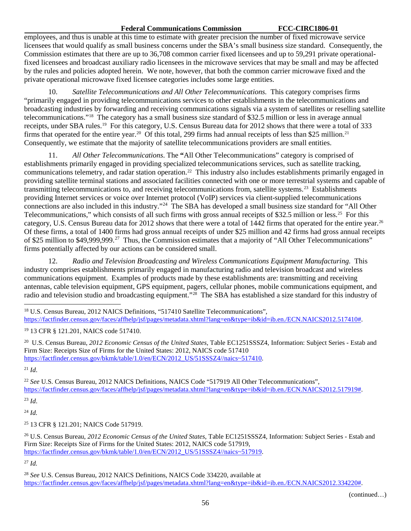### **Federal Communications Commission FCC-CIRC1806-01**

employees, and thus is unable at this time to estimate with greater precision the number of fixed microwave service licensees that would qualify as small business concerns under the SBA's small business size standard. Consequently, the Commission estimates that there are up to 36,708 common carrier fixed licensees and up to 59,291 private operationalfixed licensees and broadcast auxiliary radio licensees in the microwave services that may be small and may be affected by the rules and policies adopted herein. We note, however, that both the common carrier microwave fixed and the private operational microwave fixed licensee categories includes some large entities.

10. *Satellite Telecommunications and All Other Telecommunications.* This category comprises firms "primarily engaged in providing telecommunications services to other establishments in the telecommunications and broadcasting industries by forwarding and receiving communications signals via a system of satellites or reselling satellite telecommunications."[18](#page-56-0) The category has a small business size standard of \$32.5 million or less in average annual receipts, under SBA rules.[19](#page-56-1) For this category, U.S. Census Bureau data for 2012 shows that there were a total of 333 firms that operated for the entire year.<sup>[20](#page-56-2)</sup> Of this total, 299 firms had annual receipts of less than \$25 million.<sup>[21](#page-56-3)</sup> Consequently, we estimate that the majority of satellite telecommunications providers are small entities.

11. *All Other Telecommunications*. The **"**All Other Telecommunications" category is comprised of establishments primarily engaged in providing specialized telecommunications services, such as satellite tracking, communications telemetry, and radar station operation.<sup>22</sup> This industry also includes establishments primarily engaged in providing satellite terminal stations and associated facilities connected with one or more terrestrial systems and capable of transmitting telecommunications to, and receiving telecommunications from, satellite systems.[23](#page-56-5) Establishments providing Internet services or voice over Internet protocol (VoIP) services via client-supplied telecommunications connections are also included in this industry."[24](#page-56-6) The SBA has developed a small business size standard for "All Other Telecommunications," which consists of all such firms with gross annual receipts of \$32.5 million or less.<sup>25</sup> For this category, U.S. Census Bureau data for 2012 shows that there were a total of 1442 firms that operated for the entire year.<sup>[26](#page-56-8)</sup> Of these firms, a total of 1400 firms had gross annual receipts of under \$25 million and 42 firms had gross annual receipts of \$25 million to \$49,999,999.[27](#page-56-9) Thus, the Commission estimates that a majority of "All Other Telecommunications" firms potentially affected by our actions can be considered small.

12. *Radio and Television Broadcasting and Wireless Communications Equipment Manufacturing.* This industry comprises establishments primarily engaged in manufacturing radio and television broadcast and wireless communications equipment. Examples of products made by these establishments are: transmitting and receiving antennas, cable television equipment, GPS equipment, pagers, cellular phones, mobile communications equipment, and radio and television studio and broadcasting equipment."[28](#page-56-10) The SBA has established a size standard for this industry of

<span id="page-56-2"></span>20 U.S. Census Bureau, *2012 Economic Census of the United States*, Table EC1251SSSZ4, Information: Subject Series - Estab and Firm Size: Receipts Size of Firms for the United States: 2012, NAICS code 517410 [https://factfinder.census.gov/bkmk/table/1.0/en/ECN/2012\\_US/51SSSZ4//naics~517410.](https://factfinder.census.gov/bkmk/table/1.0/en/ECN/2012_US/51SSSZ4/naics%7E517410)

<span id="page-56-3"></span> $^{21}$  *Id.* 

<span id="page-56-4"></span><sup>22</sup> *See* U.S. Census Bureau, 2012 NAICS Definitions, NAICS Code "517919 All Other Telecommunications", [https://factfinder.census.gov/faces/affhelp/jsf/pages/metadata.xhtml?lang=en&type=ib&id=ib.en./ECN.NAICS2012.517919#.](https://factfinder.census.gov/faces/affhelp/jsf/pages/metadata.xhtml?lang=en&type=ib&id=ib.en./ECN.NAICS2012.517919)

<span id="page-56-5"></span><sup>23</sup> *Id*.

<span id="page-56-6"></span><sup>24</sup> *Id.*

<span id="page-56-7"></span><sup>25</sup> 13 CFR § 121.201; NAICS Code 517919.

<span id="page-56-8"></span><sup>26</sup> U.S. Census Bureau, *2012 Economic Census of the United States*, Table EC1251SSSZ4, Information: Subject Series - Estab and Firm Size: Receipts Size of Firms for the United States: 2012, NAICS code 517919, [https://factfinder.census.gov/bkmk/table/1.0/en/ECN/2012\\_US/51SSSZ4//naics~517919.](https://factfinder.census.gov/bkmk/table/1.0/en/ECN/2012_US/51SSSZ4/naics%7E517919)

<span id="page-56-9"></span><sup>27</sup> *Id.*

<span id="page-56-10"></span><sup>28</sup> *See* U.S. Census Bureau, 2012 NAICS Definitions, NAICS Code 334220, available at https://factfinder.census.gov/faces/affhelp/jsf/pages/metadata.xhtml?lang=en&type=ib&id=ib.en./ECN.NAICS2012.334220#.

<span id="page-56-0"></span><sup>&</sup>lt;sup>18</sup> U.S. Census Bureau, 2012 NAICS Definitions, "517410 Satellite Telecommunications", [https://factfinder.census.gov/faces/affhelp/jsf/pages/metadata.xhtml?lang=en&type=ib&id=ib.en./ECN.NAICS2012.517410#.](https://factfinder.census.gov/faces/affhelp/jsf/pages/metadata.xhtml?lang=en&type=ib&id=ib.en./ECN.NAICS2012.517410)

<span id="page-56-1"></span><sup>19</sup> 13 CFR § 121.201, NAICS code 517410.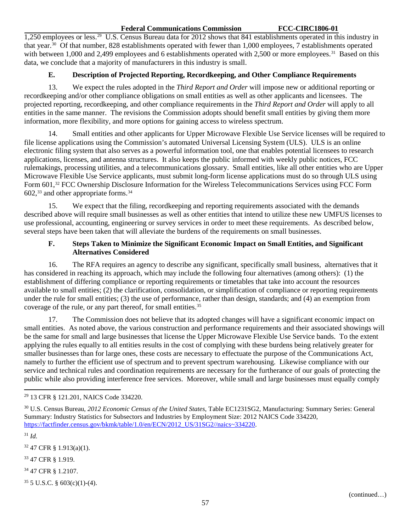# **Federal Communications Commission FCC-CIRC1806-01**

1,250 employees or less.[29](#page-57-0) U.S. Census Bureau data for 2012 shows that 841 establishments operated in this industry in that year[.30](#page-57-1) Of that number, 828 establishments operated with fewer than 1,000 employees, 7 establishments operated with between 1,000 and 2,499 employees and 6 establishments operated with 2,500 or more employees.<sup>[31](#page-57-2)</sup> Based on this data, we conclude that a majority of manufacturers in this industry is small.

# **E. Description of Projected Reporting, Recordkeeping, and Other Compliance Requirements**

13. We expect the rules adopted in the *Third Report and Order* will impose new or additional reporting or recordkeeping and/or other compliance obligations on small entities as well as other applicants and licensees. The projected reporting, recordkeeping, and other compliance requirements in the *Third Report and Order* will apply to all entities in the same manner. The revisions the Commission adopts should benefit small entities by giving them more information, more flexibility, and more options for gaining access to wireless spectrum.

14. Small entities and other applicants for Upper Microwave Flexible Use Service licenses will be required to file license applications using the Commission's automated Universal Licensing System (ULS). ULS is an online electronic filing system that also serves as a powerful information tool, one that enables potential licensees to research applications, licenses, and antenna structures. It also keeps the public informed with weekly public notices, FCC rulemakings, processing utilities, and a telecommunications glossary. Small entities, like all other entities who are Upper Microwave Flexible Use Service applicants, must submit long-form license applications must do so through ULS using Form 601,<sup>[32](#page-57-3)</sup> FCC Ownership Disclosure Information for the Wireless Telecommunications Services using FCC Form  $602$ ,<sup>[33](#page-57-4)</sup> and other appropriate forms.<sup>[34](#page-57-5)</sup>

15. We expect that the filing, recordkeeping and reporting requirements associated with the demands described above will require small businesses as well as other entities that intend to utilize these new UMFUS licenses to use professional, accounting, engineering or survey services in order to meet these requirements. As described below, several steps have been taken that will alleviate the burdens of the requirements on small businesses.

# **F. Steps Taken to Minimize the Significant Economic Impact on Small Entities, and Significant Alternatives Considered**

16. The RFA requires an agency to describe any significant, specifically small business, alternatives that it has considered in reaching its approach, which may include the following four alternatives (among others): (1) the establishment of differing compliance or reporting requirements or timetables that take into account the resources available to small entities; (2) the clarification, consolidation, or simplification of compliance or reporting requirements under the rule for small entities; (3) the use of performance, rather than design, standards; and (4) an exemption from coverage of the rule, or any part thereof, for small entities.<sup>35</sup>

17. The Commission does not believe that its adopted changes will have a significant economic impact on small entities. As noted above, the various construction and performance requirements and their associated showings will be the same for small and large businesses that license the Upper Microwave Flexible Use Service bands. To the extent applying the rules equally to all entities results in the cost of complying with these burdens being relatively greater for smaller businesses than for large ones, these costs are necessary to effectuate the purpose of the Communications Act, namely to further the efficient use of spectrum and to prevent spectrum warehousing. Likewise compliance with our service and technical rules and coordination requirements are necessary for the furtherance of our goals of protecting the public while also providing interference free services. Moreover, while small and large businesses must equally comply

<span id="page-57-3"></span> $32$  47 CFR § 1.913(a)(1).

<span id="page-57-4"></span><sup>33</sup> 47 CFR § 1.919.

<span id="page-57-5"></span><sup>34</sup> 47 CFR § 1.2107.

<span id="page-57-6"></span> $35$  5 U.S.C. § 603(c)(1)-(4).

<span id="page-57-0"></span> <sup>29</sup> 13 CFR § 121.201, NAICS Code 334220.

<span id="page-57-1"></span><sup>30</sup> U.S. Census Bureau, *2012 Economic Census of the United States*, Table EC1231SG2, Manufacturing: Summary Series: General Summary: Industry Statistics for Subsectors and Industries by Employment Size: 2012 NAICS Code 334220, [https://factfinder.census.gov/bkmk/table/1.0/en/ECN/2012\\_US/31SG2//naics~334220.](https://factfinder.census.gov/bkmk/table/1.0/en/ECN/2012_US/31SG2/naics%7E334220)

<span id="page-57-2"></span><sup>31</sup> *Id.*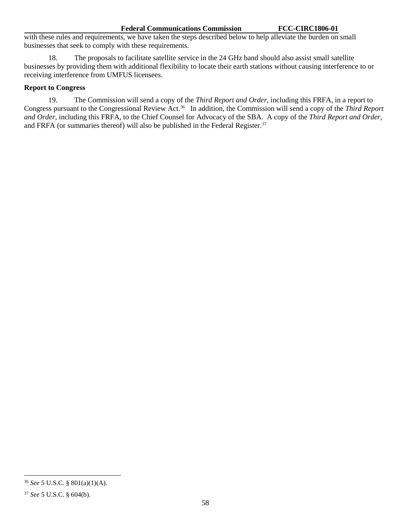with these rules and requirements, we have taken the steps described below to help alleviate the burden on small businesses that seek to comply with these requirements.

18. The proposals to facilitate satellite service in the 24 GHz band should also assist small satellite businesses by providing them with additional flexibility to locate their earth stations without causing interference to or receiving interference from UMFUS licensees.

# **Report to Congress**

19. The Commission will send a copy of the *Third Report and Order*, including this FRFA, in a report to Congress pursuant to the Congressional Review Act.[36](#page-58-0) In addition, the Commission will send a copy of the *Third Report and Order*, including this FRFA, to the Chief Counsel for Advocacy of the SBA. A copy of the *Third Report and Order*, and FRFA (or summaries thereof) will also be published in the Federal Register.<sup>[37](#page-58-1)</sup>

<span id="page-58-0"></span> <sup>36</sup> *See* 5 U.S.C. § 801(a)(1)(A).

<span id="page-58-1"></span><sup>37</sup> *See* 5 U.S.C. § 604(b).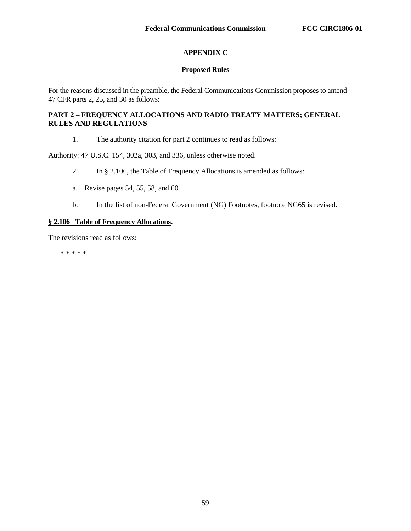# **APPENDIX C**

# **Proposed Rules**

For the reasons discussed in the preamble, the Federal Communications Commission proposes to amend 47 CFR parts 2, 25, and 30 as follows:

# **PART 2 – FREQUENCY ALLOCATIONS AND RADIO TREATY MATTERS; GENERAL RULES AND REGULATIONS**

1. The authority citation for part 2 continues to read as follows:

Authority: 47 U.S.C. 154, 302a, 303, and 336, unless otherwise noted.

- 2. In § 2.106, the Table of Frequency Allocations is amended as follows:
- a. Revise pages 54, 55, 58, and 60.
- b. In the list of non-Federal Government (NG) Footnotes, footnote NG65 is revised.

# **§ 2.106 Table of Frequency Allocations.**

The revisions read as follows:

\* \* \* \* \*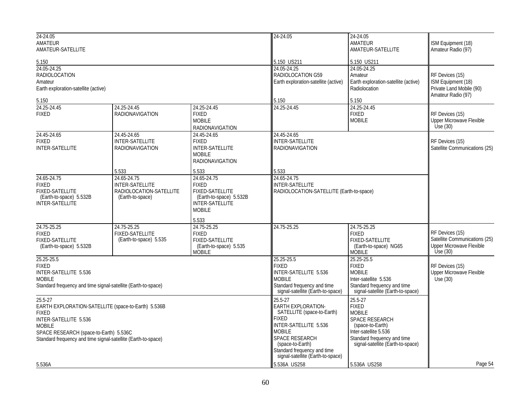| 24-24.05<br>AMATEUR<br>AMATEUR-SATELLITE<br>5.150<br>24.05-24.25<br>RADIOLOCATION<br>Amateur<br>Earth exploration-satellite (active)                                                                                                |                                                                               |                                                                                                                      | 24-24.05                                                                                                                                                                                                                        | 24-24.05<br>AMATEUR<br>AMATEUR-SATELLITE                                                                                                                                           | ISM Equipment (18)<br>Amateur Radio (97)<br>RF Devices (15)<br>ISM Equipment (18)<br>Private Land Mobile (90)<br>Amateur Radio (97) |
|-------------------------------------------------------------------------------------------------------------------------------------------------------------------------------------------------------------------------------------|-------------------------------------------------------------------------------|----------------------------------------------------------------------------------------------------------------------|---------------------------------------------------------------------------------------------------------------------------------------------------------------------------------------------------------------------------------|------------------------------------------------------------------------------------------------------------------------------------------------------------------------------------|-------------------------------------------------------------------------------------------------------------------------------------|
|                                                                                                                                                                                                                                     |                                                                               |                                                                                                                      | 5.150 US211<br>24.05-24.25<br>RADIOLOCATION G59<br>Earth exploration-satellite (active)                                                                                                                                         | 5.150 US211<br>24.05-24.25<br>Amateur<br>Earth exploration-satellite (active)<br>Radiolocation                                                                                     |                                                                                                                                     |
| 5.150                                                                                                                                                                                                                               |                                                                               |                                                                                                                      | 5.150                                                                                                                                                                                                                           | 5.150                                                                                                                                                                              |                                                                                                                                     |
| 24.25-24.45<br><b>FIXED</b>                                                                                                                                                                                                         | 24.25-24.45<br><b>RADIONAVIGATION</b>                                         | 24.25-24.45<br><b>FIXED</b><br><b>MOBILE</b><br><b>RADIONAVIGATION</b>                                               | 24.25-24.45                                                                                                                                                                                                                     | 24.25-24.45<br><b>FIXED</b><br><b>MOBILE</b>                                                                                                                                       | RF Devices (15)<br>Upper Microwave Flexible<br>Use(30)                                                                              |
| 24.45-24.65<br><b>FIXED</b><br><b>INTER-SATELLITE</b>                                                                                                                                                                               | 24.45-24.65<br>INTER-SATELLITE<br><b>RADIONAVIGATION</b>                      | 24.45-24.65<br><b>FIXED</b><br><b>INTER-SATELLITE</b><br><b>MOBILE</b><br><b>RADIONAVIGATION</b>                     | 24.45-24.65<br>INTER-SATELLITE<br><b>RADIONAVIGATION</b>                                                                                                                                                                        |                                                                                                                                                                                    | RF Devices (15)<br>Satellite Communications (25)                                                                                    |
|                                                                                                                                                                                                                                     | 5.533                                                                         | 5.533                                                                                                                | 5.533                                                                                                                                                                                                                           |                                                                                                                                                                                    |                                                                                                                                     |
| 24.65-24.75<br><b>FIXED</b><br>FIXED-SATELLITE<br>(Earth-to-space) 5.532B<br><b>INTER-SATELLITE</b>                                                                                                                                 | 24.65-24.75<br>INTER-SATELLITE<br>RADIOLOCATION-SATELLITE<br>(Earth-to-space) | 24.65-24.75<br><b>FIXED</b><br>FIXED-SATELLITE<br>(Earth-to-space) 5.532B<br><b>INTER-SATELLITE</b><br><b>MOBILE</b> | 24.65-24.75<br><b>INTER-SATELLITE</b><br>RADIOLOCATION-SATELLITE (Earth-to-space)                                                                                                                                               |                                                                                                                                                                                    |                                                                                                                                     |
|                                                                                                                                                                                                                                     |                                                                               | 5.533                                                                                                                |                                                                                                                                                                                                                                 |                                                                                                                                                                                    |                                                                                                                                     |
| 24.75-25.25<br><b>FIXED</b><br><b>FIXED-SATELLITE</b><br>(Earth-to-space) 5.532B                                                                                                                                                    | 24.75-25.25<br><b>FIXED-SATELLITE</b><br>(Earth-to-space) 5.535               | 24.75-25.25<br><b>FIXED</b><br><b>FIXED-SATELLITE</b><br>(Earth-to-space) 5.535<br><b>MOBILE</b>                     | 24.75-25.25                                                                                                                                                                                                                     | 24.75-25.25<br><b>FIXED</b><br><b>FIXED-SATELLITE</b><br>(Earth-to-space) NG65<br><b>MOBILE</b>                                                                                    | RF Devices (15)<br>Satellite Communications (25)<br><b>Upper Microwave Flexible</b><br>Use $(30)$                                   |
| 25.25-25.5<br><b>FIXED</b><br>INTER-SATELLITE 5.536<br><b>MOBILE</b><br>Standard frequency and time signal-satellite (Earth-to-space)                                                                                               |                                                                               |                                                                                                                      | 25.25-25.5<br><b>FIXED</b><br>INTER-SATELLITE 5.536<br><b>MOBILE</b><br>Standard frequency and time<br>signal-satellite (Earth-to-space)                                                                                        | 25.25-25.5<br><b>FIXED</b><br><b>MOBILE</b><br>Inter-satellite 5.536<br>Standard frequency and time<br>signal-satellite (Earth-to-space)                                           | RF Devices (15)<br><b>Upper Microwave Flexible</b><br>Use (30)                                                                      |
| 25.5-27<br>EARTH EXPLORATION-SATELLITE (space-to-Earth) 5.536B<br><b>FIXED</b><br>INTER-SATELLITE 5.536<br><b>MOBILE</b><br>SPACE RESEARCH (space-to-Earth) 5.536C<br>Standard frequency and time signal-satellite (Earth-to-space) |                                                                               |                                                                                                                      | 25.5-27<br>EARTH EXPLORATION-<br>SATELLITE (space-to-Earth)<br><b>FIXED</b><br>INTER-SATELLITE 5.536<br><b>MOBILE</b><br>SPACE RESEARCH<br>(space-to-Earth)<br>Standard frequency and time<br>signal-satellite (Earth-to-space) | 25.5-27<br><b>FIXED</b><br><b>MOBILE</b><br><b>SPACE RESEARCH</b><br>(space-to-Earth)<br>Inter-satellite 5.536<br>Standard frequency and time<br>signal-satellite (Earth-to-space) |                                                                                                                                     |
| 5.536A                                                                                                                                                                                                                              |                                                                               |                                                                                                                      | 5.536A US258                                                                                                                                                                                                                    | 5.536A US258                                                                                                                                                                       | Page 54                                                                                                                             |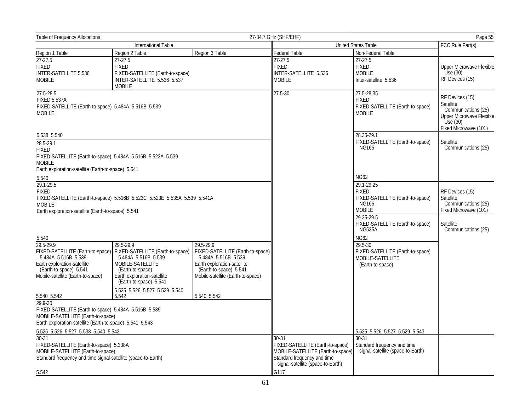| Table of Frequency Allocations                                                                                                                                                |                                                                                                                                                          |                                                                                                                                                       | 27-34.7 GHz (SHF/EHF)<br>Page 55                                              |                                                                                                 |                                                                                                                     |
|-------------------------------------------------------------------------------------------------------------------------------------------------------------------------------|----------------------------------------------------------------------------------------------------------------------------------------------------------|-------------------------------------------------------------------------------------------------------------------------------------------------------|-------------------------------------------------------------------------------|-------------------------------------------------------------------------------------------------|---------------------------------------------------------------------------------------------------------------------|
| International Table                                                                                                                                                           |                                                                                                                                                          |                                                                                                                                                       | United States Table                                                           |                                                                                                 | FCC Rule Part(s)                                                                                                    |
| Region 1 Table                                                                                                                                                                | Region 2 Table                                                                                                                                           | Region 3 Table                                                                                                                                        | Federal Table                                                                 | Non-Federal Table                                                                               |                                                                                                                     |
| $27-27.5$<br><b>FIXED</b><br>INTER-SATELLITE 5.536<br><b>MOBILE</b>                                                                                                           | $27 - 27.5$<br><b>FIXED</b><br>FIXED-SATELLITE (Earth-to-space)<br>INTER-SATELLITE 5.536 5.537<br><b>MOBILE</b>                                          |                                                                                                                                                       | 27-27.5<br><b>FIXED</b><br>INTER-SATELLITE 5.536<br><b>MOBILE</b>             | 27-27.5<br><b>FIXED</b><br><b>MOBILE</b><br>Inter-satellite 5.536                               | <b>Upper Microwave Flexible</b><br>$\dot{U}$ se (30)<br>RF Devices (15)                                             |
| 27.5-28.5<br><b>FIXED 5.537A</b><br>FIXED-SATELLITE (Earth-to-space) 5.484A 5.516B 5.539<br><b>MOBILE</b>                                                                     |                                                                                                                                                          |                                                                                                                                                       | $27.5 - 30$                                                                   | 27.5-28.35<br><b>FIXED</b><br>FIXED-SATELLITE (Earth-to-space)<br><b>MOBILE</b>                 | RF Devices (15)<br>Satellite<br>Communications (25)<br>Upper Microwave Flexible<br>Use(30)<br>Fixed Microwave (101) |
| 5.538 5.540<br>28.5-29.1<br><b>FIXED</b><br>FIXED-SATELLITE (Earth-to-space) 5.484A 5.516B 5.523A 5.539                                                                       |                                                                                                                                                          |                                                                                                                                                       |                                                                               | 28.35-29.1<br>FIXED-SATELLITE (Earth-to-space)<br><b>NG165</b>                                  | Satellite<br>Communications (25)                                                                                    |
| <b>MOBILE</b><br>Earth exploration-satellite (Earth-to-space) 5.541<br>5.540                                                                                                  |                                                                                                                                                          |                                                                                                                                                       |                                                                               | <b>NG62</b>                                                                                     |                                                                                                                     |
| 29.1-29.5<br><b>FIXED</b><br>FIXED-SATELLITE (Earth-to-space) 5.516B 5.523C 5.523E 5.535A 5.539 5.541A<br><b>MOBILE</b><br>Earth exploration-satellite (Earth-to-space) 5.541 |                                                                                                                                                          |                                                                                                                                                       |                                                                               | 29.1-29.25<br><b>FIXED</b><br>FIXED-SATELLITE (Earth-to-space)<br><b>NG166</b><br><b>MOBILE</b> | RF Devices (15)<br>Satellite<br>Communications (25)<br>Fixed Microwave (101)                                        |
|                                                                                                                                                                               |                                                                                                                                                          |                                                                                                                                                       |                                                                               | 29.25-29.5<br>FIXED-SATELLITE (Earth-to-space)<br>NG535A                                        | Satellite<br>Communications (25)                                                                                    |
| 5.540<br>29.5-29.9                                                                                                                                                            | 29.5-29.9                                                                                                                                                | 29.5-29.9                                                                                                                                             |                                                                               | <b>NG62</b><br>$29.5 - 30$                                                                      |                                                                                                                     |
| FIXED-SATELLITE (Earth-to-space)<br>5.484A 5.516B 5.539<br>Earth exploration-satellite<br>(Earth-to-space) 5.541<br>Mobile-satellite (Earth-to-space)                         | FIXED-SATELLITE (Earth-to-space)<br>5.484A 5.516B 5.539<br>MOBILE-SATELLITE<br>(Earth-to-space)<br>Earth exploration-satellite<br>(Earth-to-space) 5.541 | FIXED-SATELLITE (Earth-to-space)<br>5.484A 5.516B 5.539<br>Earth exploration-satellite<br>(Earth-to-space) 5.541<br>Mobile-satellite (Earth-to-space) |                                                                               | FIXED-SATELLITE (Earth-to-space)<br>MOBILE-SATELLITE<br>(Earth-to-space)                        |                                                                                                                     |
| 5.540 5.542                                                                                                                                                                   | 5.525 5.526 5.527 5.529 5.540<br>5.542                                                                                                                   | 5.540 5.542                                                                                                                                           |                                                                               |                                                                                                 |                                                                                                                     |
| 29.9-30<br>FIXED-SATELLITE (Earth-to-space) 5.484A 5.516B 5.539<br>MOBILE-SATELLITE (Earth-to-space)<br>Earth exploration-satellite (Earth-to-space) 5.541 5.543              |                                                                                                                                                          |                                                                                                                                                       |                                                                               |                                                                                                 |                                                                                                                     |
| 5.525 5.526 5.527 5.538 5.540 5.542                                                                                                                                           |                                                                                                                                                          |                                                                                                                                                       |                                                                               | 5.525 5.526 5.527 5.529 5.543                                                                   |                                                                                                                     |
| $30 - 31$<br>FIXED-SATELLITE (Earth-to-space) 5.338A<br>MOBILE-SATELLITE (Earth-to-space)<br>Standard frequency and time signal-satellite (space-to-Earth)                    |                                                                                                                                                          | 30-31<br>FIXED-SATELLITE (Earth-to-space)<br>MOBILE-SATELLITE (Earth-to-space)<br>Standard frequency and time<br>signal-satellite (space-to-Earth)    | $30 - 31$<br>Standard frequency and time<br>signal-satellite (space-to-Earth) |                                                                                                 |                                                                                                                     |
| 5.542                                                                                                                                                                         |                                                                                                                                                          |                                                                                                                                                       | G117                                                                          |                                                                                                 |                                                                                                                     |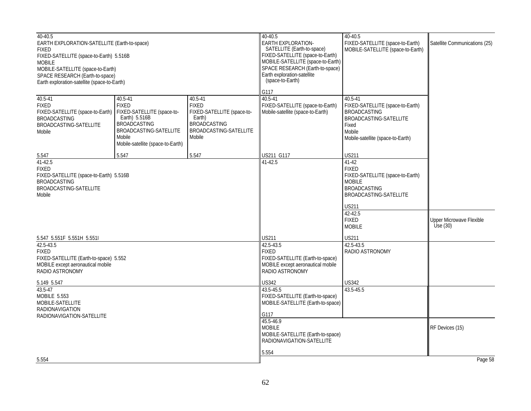| 40-40.5<br>EARTH EXPLORATION-SATELLITE (Earth-to-space)<br><b>FIXED</b><br>FIXED-SATELLITE (space-to-Earth) 5.516B<br><b>MOBILE</b><br>MOBILE-SATELLITE (space-to-Earth)<br>SPACE RESEARCH (Earth-to-space)<br>Earth exploration-satellite (space-to-Earth) |                                                                                                                                                                        |                                                                                                                                       | 40-40.5<br><b>EARTH EXPLORATION-</b><br>SATELLITE (Earth-to-space)<br>FIXED-SATELLITE (space-to-Earth)<br>MOBILE-SATELLITE (space-to-Earth)<br>SPACE RESEARCH (Earth-to-space)<br>Earth exploration-satellite<br>(space-to-Earth)<br>G117 | 40-40.5<br>FIXED-SATELLITE (space-to-Earth)<br>MOBILE-SATELLITE (space-to-Earth)                                                                                                          | Satellite Communications (25)                 |
|-------------------------------------------------------------------------------------------------------------------------------------------------------------------------------------------------------------------------------------------------------------|------------------------------------------------------------------------------------------------------------------------------------------------------------------------|---------------------------------------------------------------------------------------------------------------------------------------|-------------------------------------------------------------------------------------------------------------------------------------------------------------------------------------------------------------------------------------------|-------------------------------------------------------------------------------------------------------------------------------------------------------------------------------------------|-----------------------------------------------|
| 40.5-41<br><b>FIXED</b><br>FIXED-SATELLITE (space-to-Earth)<br><b>BROADCASTING</b><br>BROADCASTING-SATELLITE<br>Mobile                                                                                                                                      | 40.5-41<br><b>FIXED</b><br>FIXED-SATELLITE (space-to-<br>Earth) 5.516B<br><b>BROADCASTING</b><br>BROADCASTING-SATELLITE<br>Mobile<br>Mobile-satellite (space-to-Earth) | 40.5-41<br><b>FIXED</b><br>FIXED-SATELLITE (space-to-<br>Earth)<br><b>BROADCASTING</b><br>BROADCASTING-SATELLITE<br>Mobile            | $40.5 - 41$<br>FIXED-SATELLITE (space-to-Earth)<br>Mobile-satellite (space-to-Earth)                                                                                                                                                      | 40.5-41<br>FIXED-SATELLITE (space-to-Earth)<br><b>BROADCASTING</b><br>BROADCASTING-SATELLITE<br>Fixed<br>Mobile<br>Mobile-satellite (space-to-Earth)                                      |                                               |
| 5.547                                                                                                                                                                                                                                                       | 5.547                                                                                                                                                                  | 5.547                                                                                                                                 | US211 G117                                                                                                                                                                                                                                | <b>US211</b>                                                                                                                                                                              |                                               |
| $41-42.5$<br><b>FIXED</b><br>FIXED-SATELLITE (space-to-Earth) 5.516B<br><b>BROADCASTING</b><br>BROADCASTING-SATELLITE<br>Mobile                                                                                                                             |                                                                                                                                                                        |                                                                                                                                       | $41 - 42.5$                                                                                                                                                                                                                               | $41-42$<br><b>FIXED</b><br>FIXED-SATELLITE (space-to-Earth)<br><b>MOBILE</b><br><b>BROADCASTING</b><br>BROADCASTING-SATELLITE<br><b>US211</b><br>42-42.5<br><b>FIXED</b><br><b>MOBILE</b> | <b>Upper Microwave Flexible</b><br>Use $(30)$ |
| 5.547 5.551F 5.551H 5.551I                                                                                                                                                                                                                                  |                                                                                                                                                                        | <b>US211</b>                                                                                                                          | <b>US211</b>                                                                                                                                                                                                                              |                                                                                                                                                                                           |                                               |
| 42.5-43.5<br><b>FIXED</b><br>FIXED-SATELLITE (Earth-to-space) 5.552<br>MOBILE except aeronautical mobile<br>RADIO ASTRONOMY                                                                                                                                 |                                                                                                                                                                        | 42.5-43.5<br><b>FIXED</b><br>FIXED-SATELLITE (Earth-to-space)<br>MOBILE except aeronautical mobile<br>RADIO ASTRONOMY<br><b>US342</b> | 42.5-43.5<br>RADIO ASTRONOMY<br><b>US342</b>                                                                                                                                                                                              |                                                                                                                                                                                           |                                               |
| 5.149 5.547<br>43.5-47<br>MOBILE 5.553<br>MOBILE-SATELLITE<br><b>RADIONAVIGATION</b><br>RADIONAVIGATION-SATELLITE                                                                                                                                           |                                                                                                                                                                        | 43.5-45.5<br>FIXED-SATELLITE (Earth-to-space)<br>MOBILE-SATELLITE (Earth-to-space)<br>G117                                            | 43.5-45.5                                                                                                                                                                                                                                 |                                                                                                                                                                                           |                                               |
| 5.554                                                                                                                                                                                                                                                       |                                                                                                                                                                        |                                                                                                                                       | 45.5-46.9<br><b>MOBILE</b><br>MOBILE-SATELLITE (Earth-to-space)<br>RADIONAVIGATION-SATELLITE<br>5.554                                                                                                                                     |                                                                                                                                                                                           | RF Devices (15)<br>Page 58                    |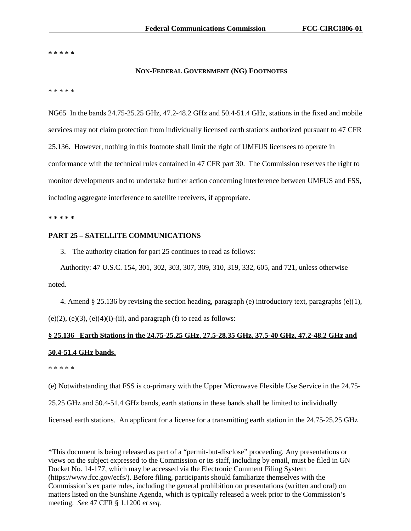**\* \* \* \* \*** 

### **NON-FEDERAL GOVERNMENT (NG) FOOTNOTES**

\* \* \* \* \*

NG65 In the bands 24.75-25.25 GHz, 47.2-48.2 GHz and 50.4-51.4 GHz, stations in the fixed and mobile services may not claim protection from individually licensed earth stations authorized pursuant to 47 CFR 25.136. However, nothing in this footnote shall limit the right of UMFUS licensees to operate in conformance with the technical rules contained in 47 CFR part 30. The Commission reserves the right to monitor developments and to undertake further action concerning interference between UMFUS and FSS, including aggregate interference to satellite receivers, if appropriate.

**\* \* \* \* \***

## **PART 25 – SATELLITE COMMUNICATIONS**

3. The authority citation for part 25 continues to read as follows:

Authority: 47 U.S.C. 154, 301, 302, 303, 307, 309, 310, 319, 332, 605, and 721, unless otherwise noted.

4. Amend § 25.136 by revising the section heading, paragraph (e) introductory text, paragraphs (e)(1),

 $(e)(2)$ ,  $(e)(3)$ ,  $(e)(4)(i)$ - $(ii)$ , and paragraph  $(f)$  to read as follows:

# **§ 25.136 Earth Stations in the 24.75-25.25 GHz, 27.5-28.35 GHz, 37.5-40 GHz, 47.2-48.2 GHz and 50.4-51.4 GHz bands.**

\* \* \* \* \*

(e) Notwithstanding that FSS is co-primary with the Upper Microwave Flexible Use Service in the 24.75-

25.25 GHz and 50.4-51.4 GHz bands, earth stations in these bands shall be limited to individually

licensed earth stations. An applicant for a license for a transmitting earth station in the 24.75-25.25 GHz

\*This document is being released as part of a "permit-but-disclose" proceeding. Any presentations or views on the subject expressed to the Commission or its staff, including by email, must be filed in GN Docket No. 14-177, which may be accessed via the Electronic Comment Filing System (https://www.fcc.gov/ecfs/). Before filing, participants should familiarize themselves with the Commission's ex parte rules, including the general prohibition on presentations (written and oral) on matters listed on the Sunshine Agenda, which is typically released a week prior to the Commission's meeting. *See* 47 CFR § 1.1200 *et seq.*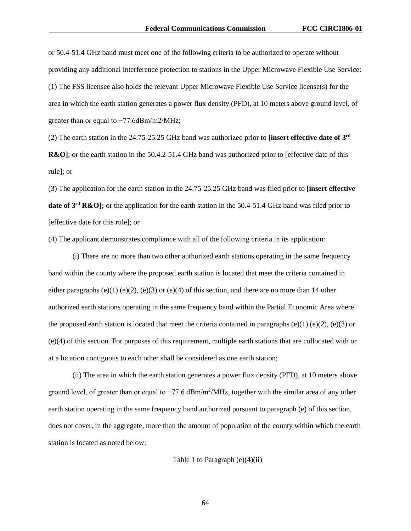or 50.4-51.4 GHz band must meet one of the following criteria to be authorized to operate without providing any additional interference protection to stations in the Upper Microwave Flexible Use Service: (1) The FSS licensee also holds the relevant Upper Microwave Flexible Use Service license(s) for the area in which the earth station generates a power flux density (PFD), at 10 meters above ground level, of greater than or equal to −77.6dBm/m2/MHz;

(2) The earth station in the 24.75-25.25 GHz band was authorized prior to **[insert effective date of 3rd R&O**]; or the earth station in the 50.4.2-51.4 GHz band was authorized prior to [effective date of this rule]; or

(3) The application for the earth station in the 24.75-25.25 GHz band was filed prior to **[insert effective date of 3<sup>rd</sup> R&O];** or the application for the earth station in the 50.4-51.4 GHz band was filed prior to [effective date for this rule]; or

(4) The applicant demonstrates compliance with all of the following criteria in its application:

(i) There are no more than two other authorized earth stations operating in the same frequency band within the county where the proposed earth station is located that meet the criteria contained in either paragraphs (e)(1) (e)(2), (e)(3) or (e)(4) of this section, and there are no more than 14 other authorized earth stations operating in the same frequency band within the Partial Economic Area where the proposed earth station is located that meet the criteria contained in paragraphs (e)(1) (e)(2), (e)(3) or (e)(4) of this section. For purposes of this requirement, multiple earth stations that are collocated with or at a location contiguous to each other shall be considered as one earth station;

(ii) The area in which the earth station generates a power flux density (PFD), at 10 meters above ground level, of greater than or equal to -77.6 dBm/m<sup>2</sup>/MHz, together with the similar area of any other earth station operating in the same frequency band authorized pursuant to paragraph (e) of this section, does not cover, in the aggregate, more than the amount of population of the county within which the earth station is located as noted below:

Table 1 to Paragraph  $(e)(4)(ii)$ 

64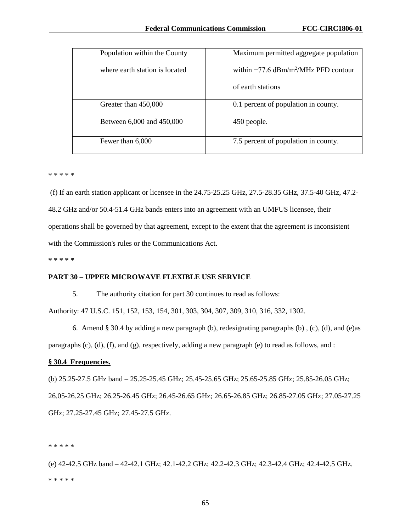| Population within the County   | Maximum permitted aggregate population                |
|--------------------------------|-------------------------------------------------------|
| where earth station is located | within $-77.6 \text{ dBm/m}^2/\text{MHz PFD}$ contour |
|                                | of earth stations                                     |
| Greater than 450,000           | 0.1 percent of population in county.                  |
| Between 6,000 and 450,000      | 450 people.                                           |
| Fewer than 6,000               | 7.5 percent of population in county.                  |

\* \* \* \* \*

(f) If an earth station applicant or licensee in the 24.75-25.25 GHz, 27.5-28.35 GHz, 37.5-40 GHz, 47.2- 48.2 GHz and/or 50.4-51.4 GHz bands enters into an agreement with an UMFUS licensee, their operations shall be governed by that agreement, except to the extent that the agreement is inconsistent with the Commission's rules or the Communications Act.

**\* \* \* \* \***

## **PART 30 – UPPER MICROWAVE FLEXIBLE USE SERVICE**

5. The authority citation for part 30 continues to read as follows:

Authority: 47 U.S.C. 151, 152, 153, 154, 301, 303, 304, 307, 309, 310, 316, 332, 1302.

6. Amend § 30.4 by adding a new paragraph (b), redesignating paragraphs (b) , (c), (d), and (e)as paragraphs (c), (d), (f), and (g), respectively, adding a new paragraph (e) to read as follows, and :

## **§ 30.4 Frequencies.**

(b) 25.25-27.5 GHz band – 25.25-25.45 GHz; 25.45-25.65 GHz; 25.65-25.85 GHz; 25.85-26.05 GHz; 26.05-26.25 GHz; 26.25-26.45 GHz; 26.45-26.65 GHz; 26.65-26.85 GHz; 26.85-27.05 GHz; 27.05-27.25 GHz; 27.25-27.45 GHz; 27.45-27.5 GHz.

\* \* \* \* \*

(e) 42-42.5 GHz band – 42-42.1 GHz; 42.1-42.2 GHz; 42.2-42.3 GHz; 42.3-42.4 GHz; 42.4-42.5 GHz. \* \* \* \* \*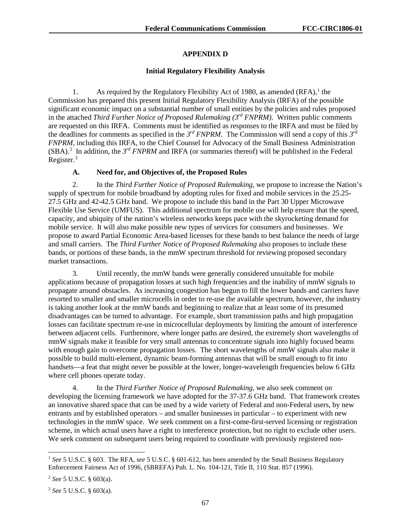# **APPENDIX D**

# **Initial Regulatory Flexibility Analysis**

[1](#page-67-0). As required by the Regulatory Flexibility Act of 1980, as amended  $(RFA)$ ,<sup>1</sup> the Commission has prepared this present Initial Regulatory Flexibility Analysis (IRFA) of the possible significant economic impact on a substantial number of small entities by the policies and rules proposed in the attached *Third Further Notice of Proposed Rulemaking (3rd FNPRM)*. Written public comments are requested on this IRFA. Comments must be identified as responses to the IRFA and must be filed by the deadlines for comments as specified in the *3rd FNPRM*. The Commission will send a copy of this *3rd FNPRM*, including this IRFA, to the Chief Counsel for Advocacy of the Small Business Administration  $(SBA)$ .<sup>[2](#page-67-1)</sup> In addition, the 3<sup>rd</sup> *FNPRM* and IRFA (or summaries thereof) will be published in the Federal Register.<sup>[3](#page-67-2)</sup>

# **A. Need for, and Objectives of, the Proposed Rules**

2. In the *Third Further Notice of Proposed Rulemaking*, we propose to increase the Nation's supply of spectrum for mobile broadband by adopting rules for fixed and mobile services in the 25.25- 27.5 GHz and 42-42.5 GHz band. We propose to include this band in the Part 30 Upper Microwave Flexible Use Service (UMFUS). This additional spectrum for mobile use will help ensure that the speed, capacity, and ubiquity of the nation's wireless networks keeps pace with the skyrocketing demand for mobile service. It will also make possible new types of services for consumers and businesses. We propose to award Partial Economic Area-based licenses for these bands to best balance the needs of large and small carriers. The *Third Further Notice of Proposed Rulemaking* also proposes to include these bands, or portions of these bands, in the mmW spectrum threshold for reviewing proposed secondary market transactions.

3. Until recently, the mmW bands were generally considered unsuitable for mobile applications because of propagation losses at such high frequencies and the inability of mmW signals to propagate around obstacles. As increasing congestion has begun to fill the lower bands and carriers have resorted to smaller and smaller microcells in order to re-use the available spectrum, however, the industry is taking another look at the mmW bands and beginning to realize that at least some of its presumed disadvantages can be turned to advantage. For example, short transmission paths and high propagation losses can facilitate spectrum re-use in microcellular deployments by limiting the amount of interference between adjacent cells. Furthermore, where longer paths are desired, the extremely short wavelengths of mmW signals make it feasible for very small antennas to concentrate signals into highly focused beams with enough gain to overcome propagation losses. The short wavelengths of mmW signals also make it possible to build multi-element, dynamic beam-forming antennas that will be small enough to fit into handsets—a feat that might never be possible at the lower, longer-wavelength frequencies below 6 GHz where cell phones operate today.

4. In the *Third Further Notice of Proposed Rulemaking*, we also seek comment on developing the licensing framework we have adopted for the 37-37.6 GHz band. That framework creates an innovative shared space that can be used by a wide variety of Federal and non-Federal users, by new entrants and by established operators – and smaller businesses in particular – to experiment with new technologies in the mmW space. We seek comment on a first-come-first-served licensing or registration scheme, in which actual users have a right to interference protection, but no right to exclude other users. We seek comment on subsequent users being required to coordinate with previously registered non-

<span id="page-67-0"></span> <sup>1</sup> *See* 5 U.S.C. § 603. The RFA, *see* 5 U.S.C. § 601-612, has been amended by the Small Business Regulatory Enforcement Fairness Act of 1996, (SBREFA) Pub. L. No. 104-121, Title II, 110 Stat. 857 (1996).

<span id="page-67-1"></span><sup>2</sup> *See* 5 U.S.C. § 603(a).

<span id="page-67-2"></span><sup>3</sup> *See* 5 U.S.C. § 603(a).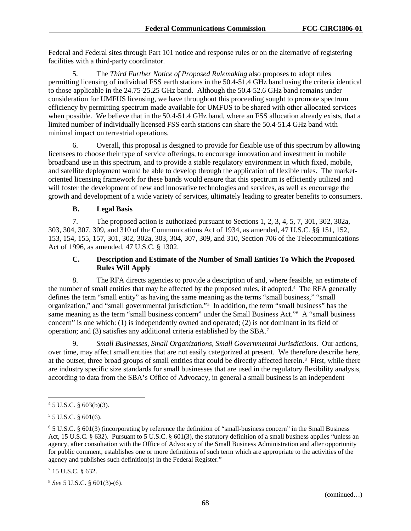Federal and Federal sites through Part 101 notice and response rules or on the alternative of registering facilities with a third-party coordinator.

5. The *Third Further Notice of Proposed Rulemaking* also proposes to adopt rules permitting licensing of individual FSS earth stations in the 50.4-51.4 GHz band using the criteria identical to those applicable in the 24.75-25.25 GHz band. Although the 50.4-52.6 GHz band remains under consideration for UMFUS licensing, we have throughout this proceeding sought to promote spectrum efficiency by permitting spectrum made available for UMFUS to be shared with other allocated services when possible. We believe that in the 50.4-51.4 GHz band, where an FSS allocation already exists, that a limited number of individually licensed FSS earth stations can share the 50.4-51.4 GHz band with minimal impact on terrestrial operations.

6. Overall, this proposal is designed to provide for flexible use of this spectrum by allowing licensees to choose their type of service offerings, to encourage innovation and investment in mobile broadband use in this spectrum, and to provide a stable regulatory environment in which fixed, mobile, and satellite deployment would be able to develop through the application of flexible rules. The marketoriented licensing framework for these bands would ensure that this spectrum is efficiently utilized and will foster the development of new and innovative technologies and services, as well as encourage the growth and development of a wide variety of services, ultimately leading to greater benefits to consumers.

# **B. Legal Basis**

7. The proposed action is authorized pursuant to Sections 1, 2, 3, 4, 5, 7, 301, 302, 302a, 303, 304, 307, 309, and 310 of the Communications Act of 1934, as amended, 47 U.S.C. §§ 151, 152, 153, 154, 155, 157, 301, 302, 302a, 303, 304, 307, 309, and 310, Section 706 of the Telecommunications Act of 1996, as amended, 47 U.S.C. § 1302.

# **C. Description and Estimate of the Number of Small Entities To Which the Proposed Rules Will Apply**

8. The RFA directs agencies to provide a description of and, where feasible, an estimate of the number of small entities that may be affected by the proposed rules, if adopted.<sup>[4](#page-68-0)</sup> The RFA generally defines the term "small entity" as having the same meaning as the terms "small business," "small organization," and "small governmental jurisdiction."[5](#page-68-1) In addition, the term "small business" has the same meaning as the term "small business concern" under the Small Business Act."<sup>[6](#page-68-2)</sup> A "small business concern" is one which: (1) is independently owned and operated; (2) is not dominant in its field of operation; and (3) satisfies any additional criteria established by the SBA.[7](#page-68-3)

9. *Small Businesses, Small Organizations, Small Governmental Jurisdictions*. Our actions, over time, may affect small entities that are not easily categorized at present. We therefore describe here, at the outset, three broad groups of small entities that could be directly affected herein.<sup>[8](#page-68-4)</sup> First, while there are industry specific size standards for small businesses that are used in the regulatory flexibility analysis, according to data from the SBA's Office of Advocacy, in general a small business is an independent

<span id="page-68-3"></span><sup>7</sup> 15 U.S.C. § 632.

<span id="page-68-0"></span> $45$  U.S.C. § 603(b)(3).

<span id="page-68-1"></span> $55$  U.S.C. § 601(6).

<span id="page-68-2"></span><sup>6</sup> 5 U.S.C. § 601(3) (incorporating by reference the definition of "small-business concern" in the Small Business Act, 15 U.S.C. § 632). Pursuant to 5 U.S.C. § 601(3), the statutory definition of a small business applies "unless an agency, after consultation with the Office of Advocacy of the Small Business Administration and after opportunity for public comment, establishes one or more definitions of such term which are appropriate to the activities of the agency and publishes such definition(s) in the Federal Register."

<span id="page-68-4"></span><sup>8</sup> *See* 5 U.S.C. § 601(3)-(6).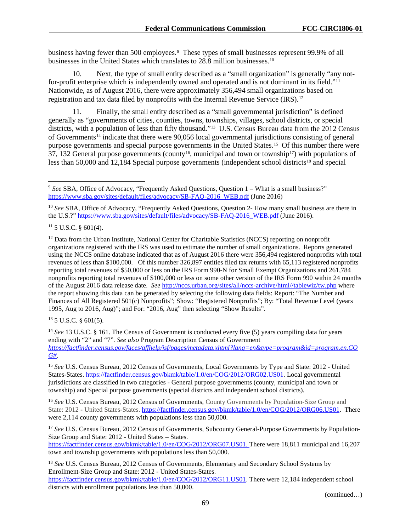business having fewer than 500 employees.[9](#page-69-0) These types of small businesses represent 99.9% of all businesses in the United States which translates to 28.8 million businesses.<sup>[10](#page-69-1)</sup>

10. Next, the type of small entity described as a "small organization" is generally "any notfor-profit enterprise which is independently owned and operated and is not dominant in its field."[11](#page-69-2) Nationwide, as of August 2016, there were approximately 356,494 small organizations based on registration and tax data filed by nonprofits with the Internal Revenue Service (IRS).[12](#page-69-3)

Finally, the small entity described as a "small governmental jurisdiction" is defined generally as "governments of cities, counties, towns, townships, villages, school districts, or special districts, with a population of less than fifty thousand."<sup>[13](#page-69-4)</sup> U.S. Census Bureau data from the 2012 Census of Governments<sup>[14](#page-69-5)</sup> indicate that there were 90,056 local governmental jurisdictions consisting of general purpose governments and special purpose governments in the United States.[15](#page-69-6) Of this number there were 37, 132 General purpose governments (county<sup>[16](#page-69-7)</sup>, municipal and town or township<sup>[17](#page-69-8)</sup>) with populations of less than 50,000 and 12,[18](#page-69-9)4 Special purpose governments (independent school districts<sup>18</sup> and special

<span id="page-69-2"></span> $11\,5$  U.S.C. § 601(4).

<span id="page-69-3"></span> $12$  Data from the Urban Institute, National Center for Charitable Statistics (NCCS) reporting on nonprofit organizations registered with the IRS was used to estimate the number of small organizations. Reports generated using the NCCS online database indicated that as of August 2016 there were 356,494 registered nonprofits with total revenues of less than \$100,000. Of this number 326,897 entities filed tax returns with 65,113 registered nonprofits reporting total revenues of \$50,000 or less on the IRS Form 990-N for Small Exempt Organizations and 261,784 nonprofits reporting total revenues of \$100,000 or less on some other version of the IRS Form 990 within 24 months of the August 2016 data release date. *See* [http://nccs.urban.org/sites/all/nccs-archive/html//tablewiz/tw.php](http://nccs.urban.org/sites/all/nccs-archive/html/tablewiz/tw.php) where the report showing this data can be generated by selecting the following data fields: Report: "The Number and Finances of All Registered 501(c) Nonprofits"; Show: "Registered Nonprofits"; By: "Total Revenue Level (years 1995, Aug to 2016, Aug)"; and For: "2016, Aug" then selecting "Show Results".

<span id="page-69-4"></span> $13$  5 U.S.C. § 601(5).

<span id="page-69-5"></span><sup>14</sup> See 13 U.S.C. § 161. The Census of Government is conducted every five (5) years compiling data for years ending with "2" and "7". *See also* Program Description Census of Government *[https://factfinder.census.gov/faces/affhelp/jsf/pages/metadata.xhtml?lang=en&type=program&id=program.en.CO](https://factfinder.census.gov/faces/affhelp/jsf/pages/metadata.xhtml?lang=en&type=program&id=program.en.COG) [G#](https://factfinder.census.gov/faces/affhelp/jsf/pages/metadata.xhtml?lang=en&type=program&id=program.en.COG)*.

<span id="page-69-6"></span><sup>15</sup> *See* U.S. Census Bureau, 2012 Census of Governments, Local Governments by Type and State: 2012 - United States-States. [https://factfinder.census.gov/bkmk/table/1.0/en/COG/2012/ORG02.US01.](https://factfinder.census.gov/bkmk/table/1.0/en/COG/2012/ORG02.US01) Local governmental jurisdictions are classified in two categories - General purpose governments (county, municipal and town or township) and Special purpose governments (special districts and independent school districts).

<span id="page-69-7"></span><sup>16</sup> *See* U.S. Census Bureau, 2012 Census of Governments, County Governments by Population-Size Group and State: 2012 - United States-States. [https://factfinder.census.gov/bkmk/table/1.0/en/COG/2012/ORG06.US01.](https://factfinder.census.gov/bkmk/table/1.0/en/COG/2012/ORG06.US01) There were 2,114 county governments with populations less than 50,000.

<span id="page-69-8"></span><sup>17</sup> See U.S. Census Bureau, 2012 Census of Governments, Subcounty General-Purpose Governments by Population-Size Group and State: 2012 - United States – States. [https://factfinder.census.gov/bkmk/table/1.0/en/COG/2012/ORG07.US01.](https://factfinder.census.gov/bkmk/table/1.0/en/COG/2012/ORG07.US01) There were 18,811 municipal and 16,207

town and township governments with populations less than 50,000.

<span id="page-69-9"></span><sup>18</sup> See U.S. Census Bureau, 2012 Census of Governments, Elementary and Secondary School Systems by Enrollment-Size Group and State: 2012 - United States-States. [https://factfinder.census.gov/bkmk/table/1.0/en/COG/2012/ORG11.US01.](https://factfinder.census.gov/bkmk/table/1.0/en/COG/2012/ORG11.US01) There were 12,184 independent school districts with enrollment populations less than 50,000.

(continued…)

<span id="page-69-0"></span><sup>&</sup>lt;sup>9</sup> See SBA, Office of Advocacy, "Frequently Asked Questions, Question 1 – What is a small business?" [https://www.sba.gov/sites/default/files/advocacy/SB-FAQ-2016\\_WEB.pdf](https://www.sba.gov/sites/default/files/advocacy/SB-FAQ-2016_WEB.pdf) (June 2016)

<span id="page-69-1"></span><sup>&</sup>lt;sup>10</sup> *See* SBA, Office of Advocacy, "Frequently Asked Questions, Question 2- How many small business are there in the U.S.?" [https://www.sba.gov/sites/default/files/advocacy/SB-FAQ-2016\\_WEB.pdf](https://www.sba.gov/sites/default/files/advocacy/SB-FAQ-2016_WEB.pdf) (June 2016).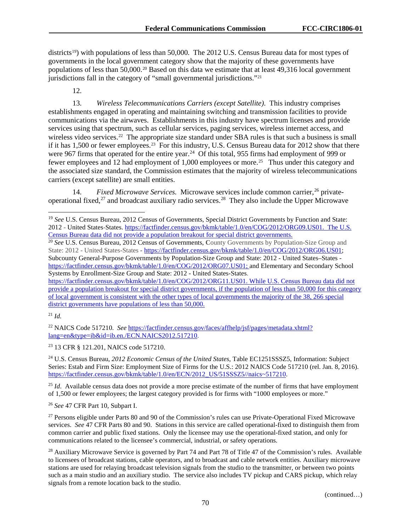districts<sup>19</sup>) with populations of less than 50,000. The 2012 U.S. Census Bureau data for most types of governments in the local government category show that the majority of these governments have populations of less than 50,000.[20](#page-70-1) Based on this data we estimate that at least 49,316 local government jurisdictions fall in the category of "small governmental jurisdictions."[21](#page-70-2)

12.

13. *Wireless Telecommunications Carriers (except Satellite)*. This industry comprises establishments engaged in operating and maintaining switching and transmission facilities to provide communications via the airwaves. Establishments in this industry have spectrum licenses and provide services using that spectrum, such as cellular services, paging services, wireless internet access, and wireless video services.<sup>[22](#page-70-3)</sup> The appropriate size standard under SBA rules is that such a business is small if it has 1,500 or fewer employees.<sup>23</sup> For this industry, U.S. Census Bureau data for 2012 show that there were 967 firms that operated for the entire year.<sup>24</sup> Of this total, 955 firms had employment of 999 or fewer employees and 12 had employment of 1,000 employees or more.[25](#page-70-6) Thus under this category and the associated size standard, the Commission estimates that the majority of wireless telecommunications carriers (except satellite) are small entities.

14. Fixed Microwave Services. Microwave services include common carrier,<sup>[26](#page-70-7)</sup> private-operational fixed,<sup>[27](#page-70-8)</sup> and broadcast auxiliary radio services.<sup>[28](#page-70-9)</sup> They also include the Upper Microwave

[https://factfinder.census.gov/bkmk/table/1.0/en/COG/2012/ORG11.US01.](https://factfinder.census.gov/bkmk/table/1.0/en/COG/2012/ORG11.US01) While U.S. Census Bureau data did not provide a population breakout for special district governments, if the population of less than 50,000 for this category of local government is consistent with the other types of local governments the majority of the 38, 266 special district governments have populations of less than 50,000.

<span id="page-70-2"></span><sup>21</sup> *Id.*

<span id="page-70-3"></span><sup>22</sup> NAICS Code 517210. *See* [https://factfinder.census.gov/faces/affhelp/jsf/pages/metadata.xhtml?](https://factfinder.census.gov/faces/affhelp/jsf/pages/metadata.xhtml?lang=en&type=ib&id=ib.en./ECN.NAICS2012.517210) [lang=en&type=ib&id=ib.en./ECN.NAICS2012.517210.](https://factfinder.census.gov/faces/affhelp/jsf/pages/metadata.xhtml?lang=en&type=ib&id=ib.en./ECN.NAICS2012.517210)

<span id="page-70-4"></span><sup>23</sup> 13 CFR § 121.201, NAICS code 517210.

<span id="page-70-5"></span><sup>24</sup> U.S. Census Bureau, *2012 Economic Census of the United States*, Table EC1251SSSZ5, Information: Subject Series: Estab and Firm Size: Employment Size of Firms for the U.S.: 2012 NAICS Code 517210 (rel. Jan. 8, 2016). [https://factfinder.census.gov/bkmk/table/1.0/en/ECN/2012\\_US/51SSSZ5//naics~517210.](https://factfinder.census.gov/bkmk/table/1.0/en/ECN/2012_US/51SSSZ5/naics%7E517210)

<span id="page-70-6"></span><sup>25</sup> *Id.* Available census data does not provide a more precise estimate of the number of firms that have employment of 1,500 or fewer employees; the largest category provided is for firms with "1000 employees or more."

<span id="page-70-7"></span><sup>26</sup> *See* 47 CFR Part 10, Subpart I.

<span id="page-70-8"></span><sup>27</sup> Persons eligible under Parts 80 and 90 of the Commission's rules can use Private-Operational Fixed Microwave services. *See* 47 CFR Parts 80 and 90. Stations in this service are called operational-fixed to distinguish them from common carrier and public fixed stations. Only the licensee may use the operational-fixed station, and only for communications related to the licensee's commercial, industrial, or safety operations.

<span id="page-70-9"></span><sup>28</sup> Auxiliary Microwave Service is governed by Part 74 and Part 78 of Title 47 of the Commission's rules. Available to licensees of broadcast stations, cable operators, and to broadcast and cable network entities. Auxiliary microwave stations are used for relaying broadcast television signals from the studio to the transmitter, or between two points such as a main studio and an auxiliary studio. The service also includes TV pickup and CARS pickup, which relay signals from a remote location back to the studio.

<span id="page-70-0"></span> <sup>19</sup> *See* U.S. Census Bureau, 2012 Census of Governments, Special District Governments by Function and State: 2012 - United States-States. [https://factfinder.census.gov/bkmk/table/1.0/en/COG/2012/ORG09.US01.](https://factfinder.census.gov/bkmk/table/1.0/en/COG/2012/ORG09.US01) The U.S. Census Bureau data did not provide a population breakout for special district governments.

<span id="page-70-1"></span><sup>&</sup>lt;sup>20</sup> See U.S. Census Bureau, 2012 Census of Governments, County Governments by Population-Size Group and State: 2012 - United States-States **-** [https://factfinder.census.gov/bkmk/table/1.0/en/COG/2012/ORG06.US01;](https://factfinder.census.gov/bkmk/table/1.0/en/COG/2012/ORG06.US01) Subcounty General-Purpose Governments by Population-Size Group and State: 2012 - United States–States [https://factfinder.census.gov/bkmk/table/1.0/en/COG/2012/ORG07.US01;](https://factfinder.census.gov/bkmk/table/1.0/en/COG/2012/ORG07.US01) and Elementary and Secondary School Systems by Enrollment-Size Group and State: 2012 - United States-States.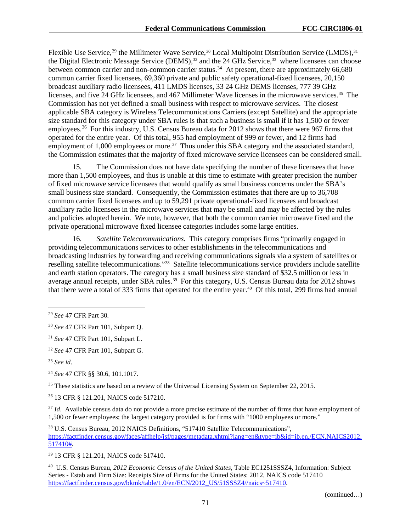Flexible Use Service,<sup>[29](#page-71-0)</sup> the Millimeter Wave Service,<sup>[30](#page-71-1)</sup> Local Multipoint Distribution Service (LMDS),<sup>[31](#page-71-2)</sup> the Digital Electronic Message Service (DEMS),<sup>[32](#page-71-3)</sup> and the 24 GHz Service,<sup>[33](#page-71-4)</sup> where licensees can choose between common carrier and non-common carrier status.<sup>34</sup> At present, there are approximately 66,680 common carrier fixed licensees, 69,360 private and public safety operational-fixed licensees, 20,150 broadcast auxiliary radio licensees, 411 LMDS licenses, 33 24 GHz DEMS licenses, 777 39 GHz licenses, and five 24 GHz licensees, and 467 Millimeter Wave licenses in the microwave services.[35](#page-71-6) The Commission has not yet defined a small business with respect to microwave services. The closest applicable SBA category is Wireless Telecommunications Carriers (except Satellite) and the appropriate size standard for this category under SBA rules is that such a business is small if it has 1,500 or fewer employees.<sup>[36](#page-71-7)</sup> For this industry, U.S. Census Bureau data for 2012 shows that there were 967 firms that operated for the entire year. Of this total, 955 had employment of 999 or fewer, and 12 firms had employment of 1,000 employees or more.<sup>[37](#page-71-8)</sup> Thus under this SBA category and the associated standard, the Commission estimates that the majority of fixed microwave service licensees can be considered small.

15. The Commission does not have data specifying the number of these licensees that have more than 1,500 employees, and thus is unable at this time to estimate with greater precision the number of fixed microwave service licensees that would qualify as small business concerns under the SBA's small business size standard. Consequently, the Commission estimates that there are up to 36,708 common carrier fixed licensees and up to 59,291 private operational-fixed licensees and broadcast auxiliary radio licensees in the microwave services that may be small and may be affected by the rules and policies adopted herein. We note, however, that both the common carrier microwave fixed and the private operational microwave fixed licensee categories includes some large entities.

16. *Satellite Telecommunications.* This category comprises firms "primarily engaged in providing telecommunications services to other establishments in the telecommunications and broadcasting industries by forwarding and receiving communications signals via a system of satellites or reselling satellite telecommunications."[38](#page-71-9) Satellite telecommunications service providers include satellite and earth station operators. The category has a small business size standard of \$32.5 million or less in average annual receipts, under SBA rules.[39](#page-71-10) For this category, U.S. Census Bureau data for 2012 shows that there were a total of 333 firms that operated for the entire year.<sup>[40](#page-71-11)</sup> Of this total, 299 firms had annual

<span id="page-71-4"></span><sup>33</sup> *See id*.

<span id="page-71-5"></span><sup>34</sup> *See* 47 CFR §§ 30.6, 101.1017.

<span id="page-71-6"></span><sup>35</sup> These statistics are based on a review of the Universal Licensing System on September 22, 2015.

<span id="page-71-7"></span><sup>36</sup> 13 CFR § 121.201, NAICS code 517210.

<span id="page-71-8"></span><sup>37</sup> *Id.* Available census data do not provide a more precise estimate of the number of firms that have employment of 1,500 or fewer employees; the largest category provided is for firms with "1000 employees or more."

<span id="page-71-9"></span><sup>38</sup> U.S. Census Bureau, 2012 NAICS Definitions, "517410 Satellite Telecommunications", [https://factfinder.census.gov/faces/affhelp/jsf/pages/metadata.xhtml?lang=en&type=ib&id=ib.en./ECN.NAICS2012.](https://factfinder.census.gov/faces/affhelp/jsf/pages/metadata.xhtml?lang=en&type=ib&id=ib.en./ECN.NAICS2012.517410) [517410#.](https://factfinder.census.gov/faces/affhelp/jsf/pages/metadata.xhtml?lang=en&type=ib&id=ib.en./ECN.NAICS2012.517410)

<span id="page-71-10"></span><sup>39</sup> 13 CFR § 121.201, NAICS code 517410.

<span id="page-71-11"></span>40 U.S. Census Bureau, *2012 Economic Census of the United States*, Table EC1251SSSZ4, Information: Subject Series - Estab and Firm Size: Receipts Size of Firms for the United States: 2012, NAICS code 517410 [https://factfinder.census.gov/bkmk/table/1.0/en/ECN/2012\\_US/51SSSZ4//naics~517410.](https://factfinder.census.gov/bkmk/table/1.0/en/ECN/2012_US/51SSSZ4/naics%7E517410)

(continued…)

<span id="page-71-0"></span> <sup>29</sup> *See* 47 CFR Part 30*.*

<span id="page-71-1"></span><sup>30</sup> *See* 47 CFR Part 101, Subpart Q.

<span id="page-71-2"></span><sup>31</sup> *See* 47 CFR Part 101, Subpart L.

<span id="page-71-3"></span><sup>32</sup> *See* 47 CFR Part 101, Subpart G.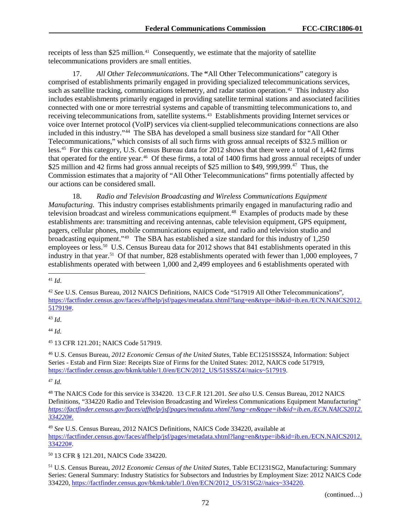receipts of less than \$25 million.<sup>41</sup> Consequently, we estimate that the majority of satellite telecommunications providers are small entities.

17. *All Other Telecommunications*. The **"**All Other Telecommunications" category is comprised of establishments primarily engaged in providing specialized telecommunications services, such as satellite tracking, communications telemetry, and radar station operation.<sup>[42](#page-72-1)</sup> This industry also includes establishments primarily engaged in providing satellite terminal stations and associated facilities connected with one or more terrestrial systems and capable of transmitting telecommunications to, and receiving telecommunications from, satellite systems.[43](#page-72-2) Establishments providing Internet services or voice over Internet protocol (VoIP) services via client-supplied telecommunications connections are also included in this industry."[44](#page-72-3) The SBA has developed a small business size standard for "All Other Telecommunications," which consists of all such firms with gross annual receipts of \$32.5 million or less.[45](#page-72-4) For this category, U.S. Census Bureau data for 2012 shows that there were a total of 1,442 firms that operated for the entire year.[46](#page-72-5) Of these firms, a total of 1400 firms had gross annual receipts of under \$25 million and 42 firms had gross annual receipts of \$25 million to \$49, 999,999.<sup>47</sup> Thus, the Commission estimates that a majority of "All Other Telecommunications" firms potentially affected by our actions can be considered small.

18. *Radio and Television Broadcasting and Wireless Communications Equipment Manufacturing.* This industry comprises establishments primarily engaged in manufacturing radio and television broadcast and wireless communications equipment.<sup>48</sup> Examples of products made by these establishments are: transmitting and receiving antennas, cable television equipment, GPS equipment, pagers, cellular phones, mobile communications equipment, and radio and television studio and broadcasting equipment."[49](#page-72-8) The SBA has established a size standard for this industry of 1,250 employees or less.<sup>50</sup> U.S. Census Bureau data for 2012 shows that 841 establishments operated in this industry in that year.<sup>[51](#page-72-10)</sup> Of that number, 828 establishments operated with fewer than 1,000 employees, 7 establishments operated with between 1,000 and 2,499 employees and 6 establishments operated with

<span id="page-72-2"></span><sup>43</sup> *Id*.

<span id="page-72-3"></span><sup>44</sup> *Id.*

<span id="page-72-4"></span><sup>45</sup> 13 CFR 121.201; NAICS Code 517919.

<span id="page-72-5"></span><sup>46</sup> U.S. Census Bureau, *2012 Economic Census of the United States*, Table EC1251SSSZ4, Information: Subject Series - Estab and Firm Size: Receipts Size of Firms for the United States: 2012, NAICS code 517919, [https://factfinder.census.gov/bkmk/table/1.0/en/ECN/2012\\_US/51SSSZ4//naics~517919.](https://factfinder.census.gov/bkmk/table/1.0/en/ECN/2012_US/51SSSZ4/naics%7E517919)

<span id="page-72-6"></span><sup>47</sup> *Id.*

<span id="page-72-8"></span><sup>49</sup> *See* U.S. Census Bureau, 2012 NAICS Definitions, NAICS Code 334220, available at https://factfinder.census.gov/faces/affhelp/jsf/pages/metadata.xhtml?lang=en&type=ib&id=ib.en./ECN.NAICS2012. 334220#.

<span id="page-72-9"></span><sup>50</sup> 13 CFR § 121.201, NAICS Code 334220.

<span id="page-72-10"></span><sup>51</sup> U.S. Census Bureau, *2012 Economic Census of the United States*, Table EC1231SG2, Manufacturing: Summary Series: General Summary: Industry Statistics for Subsectors and Industries by Employment Size: 2012 NAICS Code 334220, [https://factfinder.census.gov/bkmk/table/1.0/en/ECN/2012\\_US/31SG2//naics~334220.](https://factfinder.census.gov/bkmk/table/1.0/en/ECN/2012_US/31SG2/naics%7E334220)

(continued…)

<span id="page-72-0"></span> <sup>41</sup> *Id*.

<span id="page-72-1"></span><sup>42</sup> *See* U.S. Census Bureau, 2012 NAICS Definitions, NAICS Code "517919 All Other Telecommunications", [https://factfinder.census.gov/faces/affhelp/jsf/pages/metadata.xhtml?lang=en&type=ib&id=ib.en./ECN.NAICS2012.](https://factfinder.census.gov/faces/affhelp/jsf/pages/metadata.xhtml?lang=en&type=ib&id=ib.en./ECN.NAICS2012.517919) [517919#.](https://factfinder.census.gov/faces/affhelp/jsf/pages/metadata.xhtml?lang=en&type=ib&id=ib.en./ECN.NAICS2012.517919)

<span id="page-72-7"></span><sup>48</sup> The NAICS Code for this service is 334220. 13 C.F.R 121.201. *See also* U.S. Census Bureau, 2012 NAICS Definitions, "334220 Radio and Television Broadcasting and Wireless Communications Equipment Manufacturing" *[https://factfinder.census.gov/faces/affhelp/jsf/pages/metadata.xhtml?lang=en&type=ib&id=ib.en./ECN.NAICS2012.](https://factfinder.census.gov/faces/affhelp/jsf/pages/metadata.xhtml?lang=en&type=ib&id=ib.en./ECN.NAICS2012.334220) [334220#.](https://factfinder.census.gov/faces/affhelp/jsf/pages/metadata.xhtml?lang=en&type=ib&id=ib.en./ECN.NAICS2012.334220)*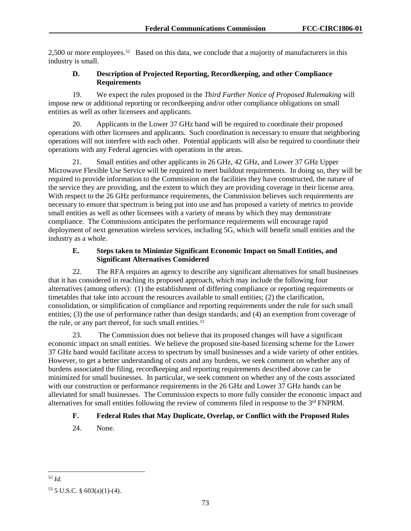2,500 or more employees.<sup>52</sup> Based on this data, we conclude that a majority of manufacturers in this industry is small.

### **D. Description of Projected Reporting, Recordkeeping, and other Compliance Requirements**

19. We expect the rules proposed in the *Third Further Notice of Proposed Rulemaking* will impose new or additional reporting or recordkeeping and/or other compliance obligations on small entities as well as other licensees and applicants.

20. Applicants in the Lower 37 GHz band will be required to coordinate their proposed operations with other licensees and applicants. Such coordination is necessary to ensure that neighboring operations will not interfere with each other. Potential applicants will also be required to coordinate their operations with any Federal agencies with operations in the areas.

21. Small entities and other applicants in 26 GHz, 42 GHz, and Lower 37 GHz Upper Microwave Flexible Use Service will be required to meet buildout requirements. In doing so, they will be required to provide information to the Commission on the facilities they have constructed, the nature of the service they are providing, and the extent to which they are providing coverage in their license area. With respect to the 26 GHz performance requirements, the Commission believes such requirements are necessary to ensure that spectrum is being put into use and has proposed a variety of metrics to provide small entities as well as other licensees with a variety of means by which they may demonstrate compliance. The Commissions anticipates the performance requirements will encourage rapid deployment of next generation wireless services, including 5G, which will benefit small entities and the industry as a whole.

## **E. Steps taken to Minimize Significant Economic Impact on Small Entities, and Significant Alternatives Considered**

22. The RFA requires an agency to describe any significant alternatives for small businesses that it has considered in reaching its proposed approach, which may include the following four alternatives (among others): (1) the establishment of differing compliance or reporting requirements or timetables that take into account the resources available to small entities; (2) the clarification, consolidation, or simplification of compliance and reporting requirements under the rule for such small entities; (3) the use of performance rather than design standards; and (4) an exemption from coverage of the rule, or any part thereof, for such small entities.<sup>[53](#page-73-1)</sup>

23. The Commission does not believe that its proposed changes will have a significant economic impact on small entities. We believe the proposed site-based licensing scheme for the Lower 37 GHz band would facilitate access to spectrum by small businesses and a wide variety of other entities. However, to get a better understanding of costs and any burdens, we seek comment on whether any of burdens associated the filing, recordkeeping and reporting requirements described above can be minimized for small businesses. In particular, we seek comment on whether any of the costs associated with our construction or performance requirements in the 26 GHz and Lower 37 GHz bands can be alleviated for small businesses. The Commission expects to more fully consider the economic impact and alternatives for small entities following the review of comments filed in response to the 3rd FNPRM.

# **F. Federal Rules that May Duplicate, Overlap, or Conflict with the Proposed Rules**

24. None.

<span id="page-73-0"></span> <sup>52</sup> *Id.*

<span id="page-73-1"></span><sup>53</sup> 5 U.S.C. § 603(a)(1)-(4).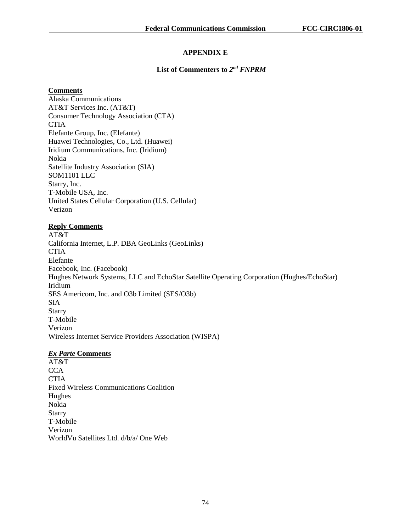## **APPENDIX E**

#### **List of Commenters to** *2nd FNPRM*

#### **Comments**

Alaska Communications AT&T Services Inc. (AT&T) Consumer Technology Association (CTA) **CTIA** Elefante Group, Inc. (Elefante) Huawei Technologies, Co., Ltd. (Huawei) Iridium Communications, Inc. (Iridium) Nokia Satellite Industry Association (SIA) SOM1101 LLC Starry, Inc. T-Mobile USA, Inc. United States Cellular Corporation (U.S. Cellular) Verizon

### **Reply Comments**

AT&T California Internet, L.P. DBA GeoLinks (GeoLinks) **CTIA** Elefante Facebook, Inc. (Facebook) Hughes Network Systems, LLC and EchoStar Satellite Operating Corporation (Hughes/EchoStar) Iridium SES Americom, Inc. and O3b Limited (SES/O3b) SIA **Starry** T-Mobile Verizon Wireless Internet Service Providers Association (WISPA)

#### *Ex Parte* **Comments**

AT&T **CCA CTIA** Fixed Wireless Communications Coalition Hughes Nokia **Starry** T-Mobile Verizon WorldVu Satellites Ltd. d/b/a/ One Web